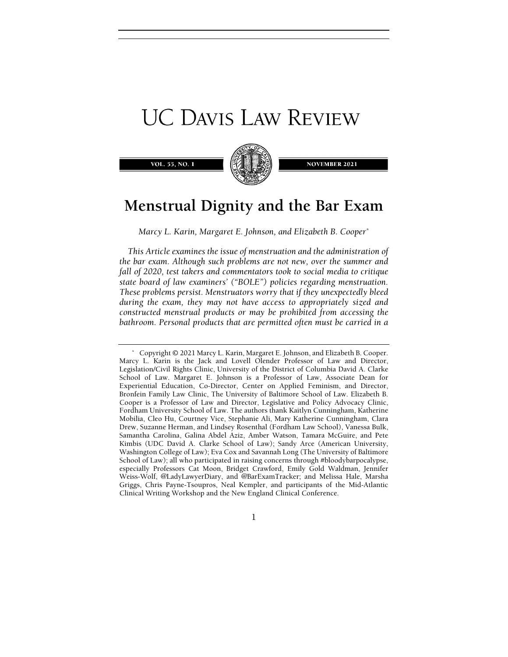# **UC DAVIS LAW REVIEW**

VOL. 55, NO.



**NOVEMBER 2021** 

# Menstrual Dignity and the Bar Exam

Marcy L. Karin, Margaret E. Johnson, and Elizabeth B. Cooper\*

This Article examines the issue of menstruation and the administration of the bar exam. Although such problems are not new, over the summer and fall of 2020, test takers and commentators took to social media to critique state board of law examiners' ("BOLE") policies regarding menstruation. These problems persist. Menstruators worry that if they unexpectedly bleed during the exam, they may not have access to appropriately sized and constructed menstrual products or may be prohibited from accessing the bathroom. Personal products that are permitted often must be carried in a

 <sup>\*</sup> Copyright © 2021 Marcy L. Karin, Margaret E. Johnson, and Elizabeth B. Cooper. Marcy L. Karin is the Jack and Lovell Olender Professor of Law and Director, Legislation/Civil Rights Clinic, University of the District of Columbia David A. Clarke School of Law. Margaret E. Johnson is a Professor of Law, Associate Dean for Experiential Education, Co-Director, Center on Applied Feminism, and Director, Bronfein Family Law Clinic, The University of Baltimore School of Law. Elizabeth B. Cooper is a Professor of Law and Director, Legislative and Policy Advocacy Clinic, Fordham University School of Law. The authors thank Kaitlyn Cunningham, Katherine Mobilia, Cleo Hu, Courtney Vice, Stephanie Ali, Mary Katherine Cunningham, Clara Drew, Suzanne Herman, and Lindsey Rosenthal (Fordham Law School), Vanessa Bulk, Samantha Carolina, Galina Abdel Aziz, Amber Watson, Tamara McGuire, and Pete Kimbis (UDC David A. Clarke School of Law); Sandy Arce (American University, Washington College of Law); Eva Cox and Savannah Long (The University of Baltimore School of Law); all who participated in raising concerns through #bloodybarpocalypse, especially Professors Cat Moon, Bridget Crawford, Emily Gold Waldman, Jennifer Weiss-Wolf, @LadyLawyerDiary, and @BarExamTracker; and Melissa Hale, Marsha Griggs, Chris Payne-Tsoupros, Neal Kempler, and participants of the Mid-Atlantic Clinical Writing Workshop and the New England Clinical Conference.

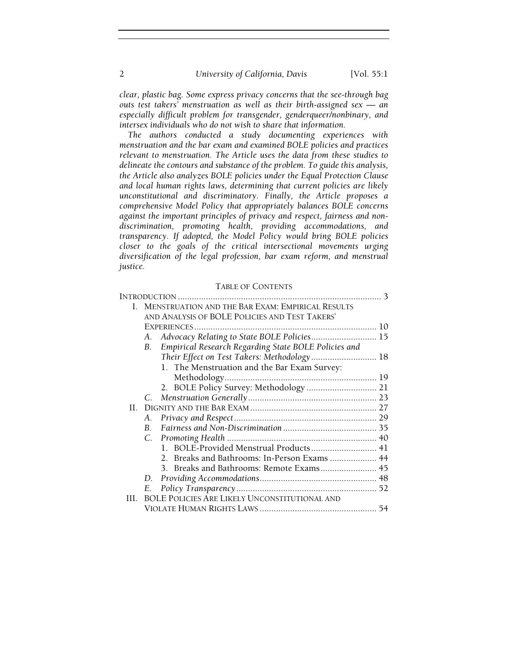clear, plastic bag. Some express privacy concerns that the see-through bag outs test takers' menstruation as well as their birth-assigned sex — an especially difficult problem for transgender, genderqueer/nonbinary, and intersex individuals who do not wish to share that information.

The authors conducted a study documenting experiences with menstruation and the bar exam and examined BOLE policies and practices relevant to menstruation. The Article uses the data from these studies to delineate the contours and substance of the problem. To guide this analysis, the Article also analyzes BOLE policies under the Equal Protection Clause and local human rights laws, determining that current policies are likely unconstitutional and discriminatory. Finally, the Article proposes a comprehensive Model Policy that appropriately balances BOLE concerns against the important principles of privacy and respect, fairness and nondiscrimination, promoting health, providing accommodations, and transparency. If adopted, the Model Policy would bring BOLE policies closer to the goals of the critical intersectional movements urging diversification of the legal profession, bar exam reform, and menstrual justice.

# TABLE OF CONTENTS

| L   | <b>MENSTRUATION AND THE BAR EXAM: EMPIRICAL RESULTS</b>    |    |
|-----|------------------------------------------------------------|----|
|     | AND ANALYSIS OF BOLE POLICIES AND TEST TAKERS'             |    |
|     |                                                            |    |
|     | Advocacy Relating to State BOLE Policies 15<br>А.          |    |
|     | Empirical Research Regarding State BOLE Policies and<br>B. |    |
|     | Their Effect on Test Takers: Methodology 18                |    |
|     | 1. The Menstruation and the Bar Exam Survey:               |    |
|     |                                                            |    |
|     | 2. BOLE Policy Survey: Methodology  21                     |    |
|     |                                                            |    |
| H.  |                                                            |    |
|     | А.                                                         |    |
|     |                                                            |    |
|     |                                                            |    |
|     | 1. BOLE-Provided Menstrual Products 41                     |    |
|     | 2. Breaks and Bathrooms: In-Person Exams  44               |    |
|     |                                                            |    |
|     | D.                                                         |    |
|     | Е.                                                         | 52 |
| HL. | <b>BOLE POLICIES ARE LIKELY UNCONSTITUTIONAL AND</b>       |    |
|     |                                                            | 54 |
|     |                                                            |    |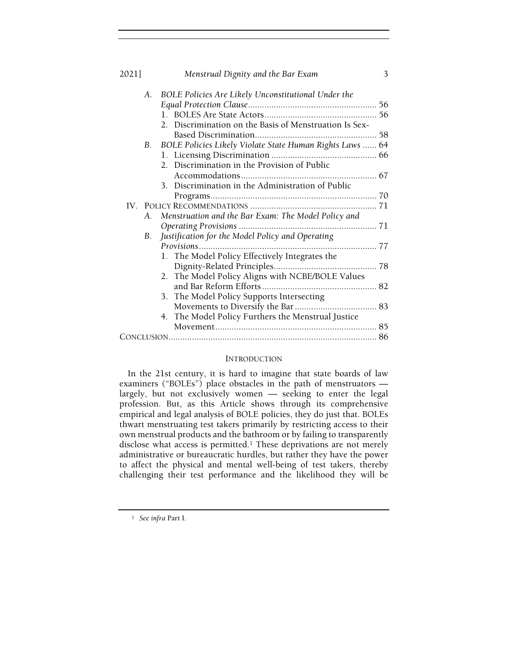| 2021]     | Menstrual Dignity and the Bar Exam                       | 3 |
|-----------|----------------------------------------------------------|---|
| A.        | BOLE Policies Are Likely Unconstitutional Under the      |   |
|           |                                                          |   |
|           |                                                          |   |
|           | 2. Discrimination on the Basis of Menstruation Is Sex-   |   |
|           |                                                          |   |
| <b>B.</b> | BOLE Policies Likely Violate State Human Rights Laws  64 |   |
|           |                                                          |   |
|           | 2. Discrimination in the Provision of Public             |   |
|           |                                                          |   |
|           | 3. Discrimination in the Administration of Public        |   |
|           |                                                          |   |
|           |                                                          |   |
| A.        | Menstruation and the Bar Exam: The Model Policy and      |   |
|           |                                                          |   |
| В.        | Justification for the Model Policy and Operating         |   |
|           | <i>Provisions</i>                                        |   |
|           | 1. The Model Policy Effectively Integrates the           |   |
|           |                                                          |   |
|           | The Model Policy Aligns with NCBE/BOLE Values<br>2.      |   |
|           |                                                          |   |
|           | 3. The Model Policy Supports Intersecting                |   |
|           |                                                          |   |
|           | 4. The Model Policy Furthers the Menstrual Justice       |   |
|           |                                                          |   |
|           |                                                          |   |

# INTRODUCTION

In the 21st century, it is hard to imagine that state boards of law examiners ("BOLEs") place obstacles in the path of menstruators largely, but not exclusively women — seeking to enter the legal profession. But, as this Article shows through its comprehensive empirical and legal analysis of BOLE policies, they do just that. BOLEs thwart menstruating test takers primarily by restricting access to their own menstrual products and the bathroom or by failing to transparently disclose what access is permitted.<sup>1</sup> These deprivations are not merely administrative or bureaucratic hurdles, but rather they have the power to affect the physical and mental well-being of test takers, thereby challenging their test performance and the likelihood they will be

<sup>1</sup> See infra Part I.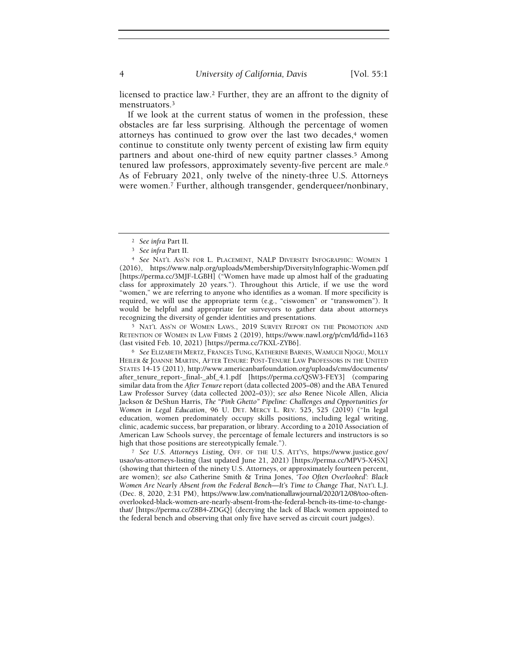licensed to practice law.2 Further, they are an affront to the dignity of menstruators.<sup>3</sup>

If we look at the current status of women in the profession, these obstacles are far less surprising. Although the percentage of women attorneys has continued to grow over the last two decades,<sup>4</sup> women continue to constitute only twenty percent of existing law firm equity partners and about one-third of new equity partner classes.<sup>5</sup> Among tenured law professors, approximately seventy-five percent are male.<sup>6</sup> As of February 2021, only twelve of the ninety-three U.S. Attorneys were women.7 Further, although transgender, genderqueer/nonbinary,

<sup>5</sup> NAT'L ASS'N OF WOMEN LAWS., 2019 SURVEY REPORT ON THE PROMOTION AND RETENTION OF WOMEN IN LAW FIRMS 2 (2019), https://www.nawl.org/p/cm/ld/fid=1163 (last visited Feb. 10, 2021) [https://perma.cc/7KXL-ZYB6].

<sup>6</sup> See ELIZABETH MERTZ, FRANCES TUNG, KATHERINE BARNES, WAMUCII NJOGU, MOLLY HEILER & JOANNE MARTIN, AFTER TENURE: POST-TENURE LAW PROFESSORS IN THE UNITED STATES 14-15 (2011), http://www.americanbarfoundation.org/uploads/cms/documents/ after\_tenure\_report-\_final-\_abf\_4.1.pdf [https://perma.cc/QSW3-FEY3] (comparing similar data from the After Tenure report (data collected 2005–08) and the ABA Tenured Law Professor Survey (data collected 2002–03)); see also Renee Nicole Allen, Alicia Jackson & DeShun Harris, The "Pink Ghetto" Pipeline: Challenges and Opportunities for Women in Legal Education, 96 U. DET. MERCY L. REV. 525, 525 (2019) ("In legal education, women predominately occupy skills positions, including legal writing, clinic, academic success, bar preparation, or library. According to a 2010 Association of American Law Schools survey, the percentage of female lecturers and instructors is so high that those positions are stereotypically female.").

<sup>7</sup> See U.S. Attorneys Listing, OFF. OF THE U.S. ATT'YS, https://www.justice.gov/ usao/us-attorneys-listing (last updated June 21, 2021) [https://perma.cc/MPV5-X4SX] (showing that thirteen of the ninety U.S. Attorneys, or approximately fourteen percent, are women); see also Catherine Smith & Trina Jones, 'Too Often Overlooked': Black Women Are Nearly Absent from the Federal Bench—It's Time to Change That, NAT'L L.J. (Dec. 8, 2020, 2:31 PM), https://www.law.com/nationallawjournal/2020/12/08/too-oftenoverlooked-black-women-are-nearly-absent-from-the-federal-bench-its-time-to-changethat/ [https://perma.cc/Z8B4-ZDGQ] (decrying the lack of Black women appointed to the federal bench and observing that only five have served as circuit court judges).

<sup>2</sup> See infra Part II.

<sup>3</sup> See infra Part II.

<sup>4</sup> See NAT'L ASS'N FOR L. PLACEMENT, NALP DIVERSITY INFOGRAPHIC: WOMEN 1 (2016), https://www.nalp.org/uploads/Membership/DiversityInfographic-Women.pdf [https://perma.cc/3MJF-LGBH] ("Women have made up almost half of the graduating class for approximately 20 years."). Throughout this Article, if we use the word "women," we are referring to anyone who identifies as a woman. If more specificity is required, we will use the appropriate term (e.g., "ciswomen" or "transwomen"). It would be helpful and appropriate for surveyors to gather data about attorneys recognizing the diversity of gender identities and presentations.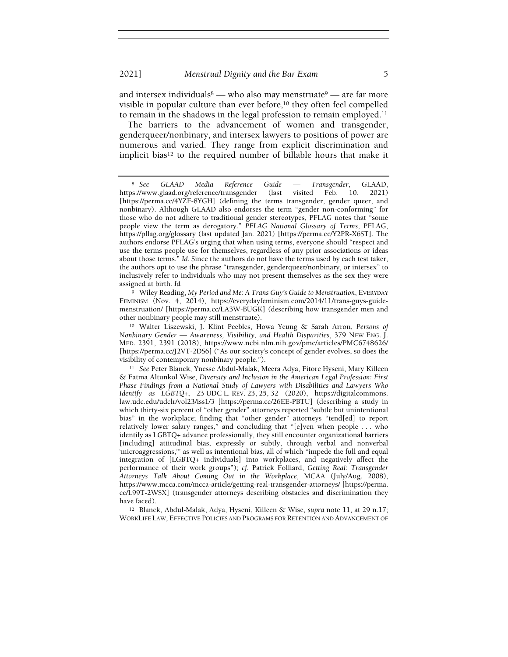and intersex individuals  $\overset{8}{-}$  who also may menstruate  $\overset{9}{-}$  are far more visible in popular culture than ever before,<sup>10</sup> they often feel compelled to remain in the shadows in the legal profession to remain employed.<sup>11</sup>

The barriers to the advancement of women and transgender, genderqueer/nonbinary, and intersex lawyers to positions of power are numerous and varied. They range from explicit discrimination and implicit bias<sup>12</sup> to the required number of billable hours that make it

<sup>9</sup> Wiley Reading, My Period and Me: A Trans Guy's Guide to Menstruation, EVERYDAY FEMINISM (Nov. 4, 2014), https://everydayfeminism.com/2014/11/trans-guys-guidemenstruation/ [https://perma.cc/LA3W-BUGK] (describing how transgender men and other nonbinary people may still menstruate).

<sup>12</sup> Blanck, Abdul-Malak, Adya, Hyseni, Killeen & Wise, supra note 11, at 29 n.17; WORKLIFE LAW, EFFECTIVE POLICIES AND PROGRAMS FOR RETENTION AND ADVANCEMENT OF

<sup>8</sup> See GLAAD Media Reference Guide — Transgender, GLAAD, https://www.glaad.org/reference/transgender (last visited Feb. 10, 2021) [https://perma.cc/4YZF-8YGH] (defining the terms transgender, gender queer, and nonbinary). Although GLAAD also endorses the term "gender non-conforming" for those who do not adhere to traditional gender stereotypes, PFLAG notes that "some people view the term as derogatory." PFLAG National Glossary of Terms, PFLAG, https://pflag.org/glossary (last updated Jan. 2021) [https://perma.cc/Y2PR-X6ST]. The authors endorse PFLAG's urging that when using terms, everyone should "respect and use the terms people use for themselves, regardless of any prior associations or ideas about those terms." Id. Since the authors do not have the terms used by each test taker, the authors opt to use the phrase "transgender, genderqueer/nonbinary, or intersex" to inclusively refer to individuals who may not present themselves as the sex they were assigned at birth. Id.

<sup>10</sup> Walter Liszewski, J. Klint Peebles, Howa Yeung & Sarah Arron, Persons of Nonbinary Gender — Awareness, Visibility, and Health Disparities, 379 NEW ENG. J. MED. 2391, 2391 (2018), https://www.ncbi.nlm.nih.gov/pmc/articles/PMC6748626/ [https://perma.cc/J2VT-2DS6] ("As our society's concept of gender evolves, so does the visibility of contemporary nonbinary people.").

<sup>11</sup> See Peter Blanck, Ynesse Abdul-Malak, Meera Adya, Fitore Hyseni, Mary Killeen & Fatma Altunkol Wise, Diversity and Inclusion in the American Legal Profession: First Phase Findings from a National Study of Lawyers with Disabilities and Lawyers Who Identify as  $LGBTQ_{+}$ , 23 UDC L. REV. 23, 25, 32 (2020), https://digitalcommons. law.udc.edu/udclr/vol23/iss1/3 [https://perma.cc/26EE-PBTU] (describing a study in which thirty-six percent of "other gender" attorneys reported "subtle but unintentional bias" in the workplace; finding that "other gender" attorneys "tend[ed] to report relatively lower salary ranges," and concluding that "[e]ven when people . . . who identify as LGBTQ+ advance professionally, they still encounter organizational barriers [including] attitudinal bias, expressly or subtly, through verbal and nonverbal 'microaggressions,'" as well as intentional bias, all of which "impede the full and equal integration of [LGBTQ+ individuals] into workplaces, and negatively affect the performance of their work groups"); cf. Patrick Folliard, Getting Real: Transgender Attorneys Talk About Coming Out in the Workplace, MCAA (July/Aug. 2008), https://www.mcca.com/mcca-article/getting-real-transgender-attorneys/ [https://perma. cc/L99T-2WSX] (transgender attorneys describing obstacles and discrimination they have faced).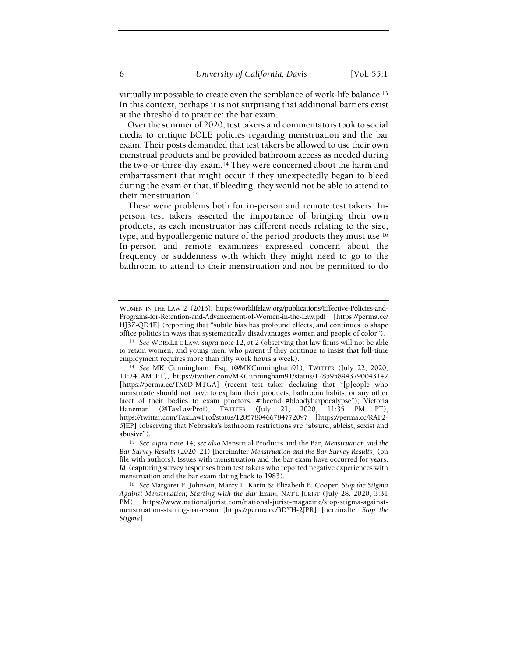virtually impossible to create even the semblance of work-life balance.<sup>13</sup> In this context, perhaps it is not surprising that additional barriers exist at the threshold to practice: the bar exam.

Over the summer of 2020, test takers and commentators took to social media to critique BOLE policies regarding menstruation and the bar exam. Their posts demanded that test takers be allowed to use their own menstrual products and be provided bathroom access as needed during the two-or-three-day exam.14 They were concerned about the harm and embarrassment that might occur if they unexpectedly began to bleed during the exam or that, if bleeding, they would not be able to attend to their menstruation.<sup>15</sup>

These were problems both for in-person and remote test takers. Inperson test takers asserted the importance of bringing their own products, as each menstruator has different needs relating to the size, type, and hypoallergenic nature of the period products they must use.<sup>16</sup> In-person and remote examinees expressed concern about the frequency or suddenness with which they might need to go to the bathroom to attend to their menstruation and not be permitted to do

WOMEN IN THE LAW 2 (2013), https://worklifelaw.org/publications/Effective-Policies-and-Programs-for-Retention-and-Advancement-of-Women-in-the-Law.pdf [https://perma.cc/ HJ3Z-QD4E] (reporting that "subtle bias has profound effects, and continues to shape office politics in ways that systematically disadvantages women and people of color").

<sup>13</sup> See WORKLIFE LAW, supra note 12, at 2 (observing that law firms will not be able to retain women, and young men, who parent if they continue to insist that full-time employment requires more than fifty work hours a week).

<sup>14</sup> See MK Cunningham, Esq. (@MKCunningham91), TWITTER (July 22, 2020, 11:24 AM PT), https://twitter.com/MKCunningham91/status/1285958943790043142 [https://perma.cc/TX6D-MTGA] (recent test taker declaring that "[p]eople who menstruate should not have to explain their products, bathroom habits, or any other facet of their bodies to exam proctors. #theend #bloodybarpocalypse"); Victoria Haneman (@TaxLawProf), TWITTER (July 21, 2020, 11:35 PM PT), https://twitter.com/TaxLawProf/status/1285780466784772097 [https://perma.cc/RAP2- 6JEP] (observing that Nebraska's bathroom restrictions are "absurd, ableist, sexist and abusive").

<sup>&</sup>lt;sup>15</sup> See supra note 14; see also Menstrual Products and the Bar, Menstruation and the Bar Survey Results (2020–21) [hereinafter Menstruation and the Bar Survey Results] (on file with authors). Issues with menstruation and the bar exam have occurred for years. Id. (capturing survey responses from test takers who reported negative experiences with menstruation and the bar exam dating back to 1983).

<sup>16</sup> See Margaret E. Johnson, Marcy L. Karin & Elizabeth B. Cooper, Stop the Stigma Against Menstruation; Starting with the Bar Exam, NAT'L JURIST (July 28, 2020, 3:31 PM), https://www.nationaljurist.com/national-jurist-magazine/stop-stigma-againstmenstruation-starting-bar-exam [https://perma.cc/3DYH-2JPR] [hereinafter Stop the Stigma].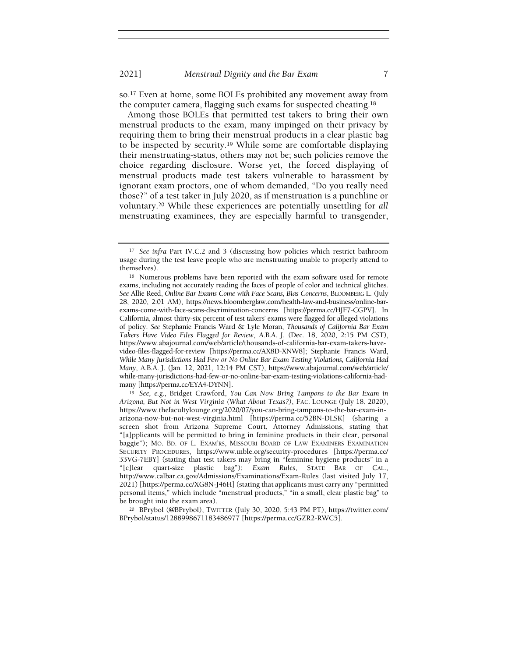so.17 Even at home, some BOLEs prohibited any movement away from the computer camera, flagging such exams for suspected cheating.<sup>18</sup>

Among those BOLEs that permitted test takers to bring their own menstrual products to the exam, many impinged on their privacy by requiring them to bring their menstrual products in a clear plastic bag to be inspected by security.19 While some are comfortable displaying their menstruating-status, others may not be; such policies remove the choice regarding disclosure. Worse yet, the forced displaying of menstrual products made test takers vulnerable to harassment by ignorant exam proctors, one of whom demanded, "Do you really need those?" of a test taker in July 2020, as if menstruation is a punchline or voluntary.20 While these experiences are potentially unsettling for all menstruating examinees, they are especially harmful to transgender,

<sup>&</sup>lt;sup>17</sup> See infra Part IV.C.2 and 3 (discussing how policies which restrict bathroom usage during the test leave people who are menstruating unable to properly attend to themselves).

<sup>18</sup> Numerous problems have been reported with the exam software used for remote exams, including not accurately reading the faces of people of color and technical glitches. See Allie Reed, Online Bar Exams Come with Face Scans, Bias Concerns, BLOOMBERG L. (July 28, 2020, 2:01 AM), https://news.bloomberglaw.com/health-law-and-business/online-barexams-come-with-face-scans-discrimination-concerns [https://perma.cc/HJF7-CGPV]. In California, almost thirty-six percent of test takers' exams were flagged for alleged violations of policy. See Stephanie Francis Ward & Lyle Moran, Thousands of California Bar Exam Takers Have Video Files Flagged for Review, A.B.A. J. (Dec. 18, 2020, 2:15 PM CST), https://www.abajournal.com/web/article/thousands-of-california-bar-exam-takers-havevideo-files-flagged-for-review [https://perma.cc/AX8D-XNW8]; Stephanie Francis Ward, While Many Jurisdictions Had Few or No Online Bar Exam Testing Violations, California Had Many, A.B.A. J. (Jan. 12, 2021, 12:14 PM CST), https://www.abajournal.com/web/article/ while-many-jurisdictions-had-few-or-no-online-bar-exam-testing-violations-california-hadmany [https://perma.cc/EYA4-DYNN].

<sup>19</sup> See, e.g., Bridget Crawford, You Can Now Bring Tampons to the Bar Exam in Arizona, But Not in West Virginia (What About Texas?), FAC. LOUNGE (July 18, 2020), https://www.thefacultylounge.org/2020/07/you-can-bring-tampons-to-the-bar-exam-inarizona-now-but-not-west-virginia.html [https://perma.cc/52BN-DLSK] (sharing a screen shot from Arizona Supreme Court, Attorney Admissions, stating that "[a]pplicants will be permitted to bring in feminine products in their clear, personal baggie"); MO. BD. OF L. EXAM'RS, MISSOURI BOARD OF LAW EXAMINERS EXAMINATION SECURITY PROCEDURES, https://www.mble.org/security-procedures [https://perma.cc/ 33VG-7EBY] (stating that test takers may bring in "feminine hygiene products" in a "[c]lear quart-size plastic bag"); Exam Rules, STATE BAR OF CAL., http://www.calbar.ca.gov/Admissions/Examinations/Exam-Rules (last visited July 17, 2021) [https://perma.cc/XG8N-J46H] (stating that applicants must carry any "permitted personal items," which include "menstrual products," "in a small, clear plastic bag" to be brought into the exam area).

<sup>20</sup> BPrybol (@BPrybol), TWITTER (July 30, 2020, 5:43 PM PT), https://twitter.com/ BPrybol/status/1288998671183486977 [https://perma.cc/GZR2-RWC5].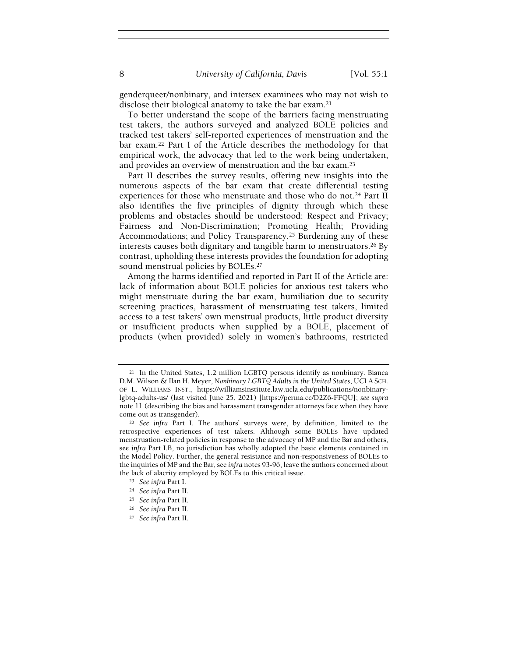genderqueer/nonbinary, and intersex examinees who may not wish to disclose their biological anatomy to take the bar exam.<sup>21</sup>

To better understand the scope of the barriers facing menstruating test takers, the authors surveyed and analyzed BOLE policies and tracked test takers' self-reported experiences of menstruation and the bar exam.22 Part I of the Article describes the methodology for that empirical work, the advocacy that led to the work being undertaken, and provides an overview of menstruation and the bar exam.<sup>23</sup>

Part II describes the survey results, offering new insights into the numerous aspects of the bar exam that create differential testing experiences for those who menstruate and those who do not.<sup>24</sup> Part II also identifies the five principles of dignity through which these problems and obstacles should be understood: Respect and Privacy; Fairness and Non-Discrimination; Promoting Health; Providing Accommodations; and Policy Transparency.25 Burdening any of these interests causes both dignitary and tangible harm to menstruators.26 By contrast, upholding these interests provides the foundation for adopting sound menstrual policies by BOLEs.<sup>27</sup>

Among the harms identified and reported in Part II of the Article are: lack of information about BOLE policies for anxious test takers who might menstruate during the bar exam, humiliation due to security screening practices, harassment of menstruating test takers, limited access to a test takers' own menstrual products, little product diversity or insufficient products when supplied by a BOLE, placement of products (when provided) solely in women's bathrooms, restricted

<sup>21</sup> In the United States, 1.2 million LGBTQ persons identify as nonbinary. Bianca D.M. Wilson & Ilan H. Meyer, Nonbinary LGBTQ Adults in the United States, UCLA SCH. OF L. WILLIAMS INST., https://williamsinstitute.law.ucla.edu/publications/nonbinarylgbtq-adults-us/ (last visited June 25, 2021) [https://perma.cc/D2Z6-FFQU]; see supra note 11 (describing the bias and harassment transgender attorneys face when they have come out as transgender).

<sup>&</sup>lt;sup>22</sup> See infra Part I. The authors' surveys were, by definition, limited to the retrospective experiences of test takers. Although some BOLEs have updated menstruation-related policies in response to the advocacy of MP and the Bar and others, see infra Part I.B, no jurisdiction has wholly adopted the basic elements contained in the Model Policy. Further, the general resistance and non-responsiveness of BOLEs to the inquiries of MP and the Bar, see infra notes 93-96, leave the authors concerned about the lack of alacrity employed by BOLEs to this critical issue.

<sup>23</sup> See infra Part I.

<sup>24</sup> See infra Part II.

<sup>25</sup> See infra Part II.

<sup>26</sup> See infra Part II.

<sup>27</sup> See infra Part II.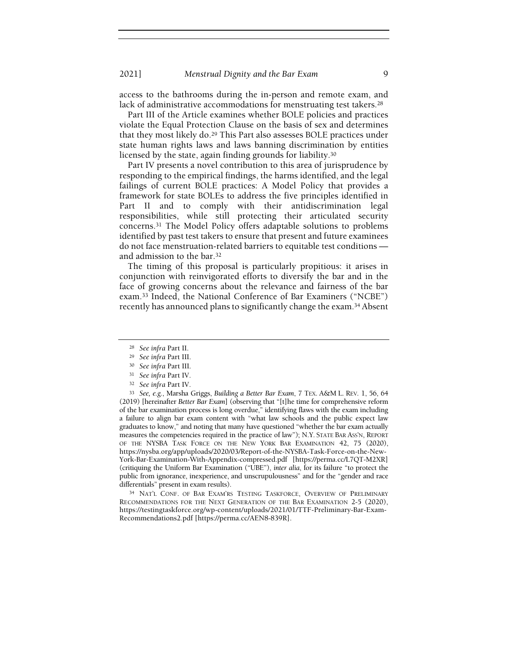access to the bathrooms during the in-person and remote exam, and lack of administrative accommodations for menstruating test takers.<sup>28</sup>

Part III of the Article examines whether BOLE policies and practices violate the Equal Protection Clause on the basis of sex and determines that they most likely do.29 This Part also assesses BOLE practices under state human rights laws and laws banning discrimination by entities licensed by the state, again finding grounds for liability.<sup>30</sup>

Part IV presents a novel contribution to this area of jurisprudence by responding to the empirical findings, the harms identified, and the legal failings of current BOLE practices: A Model Policy that provides a framework for state BOLEs to address the five principles identified in Part II and to comply with their antidiscrimination legal responsibilities, while still protecting their articulated security concerns.31 The Model Policy offers adaptable solutions to problems identified by past test takers to ensure that present and future examinees do not face menstruation-related barriers to equitable test conditions and admission to the bar.<sup>32</sup>

The timing of this proposal is particularly propitious: it arises in conjunction with reinvigorated efforts to diversify the bar and in the face of growing concerns about the relevance and fairness of the bar exam.33 Indeed, the National Conference of Bar Examiners ("NCBE") recently has announced plans to significantly change the exam.34 Absent

<sup>33</sup> See, e.g., Marsha Griggs, Building a Better Bar Exam, 7 TEX. A&M L. REV. 1, 56, 64 (2019) [hereinafter Better Bar Exam] (observing that "[t]he time for comprehensive reform of the bar examination process is long overdue," identifying flaws with the exam including a failure to align bar exam content with "what law schools and the public expect law graduates to know," and noting that many have questioned "whether the bar exam actually measures the competencies required in the practice of law"); N.Y. STATE BAR ASS'N, REPORT OF THE NYSBA TASK FORCE ON THE NEW YORK BAR EXAMINATION 42, 75 (2020), https://nysba.org/app/uploads/2020/03/Report-of-the-NYSBA-Task-Force-on-the-New-York-Bar-Examination-With-Appendix-compressed.pdf [https://perma.cc/L7QT-M2XR] (critiquing the Uniform Bar Examination ("UBE"), inter alia, for its failure "to protect the public from ignorance, inexperience, and unscrupulousness" and for the "gender and race differentials" present in exam results).

<sup>34</sup> NAT'L CONF. OF BAR EXAM'RS TESTING TASKFORCE, OVERVIEW OF PRELIMINARY RECOMMENDATIONS FOR THE NEXT GENERATION OF THE BAR EXAMINATION 2-5 (2020), https://testingtaskforce.org/wp-content/uploads/2021/01/TTF-Preliminary-Bar-Exam-Recommendations2.pdf [https://perma.cc/AEN8-839R].

<sup>28</sup> See infra Part II.

<sup>29</sup> See infra Part III.

<sup>30</sup> See infra Part III.

<sup>31</sup> See infra Part IV.

<sup>32</sup> See infra Part IV.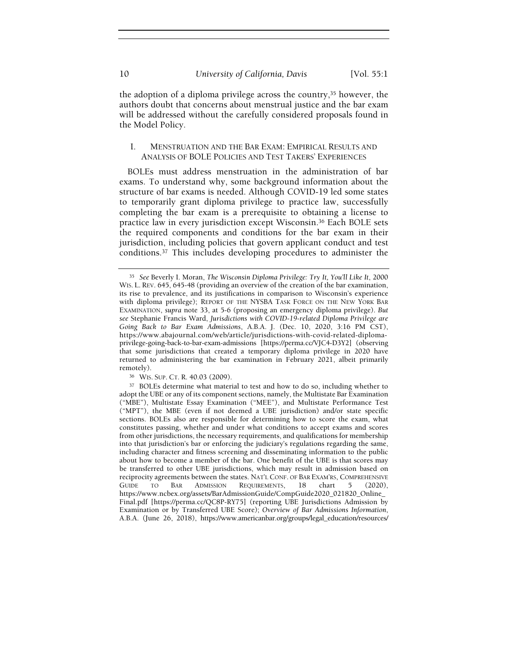the adoption of a diploma privilege across the country,35 however, the authors doubt that concerns about menstrual justice and the bar exam will be addressed without the carefully considered proposals found in the Model Policy.

# I. MENSTRUATION AND THE BAR EXAM: EMPIRICAL RESULTS AND ANALYSIS OF BOLE POLICIES AND TEST TAKERS' EXPERIENCES

BOLEs must address menstruation in the administration of bar exams. To understand why, some background information about the structure of bar exams is needed. Although COVID-19 led some states to temporarily grant diploma privilege to practice law, successfully completing the bar exam is a prerequisite to obtaining a license to practice law in every jurisdiction except Wisconsin.36 Each BOLE sets the required components and conditions for the bar exam in their jurisdiction, including policies that govern applicant conduct and test conditions.37 This includes developing procedures to administer the

<sup>35</sup> See Beverly I. Moran, The Wisconsin Diploma Privilege: Try It, You'll Like It, 2000 WIS. L. REV. 645, 645-48 (providing an overview of the creation of the bar examination, its rise to prevalence, and its justifications in comparison to Wisconsin's experience with diploma privilege); REPORT OF THE NYSBA TASK FORCE ON THE NEW YORK BAR EXAMINATION, supra note 33, at 5-6 (proposing an emergency diploma privilege). But see Stephanie Francis Ward, Jurisdictions with COVID-19-related Diploma Privilege are Going Back to Bar Exam Admissions, A.B.A. J. (Dec. 10, 2020, 3:16 PM CST), https://www.abajournal.com/web/article/jurisdictions-with-covid-related-diplomaprivilege-going-back-to-bar-exam-admissions [https://perma.cc/VJC4-D3Y2] (observing that some jurisdictions that created a temporary diploma privilege in 2020 have returned to administering the bar examination in February 2021, albeit primarily remotely).

<sup>36</sup> WIS. SUP. CT. R. 40.03 (2009).

<sup>37</sup> BOLEs determine what material to test and how to do so, including whether to adopt the UBE or any of its component sections, namely, the Multistate Bar Examination ("MBE"), Multistate Essay Examination ("MEE"), and Multistate Performance Test ("MPT"), the MBE (even if not deemed a UBE jurisdiction) and/or state specific sections. BOLEs also are responsible for determining how to score the exam, what constitutes passing, whether and under what conditions to accept exams and scores from other jurisdictions, the necessary requirements, and qualifications for membership into that jurisdiction's bar or enforcing the judiciary's regulations regarding the same, including character and fitness screening and disseminating information to the public about how to become a member of the bar. One benefit of the UBE is that scores may be transferred to other UBE jurisdictions, which may result in admission based on reciprocity agreements between the states. NAT'L CONF. OF BAR EXAM'RS, COMPREHENSIVE GUIDE TO BAR ADMISSION REQUIREMENTS, 18 chart 5 (2020), https://www.ncbex.org/assets/BarAdmissionGuide/CompGuide2020\_021820\_Online\_ Final.pdf [https://perma.cc/QC8P-RY75] (reporting UBE Jurisdictions Admission by Examination or by Transferred UBE Score); Overview of Bar Admissions Information, A.B.A. (June 26, 2018), https://www.americanbar.org/groups/legal\_education/resources/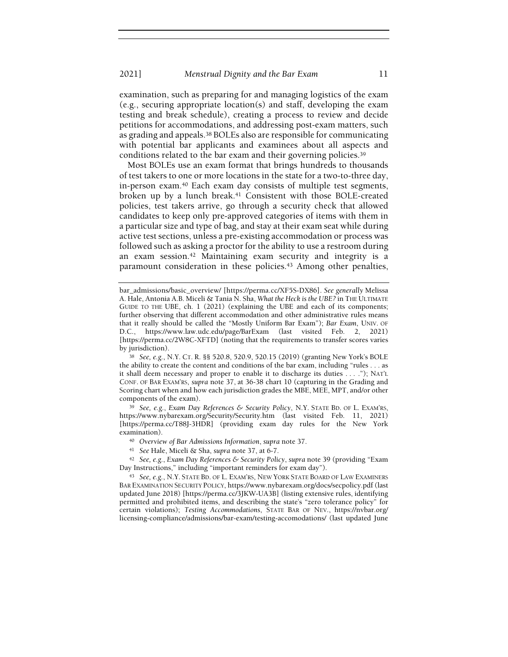examination, such as preparing for and managing logistics of the exam (e.g., securing appropriate location(s) and staff, developing the exam testing and break schedule), creating a process to review and decide petitions for accommodations, and addressing post-exam matters, such as grading and appeals.38 BOLEs also are responsible for communicating with potential bar applicants and examinees about all aspects and conditions related to the bar exam and their governing policies.<sup>39</sup>

Most BOLEs use an exam format that brings hundreds to thousands of test takers to one or more locations in the state for a two-to-three day, in-person exam.40 Each exam day consists of multiple test segments, broken up by a lunch break.<sup>41</sup> Consistent with those BOLE-created policies, test takers arrive, go through a security check that allowed candidates to keep only pre-approved categories of items with them in a particular size and type of bag, and stay at their exam seat while during active test sections, unless a pre-existing accommodation or process was followed such as asking a proctor for the ability to use a restroom during an exam session.42 Maintaining exam security and integrity is a paramount consideration in these policies.<sup>43</sup> Among other penalties,

39 See, e.g., Exam Day References & Security Policy, N.Y. STATE BD. OF L. EXAM'RS, https://www.nybarexam.org/Security/Security.htm (last visited Feb. 11, 2021) [https://perma.cc/T88J-3HDR] (providing exam day rules for the New York examination).

- <sup>40</sup> Overview of Bar Admissions Information, supra note 37.
- <sup>41</sup> See Hale, Miceli & Sha, supra note 37, at 6-7.

42 See, e.g., Exam Day References & Security Policy, supra note 39 (providing "Exam Day Instructions," including "important reminders for exam day").

<sup>43</sup> See, e.g., N.Y. STATE BD. OF L. EXAM'RS, NEW YORK STATE BOARD OF LAW EXAMINERS BAR EXAMINATION SECURITY POLICY, https://www.nybarexam.org/docs/secpolicy.pdf (last updated June 2018) [https://perma.cc/3JKW-UA3B] (listing extensive rules, identifying permitted and prohibited items, and describing the state's "zero tolerance policy" for certain violations); Testing Accommodations, STATE BAR OF NEV., https://nvbar.org/ licensing-compliance/admissions/bar-exam/testing-accomodations/ (last updated June

bar\_admissions/basic\_overview/ [https://perma.cc/XF5S-DX86]. See generally Melissa A. Hale, Antonia A.B. Miceli & Tania N. Sha, What the Heck is the UBE? in THE ULTIMATE GUIDE TO THE UBE, ch. 1 (2021) (explaining the UBE and each of its components; further observing that different accommodation and other administrative rules means that it really should be called the "Mostly Uniform Bar Exam"); Bar Exam, UNIV. OF D.C., https://www.law.udc.edu/page/BarExam (last visited Feb. 2, 2021) [https://perma.cc/2W8C-XFTD] (noting that the requirements to transfer scores varies by jurisdiction).

<sup>38</sup> See, e.g., N.Y. CT. R. §§ 520.8, 520.9, 520.15 (2019) (granting New York's BOLE the ability to create the content and conditions of the bar exam, including "rules . . . as it shall deem necessary and proper to enable it to discharge its duties . . . ."); NAT'L CONF. OF BAR EXAM'RS, supra note 37, at 36-38 chart 10 (capturing in the Grading and Scoring chart when and how each jurisdiction grades the MBE, MEE, MPT, and/or other components of the exam).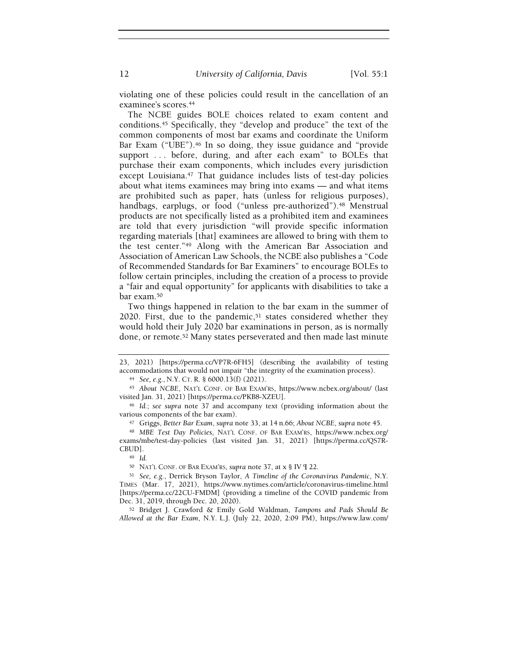12 University of California, Davis [Vol. 55:1]

violating one of these policies could result in the cancellation of an examinee's scores.<sup>44</sup>

The NCBE guides BOLE choices related to exam content and conditions.45 Specifically, they "develop and produce" the text of the common components of most bar exams and coordinate the Uniform Bar Exam ("UBE").<sup>46</sup> In so doing, they issue guidance and "provide support ... before, during, and after each exam" to BOLEs that purchase their exam components, which includes every jurisdiction except Louisiana.<sup>47</sup> That guidance includes lists of test-day policies about what items examinees may bring into exams — and what items are prohibited such as paper, hats (unless for religious purposes), handbags, earplugs, or food ("unless pre-authorized").<sup>48</sup> Menstrual products are not specifically listed as a prohibited item and examinees are told that every jurisdiction "will provide specific information regarding materials [that] examinees are allowed to bring with them to the test center."49 Along with the American Bar Association and Association of American Law Schools, the NCBE also publishes a "Code of Recommended Standards for Bar Examiners" to encourage BOLEs to follow certain principles, including the creation of a process to provide a "fair and equal opportunity" for applicants with disabilities to take a bar exam.<sup>50</sup>

Two things happened in relation to the bar exam in the summer of  $2020$ . First, due to the pandemic,<sup>51</sup> states considered whether they would hold their July 2020 bar examinations in person, as is normally done, or remote.52 Many states perseverated and then made last minute

<sup>45</sup> About NCBE, NAT'L CONF. OF BAR EXAM'RS, https://www.ncbex.org/about/ (last visited Jan. 31, 2021) [https://perma.cc/PKB8-XZEU].

<sup>46</sup> Id.; see supra note 37 and accompany text (providing information about the various components of the bar exam).

<sup>47</sup> Griggs, Better Bar Exam, supra note 33, at 14 n.66; About NCBE, supra note 45.

<sup>48</sup> MBE Test Day Policies, NAT'L CONF. OF BAR EXAM'RS, https://www.ncbex.org/ exams/mbe/test-day-policies (last visited Jan. 31, 2021) [https://perma.cc/QS7R-CBUD].

<sup>49</sup> Id.

<sup>50</sup> NAT'L CONF. OF BAR EXAM'RS, supra note 37, at x § IV ¶ 22.

<sup>51</sup> See, e.g., Derrick Bryson Taylor, A Timeline of the Coronavirus Pandemic, N.Y. TIMES (Mar. 17, 2021), https://www.nytimes.com/article/coronavirus-timeline.html [https://perma.cc/22CU-FMDM] (providing a timeline of the COVID pandemic from Dec. 31, 2019, through Dec. 20, 2020).

<sup>52</sup> Bridget J. Crawford & Emily Gold Waldman, Tampons and Pads Should Be Allowed at the Bar Exam, N.Y. L.J. (July 22, 2020, 2:09 PM), https://www.law.com/

<sup>23, 2021) [</sup>https://perma.cc/VP7R-6FH5] (describing the availability of testing accommodations that would not impair "the integrity of the examination process).

<sup>44</sup> See, e.g., N.Y. CT. R. § 6000.13(f) (2021).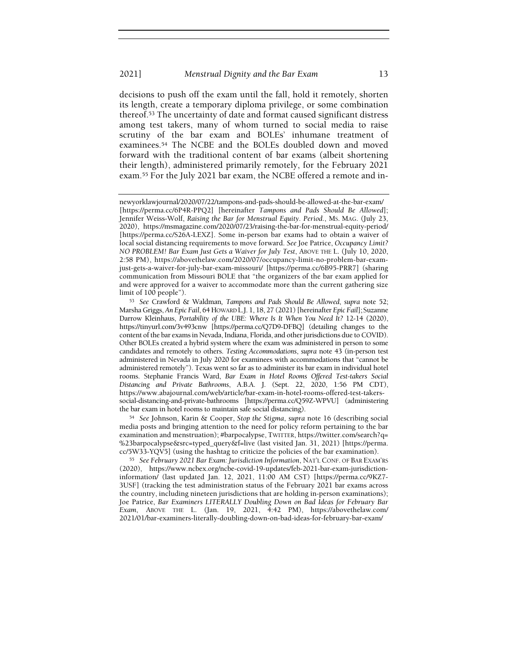## 2021] Menstrual Dignity and the Bar Exam 13

decisions to push off the exam until the fall, hold it remotely, shorten its length, create a temporary diploma privilege, or some combination thereof.53 The uncertainty of date and format caused significant distress among test takers, many of whom turned to social media to raise scrutiny of the bar exam and BOLEs' inhumane treatment of examinees.54 The NCBE and the BOLEs doubled down and moved forward with the traditional content of bar exams (albeit shortening their length), administered primarily remotely, for the February 2021 exam.55 For the July 2021 bar exam, the NCBE offered a remote and in-

<sup>54</sup> See Johnson, Karin & Cooper, Stop the Stigma, supra note 16 (describing social media posts and bringing attention to the need for policy reform pertaining to the bar examination and menstruation); #barpocalypse, TWITTER, https://twitter.com/search?q= %23barpocalypse&src=typed\_query&f=live (last visited Jan. 31, 2021) [https://perma. cc/5W33-YQV5] (using the hashtag to criticize the policies of the bar examination).

<sup>55</sup> See February 2021 Bar Exam: Jurisdiction Information, NAT'L CONF. OF BAR EXAM'RS (2020), https://www.ncbex.org/ncbe-covid-19-updates/feb-2021-bar-exam-jurisdictioninformation/ (last updated Jan. 12, 2021, 11:00 AM CST) [https://perma.cc/9KZ7- 3USF] (tracking the test administration status of the February 2021 bar exams across the country, including nineteen jurisdictions that are holding in-person examinations); Joe Patrice, Bar Examiners LITERALLY Doubling Down on Bad Ideas for February Bar Exam, ABOVE THE L. (Jan. 19, 2021, 4:42 PM), https://abovethelaw.com/ 2021/01/bar-examiners-literally-doubling-down-on-bad-ideas-for-february-bar-exam/

newyorklawjournal/2020/07/22/tampons-and-pads-should-be-allowed-at-the-bar-exam/ [https://perma.cc/6P4R-PPQ2] [hereinafter Tampons and Pads Should Be Allowed]; Jennifer Weiss-Wolf, Raising the Bar for Menstrual Equity. Period., MS. MAG. (July 23, 2020), https://msmagazine.com/2020/07/23/raising-the-bar-for-menstrual-equity-period/ [https://perma.cc/S26A-LEXZ]. Some in-person bar exams had to obtain a waiver of local social distancing requirements to move forward. See Joe Patrice, Occupancy Limit? NO PROBLEM! Bar Exam Just Gets a Waiver for July Test, ABOVE THE L. (July 10, 2020, 2:58 PM), https://abovethelaw.com/2020/07/occupancy-limit-no-problem-bar-examjust-gets-a-waiver-for-july-bar-exam-missouri/ [https://perma.cc/6B95-PRR7] (sharing communication from Missouri BOLE that "the organizers of the bar exam applied for and were approved for a waiver to accommodate more than the current gathering size limit of 100 people").

<sup>53</sup> See Crawford & Waldman, Tampons and Pads Should Be Allowed, supra note 52; Marsha Griggs, An Epic Fail, 64 HOWARD L.J. 1, 18, 27 (2021) [hereinafter Epic Fail]; Suzanne Darrow Kleinhaus, Portability of the UBE: Where Is It When You Need It? 12-14 (2020), https://tinyurl.com/3v493cnw [https://perma.cc/Q7D9-DFBQ] (detailing changes to the content of the bar exams in Nevada, Indiana, Florida, and other jurisdictions due to COVID). Other BOLEs created a hybrid system where the exam was administered in person to some candidates and remotely to others. Testing Accommodations, supra note 43 (in-person test administered in Nevada in July 2020 for examinees with accommodations that "cannot be administered remotely"). Texas went so far as to administer its bar exam in individual hotel rooms. Stephanie Francis Ward, Bar Exam in Hotel Rooms Offered Test-takers Social Distancing and Private Bathrooms, A.B.A. J. (Sept. 22, 2020, 1:56 PM CDT), https://www.abajournal.com/web/article/bar-exam-in-hotel-rooms-offered-test-takerssocial-distancing-and-private-bathrooms [https://perma.cc/Q59Z-WPVU] (administering the bar exam in hotel rooms to maintain safe social distancing).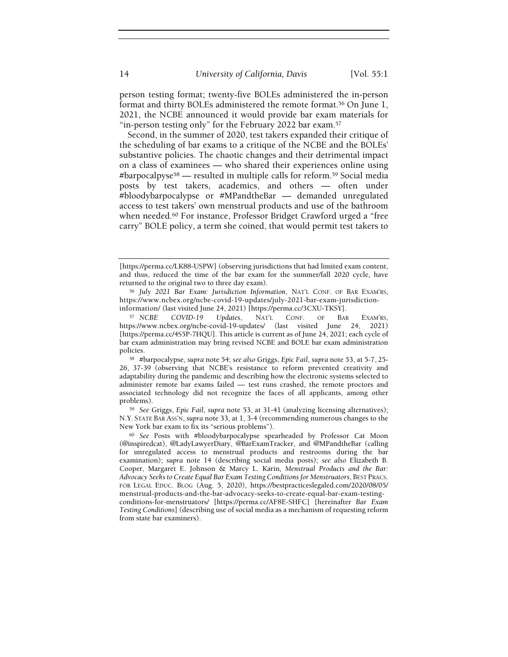person testing format; twenty-five BOLEs administered the in-person format and thirty BOLEs administered the remote format.56 On June 1, 2021, the NCBE announced it would provide bar exam materials for "in-person testing only" for the February 2022 bar exam.<sup>57</sup>

Second, in the summer of 2020, test takers expanded their critique of the scheduling of bar exams to a critique of the NCBE and the BOLEs' substantive policies. The chaotic changes and their detrimental impact on a class of examinees — who shared their experiences online using #barpocalpyse58 — resulted in multiple calls for reform.59 Social media posts by test takers, academics, and others — often under #bloodybarpocalypse or #MPandtheBar — demanded unregulated access to test takers' own menstrual products and use of the bathroom when needed.<sup>60</sup> For instance, Professor Bridget Crawford urged a "free carry" BOLE policy, a term she coined, that would permit test takers to

<sup>[</sup>https://perma.cc/LK88-USPW] (observing jurisdictions that had limited exam content, and thus, reduced the time of the bar exam for the summer/fall 2020 cycle, have returned to the original two to three day exam).

<sup>56</sup> July 2021 Bar Exam: Jurisdiction Information, NAT'L CONF. OF BAR EXAM'RS, https://www.ncbex.org/ncbe-covid-19-updates/july-2021-bar-exam-jurisdictioninformation/ (last visited June 24, 2021) [https://perma.cc/3CXU-TKSY].

<sup>57</sup> NCBE COVID-19 Updates, NAT'L CONF. OF BAR EXAM'RS, https://www.ncbex.org/ncbe-covid-19-updates/ (last visited June 24, 2021) [https://perma.cc/4S5P-7HQU]. This article is current as of June 24, 2021; each cycle of bar exam administration may bring revised NCBE and BOLE bar exam administration policies.

<sup>58</sup> #barpocalypse, supra note 54; see also Griggs, Epic Fail, supra note 53, at 5-7, 25- 26, 37-39 (observing that NCBE's resistance to reform prevented creativity and adaptability during the pandemic and describing how the electronic systems selected to administer remote bar exams failed — test runs crashed, the remote proctors and associated technology did not recognize the faces of all applicants, among other problems).

<sup>59</sup> See Griggs, Epic Fail, supra note 53, at 31-41 (analyzing licensing alternatives); N.Y. STATE BAR ASS'N, supra note 33, at 1, 3-4 (recommending numerous changes to the New York bar exam to fix its "serious problems").

<sup>60</sup> See Posts with #bloodybarpocalypse spearheaded by Professor Cat Moon (@inspiredcat), @LadyLawyerDiary, @BarExamTracker, and @MPandtheBar (calling for unregulated access to menstrual products and restrooms during the bar examination); supra note 14 (describing social media posts); see also Elizabeth B. Cooper, Margaret E. Johnson & Marcy L. Karin, Menstrual Products and the Bar: Advocacy Seeks to Create Equal Bar Exam Testing Conditions for Menstruators, BEST PRACS. FOR LEGAL EDUC. BLOG (Aug. 5, 2020), https://bestpracticeslegaled.com/2020/08/05/ menstrual-products-and-the-bar-advocacy-seeks-to-create-equal-bar-exam-testingconditions-for-menstruators/ [https://perma.cc/AF8E-SHFC] [hereinafter Bar Exam Testing Conditions] (describing use of social media as a mechanism of requesting reform from state bar examiners).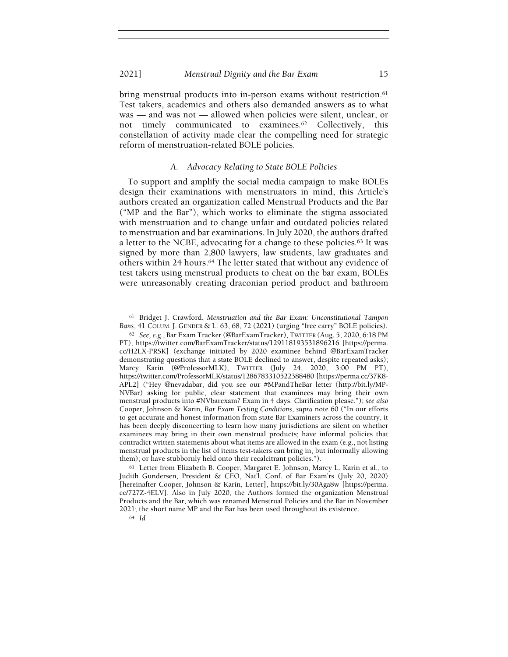bring menstrual products into in-person exams without restriction.<sup>61</sup> Test takers, academics and others also demanded answers as to what was — and was not — allowed when policies were silent, unclear, or not timely communicated to examinees.62 Collectively, this constellation of activity made clear the compelling need for strategic reform of menstruation-related BOLE policies.

# A. Advocacy Relating to State BOLE Policies

To support and amplify the social media campaign to make BOLEs design their examinations with menstruators in mind, this Article's authors created an organization called Menstrual Products and the Bar ("MP and the Bar"), which works to eliminate the stigma associated with menstruation and to change unfair and outdated policies related to menstruation and bar examinations. In July 2020, the authors drafted a letter to the NCBE, advocating for a change to these policies.63 It was signed by more than 2,800 lawyers, law students, law graduates and others within 24 hours.<sup>64</sup> The letter stated that without any evidence of test takers using menstrual products to cheat on the bar exam, BOLEs were unreasonably creating draconian period product and bathroom

<sup>61</sup> Bridget J. Crawford, Menstruation and the Bar Exam: Unconstitutional Tampon Bans, 41 COLUM. J. GENDER & L. 63, 68, 72 (2021) (urging "free carry" BOLE policies).

<sup>62</sup> See, e.g., Bar Exam Tracker (@BarExamTracker), TWITTER (Aug. 5, 2020, 6:18 PM PT), https://twitter.com/BarExamTracker/status/129118193531896216 [https://perma. cc/H2LX-PRSK] (exchange initiated by 2020 examinee behind @BarExamTracker demonstrating questions that a state BOLE declined to answer, despite repeated asks); Marcy Karin (@ProfessorMLK), TWITTER (July 24, 2020, 3:00 PM PT), https://twitter.com/ProfessorMLK/status/1286783310522388480 [https://perma.cc/37K8- APL2] ("Hey @nevadabar, did you see our #MPandTheBar letter (http://bit.ly/MP-NVBar) asking for public, clear statement that examinees may bring their own menstrual products into #NVbarexam? Exam in 4 days. Clarification please."); see also Cooper, Johnson & Karin, Bar Exam Testing Conditions, supra note 60 ("In our efforts to get accurate and honest information from state Bar Examiners across the country, it has been deeply disconcerting to learn how many jurisdictions are silent on whether examinees may bring in their own menstrual products; have informal policies that contradict written statements about what items are allowed in the exam (e.g., not listing menstrual products in the list of items test-takers can bring in, but informally allowing them); or have stubbornly held onto their recalcitrant policies.").

<sup>63</sup> Letter from Elizabeth B. Cooper, Margaret E. Johnson, Marcy L. Karin et al., to Judith Gundersen, President & CEO, Nat'l. Conf. of Bar Exam'rs (July 20, 2020) [hereinafter Cooper, Johnson & Karin, Letter], https://bit.ly/30Aga8w [https://perma. cc/727Z-4ELV]. Also in July 2020, the Authors formed the organization Menstrual Products and the Bar, which was renamed Menstrual Policies and the Bar in November 2021; the short name MP and the Bar has been used throughout its existence.

<sup>64</sup> Id.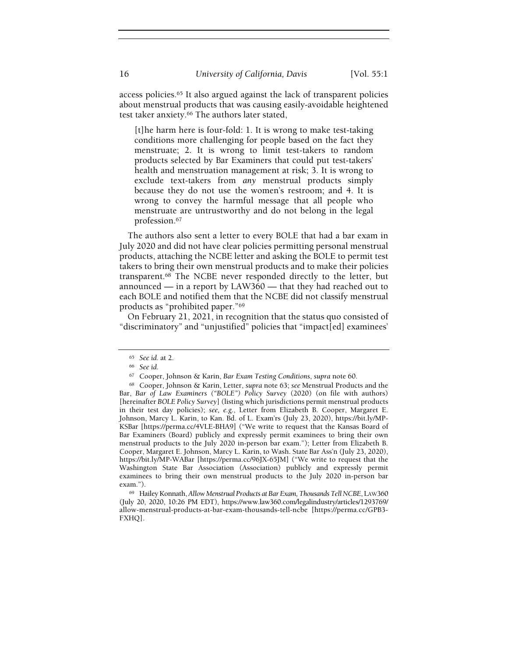access policies.65 It also argued against the lack of transparent policies about menstrual products that was causing easily-avoidable heightened test taker anxiety.66 The authors later stated,

[t]he harm here is four-fold: 1. It is wrong to make test-taking conditions more challenging for people based on the fact they menstruate; 2. It is wrong to limit test-takers to random products selected by Bar Examiners that could put test-takers' health and menstruation management at risk; 3. It is wrong to exclude text-takers from any menstrual products simply because they do not use the women's restroom; and 4. It is wrong to convey the harmful message that all people who menstruate are untrustworthy and do not belong in the legal profession.<sup>67</sup>

The authors also sent a letter to every BOLE that had a bar exam in July 2020 and did not have clear policies permitting personal menstrual products, attaching the NCBE letter and asking the BOLE to permit test takers to bring their own menstrual products and to make their policies transparent.68 The NCBE never responded directly to the letter, but announced — in a report by LAW360 — that they had reached out to each BOLE and notified them that the NCBE did not classify menstrual products as "prohibited paper."<sup>69</sup>

On February 21, 2021, in recognition that the status quo consisted of "discriminatory" and "unjustified" policies that "impact[ed] examinees'

<sup>69</sup> Hailey Konnath, Allow Menstrual Products at Bar Exam, Thousands Tell NCBE, LAW360 (July 20, 2020, 10:26 PM EDT), https://www.law360.com/legalindustry/articles/1293769/ allow-menstrual-products-at-bar-exam-thousands-tell-ncbe [https://perma.cc/GPB3- FXHQ].

<sup>65</sup> See id. at 2.

<sup>66</sup> See id.

<sup>67</sup> Cooper, Johnson & Karin, Bar Exam Testing Conditions, supra note 60.

<sup>68</sup> Cooper, Johnson & Karin, Letter, supra note 63; see Menstrual Products and the Bar, Bar of Law Examiners ("BOLE") Policy Survey (2020) (on file with authors) [hereinafter BOLE Policy Survey] (listing which jurisdictions permit menstrual products in their test day policies); see, e.g., Letter from Elizabeth B. Cooper, Margaret E. Johnson, Marcy L. Karin, to Kan. Bd. of L. Exam'rs (July 23, 2020), https://bit.ly/MP-KSBar [https://perma.cc/4VLE-BHA9] ("We write to request that the Kansas Board of Bar Examiners (Board) publicly and expressly permit examinees to bring their own menstrual products to the July 2020 in-person bar exam."); Letter from Elizabeth B. Cooper, Margaret E. Johnson, Marcy L. Karin, to Wash. State Bar Ass'n (July 23, 2020), https://bit.ly/MP-WABar [https://perma.cc/96JX-65JM] ("We write to request that the Washington State Bar Association (Association) publicly and expressly permit examinees to bring their own menstrual products to the July 2020 in-person bar exam.").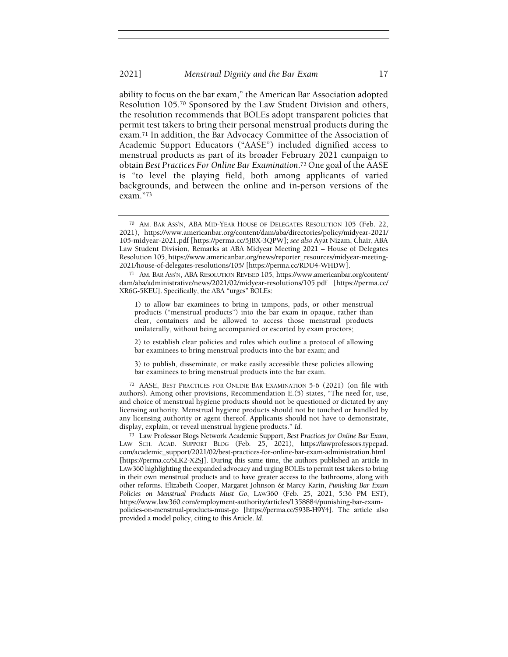ability to focus on the bar exam," the American Bar Association adopted Resolution 105.70 Sponsored by the Law Student Division and others, the resolution recommends that BOLEs adopt transparent policies that permit test takers to bring their personal menstrual products during the exam.71 In addition, the Bar Advocacy Committee of the Association of Academic Support Educators ("AASE") included dignified access to menstrual products as part of its broader February 2021 campaign to obtain Best Practices For Online Bar Examination.72 One goal of the AASE is "to level the playing field, both among applicants of varied backgrounds, and between the online and in-person versions of the exam."<sup>73</sup>

1) to allow bar examinees to bring in tampons, pads, or other menstrual products ("menstrual products") into the bar exam in opaque, rather than clear, containers and be allowed to access those menstrual products unilaterally, without being accompanied or escorted by exam proctors;

2) to establish clear policies and rules which outline a protocol of allowing bar examinees to bring menstrual products into the bar exam; and

3) to publish, disseminate, or make easily accessible these policies allowing bar examinees to bring menstrual products into the bar exam.

<sup>72</sup> AASE, BEST PRACTICES FOR ONLINE BAR EXAMINATION 5-6 (2021) (on file with authors). Among other provisions, Recommendation E.(5) states, "The need for, use, and choice of menstrual hygiene products should not be questioned or dictated by any licensing authority. Menstrual hygiene products should not be touched or handled by any licensing authority or agent thereof. Applicants should not have to demonstrate, display, explain, or reveal menstrual hygiene products." Id.

<sup>73</sup> Law Professor Blogs Network Academic Support, Best Practices for Online Bar Exam, LAW SCH. ACAD. SUPPORT BLOG (Feb. 25, 2021), https://lawprofessors.typepad. com/academic\_support/2021/02/best-practices-for-online-bar-exam-administration.html [https://perma.cc/SLK2-X2SJ]. During this same time, the authors published an article in LAW360 highlighting the expanded advocacy and urging BOLEs to permit test takers to bring in their own menstrual products and to have greater access to the bathrooms, along with other reforms. Elizabeth Cooper, Margaret Johnson & Marcy Karin, Punishing Bar Exam Policies on Menstrual Products Must Go, LAW360 (Feb. 25, 2021, 5:36 PM EST), https://www.law360.com/employment-authority/articles/1358884/punishing-bar-exampolicies-on-menstrual-products-must-go [https://perma.cc/S93B-H9Y4]. The article also provided a model policy, citing to this Article. Id.

<sup>70</sup> AM. BAR ASS'N, ABA MID-YEAR HOUSE OF DELEGATES RESOLUTION 105 (Feb. 22, 2021), https://www.americanbar.org/content/dam/aba/directories/policy/midyear-2021/ 105-midyear-2021.pdf [https://perma.cc/5JBX-3QPW]; see also Ayat Nizam, Chair, ABA Law Student Division, Remarks at ABA Midyear Meeting 2021 – House of Delegates Resolution 105, https://www.americanbar.org/news/reporter\_resources/midyear-meeting-2021/house-of-delegates-resolutions/105/ [https://perma.cc/RDU4-WHDW].

<sup>71</sup> AM. BAR ASS'N, ABA RESOLUTION REVISED 105, https://www.americanbar.org/content/ dam/aba/administrative/news/2021/02/midyear-resolutions/105.pdf [https://perma.cc/ XR6G-5KEU]. Specifically, the ABA "urges" BOLEs: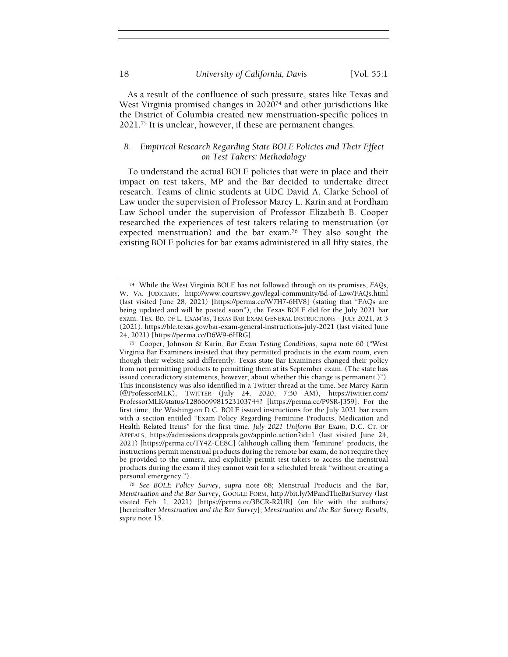As a result of the confluence of such pressure, states like Texas and West Virginia promised changes in 2020<sup>74</sup> and other jurisdictions like the District of Columbia created new menstruation-specific polices in 2021.75 It is unclear, however, if these are permanent changes.

# B. Empirical Research Regarding State BOLE Policies and Their Effect on Test Takers: Methodology

To understand the actual BOLE policies that were in place and their impact on test takers, MP and the Bar decided to undertake direct research. Teams of clinic students at UDC David A. Clarke School of Law under the supervision of Professor Marcy L. Karin and at Fordham Law School under the supervision of Professor Elizabeth B. Cooper researched the experiences of test takers relating to menstruation (or expected menstruation) and the bar exam.<sup>76</sup> They also sought the existing BOLE policies for bar exams administered in all fifty states, the

<sup>74</sup> While the West Virginia BOLE has not followed through on its promises, FAQs, W. VA. JUDICIARY, http://www.courtswv.gov/legal-community/Bd-of-Law/FAQs.html (last visited June 28, 2021) [https://perma.cc/W7H7-6HV8] (stating that "FAQs are being updated and will be posted soon"), the Texas BOLE did for the July 2021 bar exam. TEX. BD. OF L. EXAM'RS, TEXAS BAR EXAM GENERAL INSTRUCTIONS – JULY 2021, at 3 (2021), https://ble.texas.gov/bar-exam-general-instructions-july-2021 (last visited June 24, 2021) [https://perma.cc/D6W9-6HRG].

<sup>75</sup> Cooper, Johnson & Karin, Bar Exam Testing Conditions, supra note 60 ("West Virginia Bar Examiners insisted that they permitted products in the exam room, even though their website said differently. Texas state Bar Examiners changed their policy from not permitting products to permitting them at its September exam. (The state has issued contradictory statements, however, about whether this change is permanent.)"). This inconsistency was also identified in a Twitter thread at the time. See Marcy Karin (@ProfessorMLK), TWITTER (July 24, 2020, 7:30 AM), https://twitter.com/ ProfessorMLK/status/1286669981523103744? [https://perma.cc/P9SR-J359]. For the first time, the Washington D.C. BOLE issued instructions for the July 2021 bar exam with a section entitled "Exam Policy Regarding Feminine Products, Medication and Health Related Items" for the first time. July 2021 Uniform Bar Exam, D.C. CT. OF APPEALS, https://admissions.dcappeals.gov/appinfo.action?id=1 (last visited June 24, 2021) [https://perma.cc/TY4Z-CE8C] (although calling them "feminine" products, the instructions permit menstrual products during the remote bar exam, do not require they be provided to the camera, and explicitly permit test takers to access the menstrual products during the exam if they cannot wait for a scheduled break "without creating a personal emergency.").

<sup>76</sup> See BOLE Policy Survey, supra note 68; Menstrual Products and the Bar, Menstruation and the Bar Survey, GOOGLE FORM, http://bit.ly/MPandTheBarSurvey (last visited Feb. 1, 2021) [https://perma.cc/3BCR-R2UR] (on file with the authors) [hereinafter Menstruation and the Bar Survey]; Menstruation and the Bar Survey Results, supra note 15.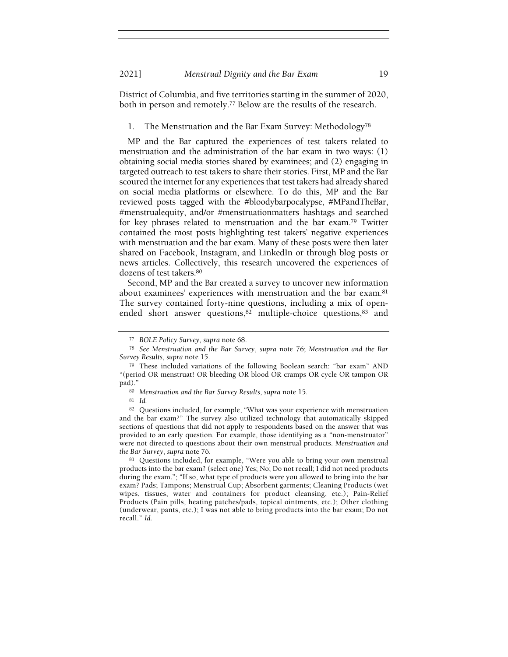District of Columbia, and five territories starting in the summer of 2020, both in person and remotely.77 Below are the results of the research.

1. The Menstruation and the Bar Exam Survey: Methodology<sup>78</sup>

MP and the Bar captured the experiences of test takers related to menstruation and the administration of the bar exam in two ways: (1) obtaining social media stories shared by examinees; and (2) engaging in targeted outreach to test takers to share their stories. First, MP and the Bar scoured the internet for any experiences that test takers had already shared on social media platforms or elsewhere. To do this, MP and the Bar reviewed posts tagged with the #bloodybarpocalypse, #MPandTheBar, #menstrualequity, and/or #menstruationmatters hashtags and searched for key phrases related to menstruation and the bar exam.79 Twitter contained the most posts highlighting test takers' negative experiences with menstruation and the bar exam. Many of these posts were then later shared on Facebook, Instagram, and LinkedIn or through blog posts or news articles. Collectively, this research uncovered the experiences of dozens of test takers.<sup>80</sup>

Second, MP and the Bar created a survey to uncover new information about examinees' experiences with menstruation and the bar exam.<sup>81</sup> The survey contained forty-nine questions, including a mix of openended short answer questions,<sup>82</sup> multiple-choice questions,<sup>83</sup> and

<sup>81</sup> Id.

<sup>83</sup> Questions included, for example, "Were you able to bring your own menstrual products into the bar exam? (select one) Yes; No; Do not recall; I did not need products during the exam."; "If so, what type of products were you allowed to bring into the bar exam? Pads; Tampons; Menstrual Cup; Absorbent garments; Cleaning Products (wet wipes, tissues, water and containers for product cleansing, etc.); Pain-Relief Products (Pain pills, heating patches/pads, topical ointments, etc.); Other clothing (underwear, pants, etc.); I was not able to bring products into the bar exam; Do not recall." Id.

<sup>77</sup> BOLE Policy Survey, supra note 68.

<sup>78</sup> See Menstruation and the Bar Survey, supra note 76; Menstruation and the Bar Survey Results, supra note 15.

<sup>79</sup> These included variations of the following Boolean search: "bar exam" AND "(period OR menstruat! OR bleeding OR blood OR cramps OR cycle OR tampon OR pad)."

<sup>80</sup> Menstruation and the Bar Survey Results, supra note 15.

<sup>82</sup> Questions included, for example, "What was your experience with menstruation and the bar exam?" The survey also utilized technology that automatically skipped sections of questions that did not apply to respondents based on the answer that was provided to an early question. For example, those identifying as a "non-menstruator" were not directed to questions about their own menstrual products. Menstruation and the Bar Survey, supra note 76.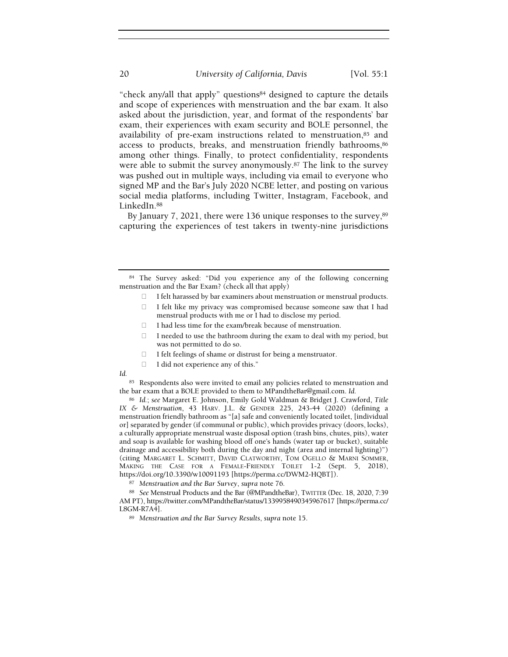"check any/all that apply" questions84 designed to capture the details and scope of experiences with menstruation and the bar exam. It also asked about the jurisdiction, year, and format of the respondents' bar exam, their experiences with exam security and BOLE personnel, the availability of pre-exam instructions related to menstruation, 85 and access to products, breaks, and menstruation friendly bathrooms, 86 among other things. Finally, to protect confidentiality, respondents were able to submit the survey anonymously.87 The link to the survey was pushed out in multiple ways, including via email to everyone who signed MP and the Bar's July 2020 NCBE letter, and posting on various social media platforms, including Twitter, Instagram, Facebook, and LinkedIn.<sup>88</sup>

By January  $7, 2021$ , there were 136 unique responses to the survey,  $89$ capturing the experiences of test takers in twenty-nine jurisdictions

- I felt harassed by bar examiners about menstruation or menstrual products. I felt like my privacy was compromised because someone saw that I had menstrual products with me or I had to disclose my period.
- I had less time for the exam/break because of menstruation.
- I needed to use the bathroom during the exam to deal with my period, but was not permitted to do so.
- I felt feelings of shame or distrust for being a menstruator.
- I did not experience any of this."

Id.

85 Respondents also were invited to email any policies related to menstruation and the bar exam that a BOLE provided to them to MPandtheBar@gmail.com. Id.

<sup>86</sup> Id.; see Margaret E. Johnson, Emily Gold Waldman & Bridget J. Crawford, Title IX & Menstruation, 43 HARV. J.L. & GENDER 225, 243-44 (2020) (defining a menstruation friendly bathroom as "[a] safe and conveniently located toilet, [individual or] separated by gender (if communal or public), which provides privacy (doors, locks), a culturally appropriate menstrual waste disposal option (trash bins, chutes, pits), water and soap is available for washing blood off one's hands (water tap or bucket), suitable drainage and accessibility both during the day and night (area and internal lighting)") (citing MARGARET L. SCHMITT, DAVID CLATWORTHY, TOM OGELLO & MARNI SOMMER, MAKING THE CASE FOR A FEMALE-FRIENDLY TOILET 1-2 (Sept. 5, 2018), https://doi.org/10.3390/w10091193 [https://perma.cc/DWM2-HQBT]).

87 Menstruation and the Bar Survey, supra note 76.

88 See Menstrual Products and the Bar (@MPandtheBar), TWITTER (Dec. 18, 2020, 7:39 AM PT), https://twitter.com/MPandtheBar/status/1339958490345967617 [https://perma.cc/ L8GM-R7A4].

89 Menstruation and the Bar Survey Results, supra note 15.

<sup>84</sup> The Survey asked: "Did you experience any of the following concerning menstruation and the Bar Exam? (check all that apply)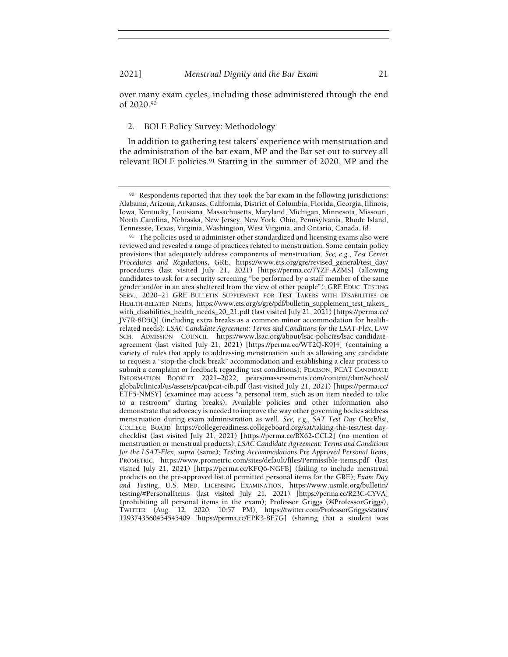over many exam cycles, including those administered through the end of 2020.<sup>90</sup>

## 2. BOLE Policy Survey: Methodology

In addition to gathering test takers' experience with menstruation and the administration of the bar exam, MP and the Bar set out to survey all relevant BOLE policies.91 Starting in the summer of 2020, MP and the

<sup>90</sup> Respondents reported that they took the bar exam in the following jurisdictions: Alabama, Arizona, Arkansas, California, District of Columbia, Florida, Georgia, Illinois, Iowa, Kentucky, Louisiana, Massachusetts, Maryland, Michigan, Minnesota, Missouri, North Carolina, Nebraska, New Jersey, New York, Ohio, Pennsylvania, Rhode Island, Tennessee, Texas, Virginia, Washington, West Virginia, and Ontario, Canada. Id.

<sup>&</sup>lt;sup>91</sup> The policies used to administer other standardized and licensing exams also were reviewed and revealed a range of practices related to menstruation. Some contain policy provisions that adequately address components of menstruation. See, e.g., Test Center Procedures and Regulations, GRE, https://www.ets.org/gre/revised\_general/test\_day/ procedures (last visited July 21, 2021) [https://perma.cc/7YZF-AZMS] (allowing candidates to ask for a security screening "be performed by a staff member of the same gender and/or in an area sheltered from the view of other people"); GRE EDUC. TESTING SERV., 2020–21 GRE BULLETIN SUPPLEMENT FOR TEST TAKERS WITH DISABILITIES OR HEALTH-RELATED NEEDS, https://www.ets.org/s/gre/pdf/bulletin\_supplement\_test\_takers\_ with\_disabilities\_health\_needs\_20\_21.pdf (last visited July 21, 2021) [https://perma.cc/ JV7R-8D5Q] (including extra breaks as a common minor accommodation for healthrelated needs); LSAC Candidate Agreement: Terms and Conditions for the LSAT-Flex, LAW SCH. ADMISSION COUNCIL https://www.lsac.org/about/lsac-policies/lsac-candidateagreement (last visited July 21, 2021) [https://perma.cc/WT2Q-K9J4] (containing a variety of rules that apply to addressing menstruation such as allowing any candidate to request a "stop-the-clock break" accommodation and establishing a clear process to submit a complaint or feedback regarding test conditions); PEARSON, PCAT CANDIDATE INFORMATION BOOKLET 2021–2022, pearsonassessments.com/content/dam/school/ global/clinical/us/assets/pcat/pcat-cib.pdf (last visited July 21, 2021) [https://perma.cc/ ETF5-NMSY] (examinee may access "a personal item, such as an item needed to take to a restroom" during breaks). Available policies and other information also demonstrate that advocacy is needed to improve the way other governing bodies address menstruation during exam administration as well. See, e.g., SAT Test Day Checklist, COLLEGE BOARD https://collegereadiness.collegeboard.org/sat/taking-the-test/test-daychecklist (last visited July 21, 2021) [https://perma.cc/BX62-CCL2] (no mention of menstruation or menstrual products); LSAC Candidate Agreement: Terms and Conditions for the LSAT-Flex, supra (same); Testing Accommodations Pre Approved Personal Items, PROMETRIC, https://www.prometric.com/sites/default/files/Permissible-items.pdf (last visited July 21, 2021) [https://perma.cc/KFQ6-NGFB] (failing to include menstrual products on the pre-approved list of permitted personal items for the GRE); Exam Day and Testing, U.S. MED. LICENSING EXAMINATION, https://www.usmle.org/bulletin/ testing/#PersonalItems (last visited July 21, 2021) [https://perma.cc/R23C-CYVA] (prohibiting all personal items in the exam); Professor Griggs (@ProfessorGriggs), TWITTER (Aug. 12, 2020, 10:57 PM), https://twitter.com/ProfessorGriggs/status/ 1293743560454545409 [https://perma.cc/EPK3-8E7G] (sharing that a student was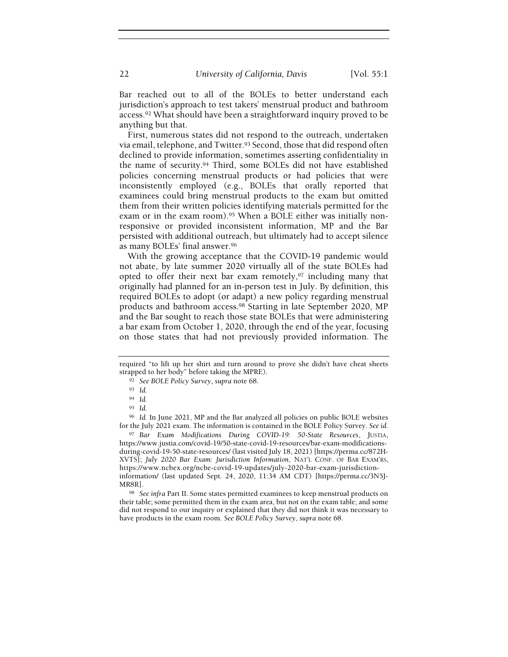Bar reached out to all of the BOLEs to better understand each jurisdiction's approach to test takers' menstrual product and bathroom access.92 What should have been a straightforward inquiry proved to be anything but that.

First, numerous states did not respond to the outreach, undertaken via email, telephone, and Twitter.<sup>93</sup> Second, those that did respond often declined to provide information, sometimes asserting confidentiality in the name of security.94 Third, some BOLEs did not have established policies concerning menstrual products or had policies that were inconsistently employed (e.g., BOLEs that orally reported that examinees could bring menstrual products to the exam but omitted them from their written policies identifying materials permitted for the exam or in the exam room).<sup>95</sup> When a BOLE either was initially nonresponsive or provided inconsistent information, MP and the Bar persisted with additional outreach, but ultimately had to accept silence as many BOLEs' final answer.<sup>96</sup>

With the growing acceptance that the COVID-19 pandemic would not abate, by late summer 2020 virtually all of the state BOLEs had opted to offer their next bar exam remotely,97 including many that originally had planned for an in-person test in July. By definition, this required BOLEs to adopt (or adapt) a new policy regarding menstrual products and bathroom access.98 Starting in late September 2020, MP and the Bar sought to reach those state BOLEs that were administering a bar exam from October 1, 2020, through the end of the year, focusing on those states that had not previously provided information. The

<sup>96</sup> Id. In June 2021, MP and the Bar analyzed all policies on public BOLE websites for the July 2021 exam. The information is contained in the BOLE Policy Survey. See id.

97 Bar Exam Modifications During COVID-19: 50-State Resources, JUSTIA, https://www.justia.com/covid-19/50-state-covid-19-resources/bar-exam-modificationsduring-covid-19-50-state-resources/ (last visited July 18, 2021) [https://perma.cc/872H-XVTS]; July 2020 Bar Exam: Jurisdiction Information, NAT'L CONF. OF BAR EXAM'RS, https://www.ncbex.org/ncbe-covid-19-updates/july-2020-bar-exam-jurisdictioninformation/ (last updated Sept. 24, 2020, 11:34 AM CDT) [https://perma.cc/3N5J-MR8R].

98 See infra Part II. Some states permitted examinees to keep menstrual products on their table; some permitted them in the exam area, but not on the exam table; and some did not respond to our inquiry or explained that they did not think it was necessary to have products in the exam room. See BOLE Policy Survey, supra note 68.

required "to lift up her shirt and turn around to prove she didn't have cheat sheets strapped to her body" before taking the MPRE).

<sup>92</sup> See BOLE Policy Survey, supra note 68.

<sup>93</sup> Id.

<sup>94</sup> Id.

<sup>95</sup> Id.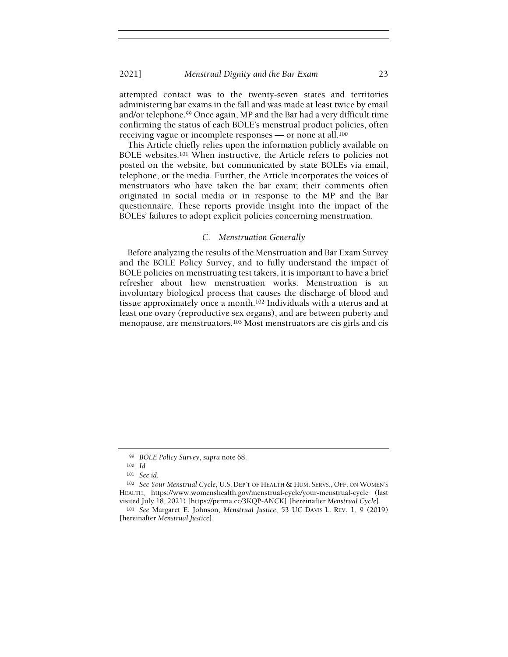attempted contact was to the twenty-seven states and territories administering bar exams in the fall and was made at least twice by email and/or telephone.99 Once again, MP and the Bar had a very difficult time confirming the status of each BOLE's menstrual product policies, often receiving vague or incomplete responses — or none at all.<sup>100</sup>

This Article chiefly relies upon the information publicly available on BOLE websites.101 When instructive, the Article refers to policies not posted on the website, but communicated by state BOLEs via email, telephone, or the media. Further, the Article incorporates the voices of menstruators who have taken the bar exam; their comments often originated in social media or in response to the MP and the Bar questionnaire. These reports provide insight into the impact of the BOLEs' failures to adopt explicit policies concerning menstruation.

# C. Menstruation Generally

Before analyzing the results of the Menstruation and Bar Exam Survey and the BOLE Policy Survey, and to fully understand the impact of BOLE policies on menstruating test takers, it is important to have a brief refresher about how menstruation works. Menstruation is an involuntary biological process that causes the discharge of blood and tissue approximately once a month.102 Individuals with a uterus and at least one ovary (reproductive sex organs), and are between puberty and menopause, are menstruators.103 Most menstruators are cis girls and cis

<sup>99</sup> BOLE Policy Survey, supra note 68.

<sup>100</sup> Id.

<sup>101</sup> See id.

<sup>102</sup> See Your Menstrual Cycle, U.S. DEP'T OF HEALTH & HUM. SERVS., OFF. ON WOMEN'S HEALTH, https://www.womenshealth.gov/menstrual-cycle/your-menstrual-cycle (last visited July 18, 2021) [https://perma.cc/3KQP-ANCK] [hereinafter Menstrual Cycle].

<sup>103</sup> See Margaret E. Johnson, Menstrual Justice, 53 UC DAVIS L. REV. 1, 9 (2019) [hereinafter Menstrual Justice].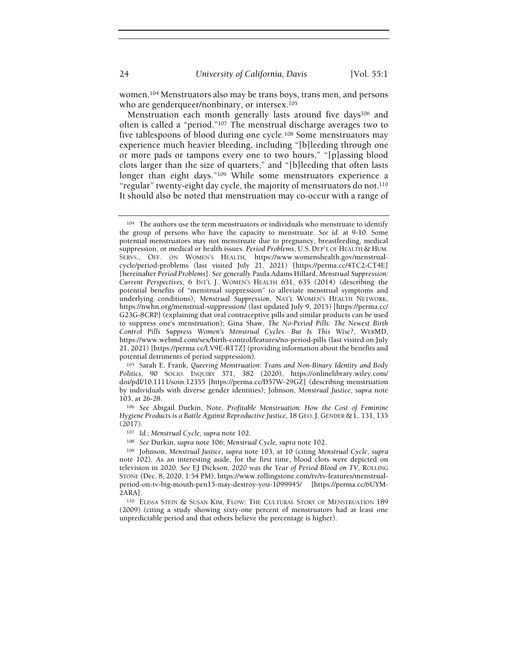women.104 Menstruators also may be trans boys, trans men, and persons who are genderqueer/nonbinary, or intersex.<sup>105</sup>

Menstruation each month generally lasts around five days<sup>106</sup> and often is called a "period."107 The menstrual discharge averages two to five tablespoons of blood during one cycle.108 Some menstruators may experience much heavier bleeding, including "[b]leeding through one or more pads or tampons every one to two hours," "[p]assing blood clots larger than the size of quarters," and "[b]leeding that often lasts longer than eight days."109 While some menstruators experience a "regular" twenty-eight day cycle, the majority of menstruators do not.<sup>110</sup> It should also be noted that menstruation may co-occur with a range of

<sup>105</sup> Sarah E. Frank, Queering Menstruation: Trans and Non-Binary Identity and Body Politics, 90 SOCIO. INQUIRY 371, 382 (2020), https://onlinelibrary.wiley.com/ doi/pdf/10.1111/soin.12355 [https://perma.cc/D57W-29GZ] (describing menstruation by individuals with diverse gender identities); Johnson, Menstrual Justice, supra note 103, at 26-28.

<sup>106</sup> See Abigail Durkin, Note, Profitable Menstruation: How the Cost of Feminine Hygiene Products is a Battle Against Reproductive Justice, 18 GEO. J. GENDER & L. 131, 135 (2017).

<sup>109</sup> Johnson, Menstrual Justice, supra note 103, at 10 (citing Menstrual Cycle, supra note 102). As an interesting aside, for the first time, blood clots were depicted on television in 2020. See EJ Dickson, 2020 was the Year of Period Blood on TV, ROLLING STONE (Dec. 8, 2020, 1:54 PM), https://www.rollingstone.com/tv/tv-features/menstrualperiod-on-tv-big-mouth-pen15-may-destroy-you-1099945/ [https://perma.cc/6UYM-2ARA].

<sup>110</sup> ELISSA STEIN & SUSAN KIM, FLOW: THE CULTURAL STORY OF MENSTRUATION 189 (2009) (citing a study showing sixty-one percent of menstruators had at least one unpredictable period and that others believe the percentage is higher).

<sup>104</sup> The authors use the term menstruators or individuals who menstruate to identify the group of persons who have the capacity to menstruate. See id. at 9-10. Some potential menstruators may not menstruate due to pregnancy, breastfeeding, medical suppression, or medical or health issues. Period Problems, U.S. DEP'T OF HEALTH & HUM. SERVS., OFF. ON WOMEN'S HEALTH, https://www.womenshealth.gov/menstrualcycle/period-problems (last visited July 21, 2021) [https://perma.cc/4TC2-CT4E] [hereinafter Period Problems]. See generally Paula Adams Hillard, Menstrual Suppression: Current Perspectives, 6 INT'L J. WOMEN'S HEALTH 631, 635 (2014) (describing the potential benefits of "menstrual suppression" to alleviate menstrual symptoms and underlying conditions); Menstrual Suppression, NAT'L WOMEN'S HEALTH NETWORK, https://nwhn.org/menstrual-suppression/ (last updated July 9, 2015) [https://perma.cc/ G23G-8CRP] (explaining that oral contraceptive pills and similar products can be used to suppress one's menstruation); Gina Shaw, The No-Period Pills: The Newest Birth Control Pills Suppress Women's Menstrual Cycles. But Is This Wise?, WEBMD, https://www.webmd.com/sex/birth-control/features/no-period-pills (last visited on July 21, 2021) [https://perma.cc/LV9E-RT7Z] (providing information about the benefits and potential detriments of period suppression).

<sup>107</sup> Id.; Menstrual Cycle, supra note 102.

<sup>108</sup> See Durkin, supra note 106; Menstrual Cycle, supra note 102.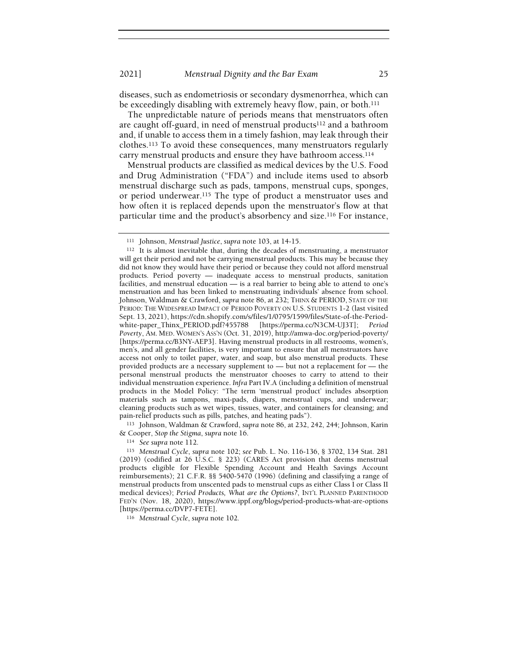diseases, such as endometriosis or secondary dysmenorrhea, which can be exceedingly disabling with extremely heavy flow, pain, or both.<sup>111</sup>

The unpredictable nature of periods means that menstruators often are caught off-guard, in need of menstrual products<sup>112</sup> and a bathroom and, if unable to access them in a timely fashion, may leak through their clothes.113 To avoid these consequences, many menstruators regularly carry menstrual products and ensure they have bathroom access.<sup>114</sup>

Menstrual products are classified as medical devices by the U.S. Food and Drug Administration ("FDA") and include items used to absorb menstrual discharge such as pads, tampons, menstrual cups, sponges, or period underwear.115 The type of product a menstruator uses and how often it is replaced depends upon the menstruator's flow at that particular time and the product's absorbency and size.116 For instance,

<sup>113</sup> Johnson, Waldman & Crawford, supra note 86, at 232, 242, 244; Johnson, Karin & Cooper, Stop the Stigma, supra note 16.

<sup>114</sup> See supra note 112.

<sup>116</sup> Menstrual Cycle, supra note 102.

<sup>111</sup> Johnson, Menstrual Justice, supra note 103, at 14-15.

<sup>112</sup> It is almost inevitable that, during the decades of menstruating, a menstruator will get their period and not be carrying menstrual products. This may be because they did not know they would have their period or because they could not afford menstrual products. Period poverty — inadequate access to menstrual products, sanitation facilities, and menstrual education — is a real barrier to being able to attend to one's menstruation and has been linked to menstruating individuals' absence from school. Johnson, Waldman & Crawford, supra note 86, at 232; THINX & PERIOD, STATE OF THE PERIOD: THE WIDESPREAD IMPACT OF PERIOD POVERTY ON U.S. STUDENTS 1-2 (last visited Sept. 13, 2021), https://cdn.shopify.com/s/files/1/0795/1599/files/State-of-the-Periodwhite-paper\_Thinx\_PERIOD.pdf?455788 [https://perma.cc/N3CM-UJ3T]; Period Poverty, AM. MED. WOMEN'S ASS'N (Oct. 31, 2019), http://amwa-doc.org/period-poverty/ [https://perma.cc/B3NY-AEP3]. Having menstrual products in all restrooms, women's, men's, and all gender facilities, is very important to ensure that all menstruators have access not only to toilet paper, water, and soap, but also menstrual products. These provided products are a necessary supplement to — but not a replacement for — the personal menstrual products the menstruator chooses to carry to attend to their individual menstruation experience. Infra Part IV.A (including a definition of menstrual products in the Model Policy: "The term 'menstrual product' includes absorption materials such as tampons, maxi-pads, diapers, menstrual cups, and underwear; cleaning products such as wet wipes, tissues, water, and containers for cleansing; and pain-relief products such as pills, patches, and heating pads").

<sup>115</sup> Menstrual Cycle, supra note 102; see Pub. L. No. 116-136, § 3702, 134 Stat. 281 (2019) (codified at 26 U.S.C. § 223) (CARES Act provision that deems menstrual products eligible for Flexible Spending Account and Health Savings Account reimbursements); 21 C.F.R. §§ 5400-5470 (1996) (defining and classifying a range of menstrual products from unscented pads to menstrual cups as either Class I or Class II medical devices); Period Products, What are the Options?, INT'L PLANNED PARENTHOOD FED'N (Nov. 18, 2020), https://www.ippf.org/blogs/period-products-what-are-options [https://perma.cc/DVP7-FETE].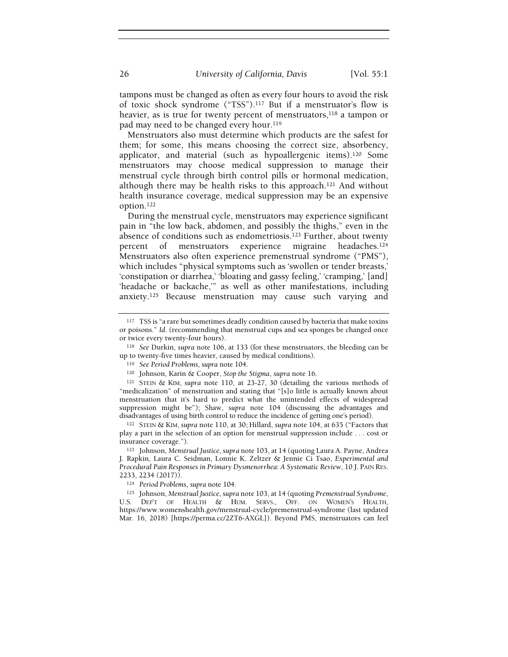tampons must be changed as often as every four hours to avoid the risk of toxic shock syndrome ("TSS").117 But if a menstruator's flow is heavier, as is true for twenty percent of menstruators,<sup>118</sup> a tampon or pad may need to be changed every hour.<sup>119</sup>

Menstruators also must determine which products are the safest for them; for some, this means choosing the correct size, absorbency, applicator, and material (such as hypoallergenic items).120 Some menstruators may choose medical suppression to manage their menstrual cycle through birth control pills or hormonal medication, although there may be health risks to this approach.121 And without health insurance coverage, medical suppression may be an expensive option.<sup>122</sup>

During the menstrual cycle, menstruators may experience significant pain in "the low back, abdomen, and possibly the thighs," even in the absence of conditions such as endometriosis.<sup>123</sup> Further, about twenty percent of menstruators experience migraine headaches.<sup>124</sup> Menstruators also often experience premenstrual syndrome ("PMS"), which includes "physical symptoms such as 'swollen or tender breasts,' 'constipation or diarrhea,' 'bloating and gassy feeling,' 'cramping,' [and] 'headache or backache,'" as well as other manifestations, including anxiety.125 Because menstruation may cause such varying and

<sup>&</sup>lt;sup>117</sup> TSS is "a rare but sometimes deadly condition caused by bacteria that make toxins or poisons." Id. (recommending that menstrual cups and sea sponges be changed once or twice every twenty-four hours).

<sup>118</sup> See Durkin, supra note 106, at 133 (for these menstruators, the bleeding can be up to twenty-five times heavier, caused by medical conditions).

<sup>119</sup> See Period Problems, supra note 104.

<sup>120</sup> Johnson, Karin & Cooper, Stop the Stigma, supra note 16.

<sup>121</sup> STEIN & KIM, supra note 110, at 23-27, 30 (detailing the various methods of "medicalization" of menstruation and stating that "[s]o little is actually known about menstruation that it's hard to predict what the unintended effects of widespread suppression might be"); Shaw, supra note 104 (discussing the advantages and disadvantages of using birth control to reduce the incidence of getting one's period).

<sup>122</sup> STEIN & KIM, supra note 110, at 30; Hillard, supra note 104, at 635 ("Factors that play a part in the selection of an option for menstrual suppression include . . . cost or insurance coverage.").

<sup>123</sup> Johnson, Menstrual Justice, supra note 103, at 14 (quoting Laura A. Payne, Andrea J. Rapkin, Laura C. Seidman, Lonnie K. Zeltzer & Jennie Ci Tsao, Experimental and Procedural Pain Responses in Primary Dysmenorrhea: A Systematic Review, 10 J. PAIN RES. 2233, 2234 (2017)).

<sup>124</sup> Period Problems, supra note 104.

<sup>125</sup> Johnson, Menstrual Justice, supra note 103, at 14 (quoting Premenstrual Syndrome, U.S. DEP'T OF HEALTH & HUM. SERVS., OFF. ON WOMEN'S HEALTH, https://www.womenshealth.gov/menstrual-cycle/premenstrual-syndrome (last updated Mar. 16, 2018) [https://perma.cc/2ZT6-AXGL]). Beyond PMS, menstruators can feel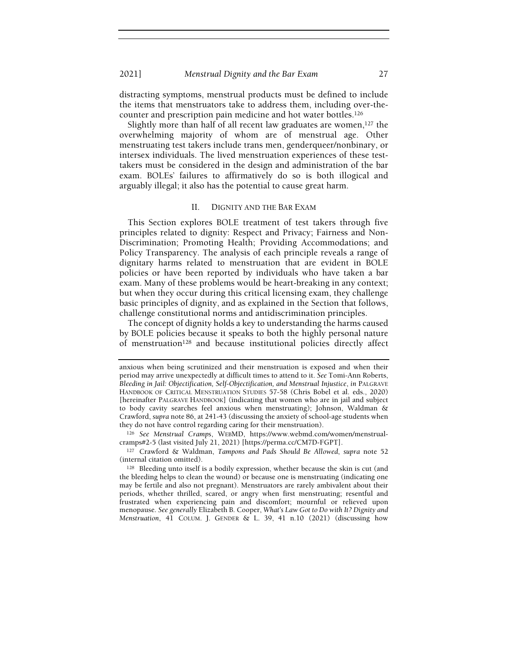distracting symptoms, menstrual products must be defined to include the items that menstruators take to address them, including over-thecounter and prescription pain medicine and hot water bottles.<sup>126</sup>

Slightly more than half of all recent law graduates are women,  $127$  the overwhelming majority of whom are of menstrual age. Other menstruating test takers include trans men, genderqueer/nonbinary, or intersex individuals. The lived menstruation experiences of these testtakers must be considered in the design and administration of the bar exam. BOLEs' failures to affirmatively do so is both illogical and arguably illegal; it also has the potential to cause great harm.

# II. DIGNITY AND THE BAR EXAM

This Section explores BOLE treatment of test takers through five principles related to dignity: Respect and Privacy; Fairness and Non-Discrimination; Promoting Health; Providing Accommodations; and Policy Transparency. The analysis of each principle reveals a range of dignitary harms related to menstruation that are evident in BOLE policies or have been reported by individuals who have taken a bar exam. Many of these problems would be heart-breaking in any context; but when they occur during this critical licensing exam, they challenge basic principles of dignity, and as explained in the Section that follows, challenge constitutional norms and antidiscrimination principles.

The concept of dignity holds a key to understanding the harms caused by BOLE policies because it speaks to both the highly personal nature of menstruation128 and because institutional policies directly affect

<sup>126</sup> See Menstrual Cramps, WEBMD, https://www.webmd.com/women/menstrualcramps#2-5 (last visited July 21, 2021) [https://perma.cc/CM7D-FGPT].

<sup>127</sup> Crawford & Waldman, Tampons and Pads Should Be Allowed, supra note 52 (internal citation omitted).

<sup>128</sup> Bleeding unto itself is a bodily expression, whether because the skin is cut (and the bleeding helps to clean the wound) or because one is menstruating (indicating one may be fertile and also not pregnant). Menstruators are rarely ambivalent about their periods, whether thrilled, scared, or angry when first menstruating; resentful and frustrated when experiencing pain and discomfort; mournful or relieved upon menopause. See generally Elizabeth B. Cooper, What's Law Got to Do with It? Dignity and Menstruation, 41 COLUM. J. GENDER & L. 39, 41 n.10 (2021) (discussing how

anxious when being scrutinized and their menstruation is exposed and when their period may arrive unexpectedly at difficult times to attend to it. See Tomi-Ann Roberts, Bleeding in Jail: Objectification, Self-Objectification, and Menstrual Injustice, in PALGRAVE HANDBOOK OF CRITICAL MENSTRUATION STUDIES 57-58 (Chris Bobel et al. eds., 2020) [hereinafter PALGRAVE HANDBOOK] (indicating that women who are in jail and subject to body cavity searches feel anxious when menstruating); Johnson, Waldman & Crawford, supra note 86, at 241-43 (discussing the anxiety of school-age students when they do not have control regarding caring for their menstruation).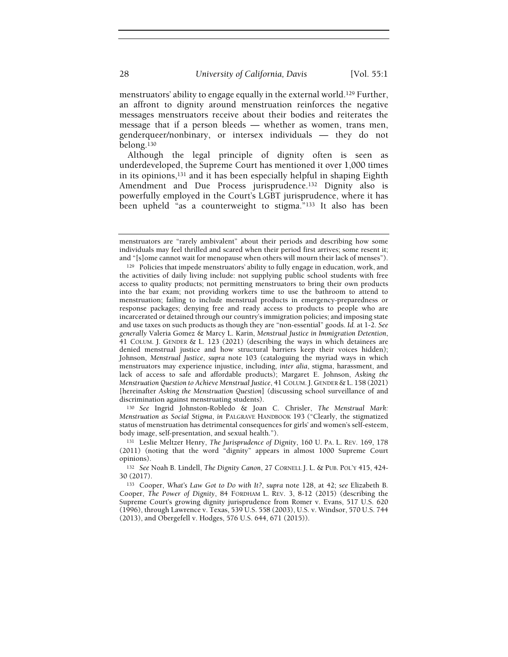menstruators' ability to engage equally in the external world.129 Further, an affront to dignity around menstruation reinforces the negative messages menstruators receive about their bodies and reiterates the message that if a person bleeds — whether as women, trans men, genderqueer/nonbinary, or intersex individuals — they do not belong.<sup>130</sup>

Although the legal principle of dignity often is seen as underdeveloped, the Supreme Court has mentioned it over 1,000 times in its opinions,131 and it has been especially helpful in shaping Eighth Amendment and Due Process jurisprudence.<sup>132</sup> Dignity also is powerfully employed in the Court's LGBT jurisprudence, where it has been upheld "as a counterweight to stigma."133 It also has been

<sup>130</sup> See Ingrid Johnston-Robledo & Joan C. Chrisler, The Menstrual Mark: Menstruation as Social Stigma, in PALGRAVE HANDBOOK 193 ("Clearly, the stigmatized status of menstruation has detrimental consequences for girls' and women's self-esteem, body image, self-presentation, and sexual health.").

<sup>131</sup> Leslie Meltzer Henry, The Jurisprudence of Dignity, 160 U. PA. L. REV. 169, 178 (2011) (noting that the word "dignity" appears in almost 1000 Supreme Court opinions).

<sup>132</sup> See Noah B. Lindell, The Dignity Canon, 27 CORNELL J. L. & PUB. POL'Y 415, 424- 30 (2017).

<sup>133</sup> Cooper, What's Law Got to Do with It?, supra note 128, at 42; see Elizabeth B. Cooper, The Power of Dignity, 84 FORDHAM L. REV. 3, 8-12 (2015) (describing the Supreme Court's growing dignity jurisprudence from Romer v. Evans, 517 U.S. 620 (1996), through Lawrence v. Texas, 539 U.S. 558 (2003), U.S. v. Windsor, 570 U.S. 744 (2013), and Obergefell v. Hodges, 576 U.S. 644, 671 (2015)).

menstruators are "rarely ambivalent" about their periods and describing how some individuals may feel thrilled and scared when their period first arrives; some resent it; and "[s]ome cannot wait for menopause when others will mourn their lack of menses").

<sup>129</sup> Policies that impede menstruators' ability to fully engage in education, work, and the activities of daily living include: not supplying public school students with free access to quality products; not permitting menstruators to bring their own products into the bar exam; not providing workers time to use the bathroom to attend to menstruation; failing to include menstrual products in emergency-preparedness or response packages; denying free and ready access to products to people who are incarcerated or detained through our country's immigration policies; and imposing state and use taxes on such products as though they are "non-essential" goods. Id. at 1-2. See generally Valeria Gomez & Marcy L. Karin, Menstrual Justice in Immigration Detention, 41 COLUM. J. GENDER & L. 123 (2021) (describing the ways in which detainees are denied menstrual justice and how structural barriers keep their voices hidden); Johnson, Menstrual Justice, supra note 103 (cataloguing the myriad ways in which menstruators may experience injustice, including, inter alia, stigma, harassment, and lack of access to safe and affordable products); Margaret E. Johnson, Asking the Menstruation Question to Achieve Menstrual Justice, 41 COLUM. J. GENDER & L. 158 (2021) [hereinafter Asking the Menstruation Question] (discussing school surveillance of and discrimination against menstruating students).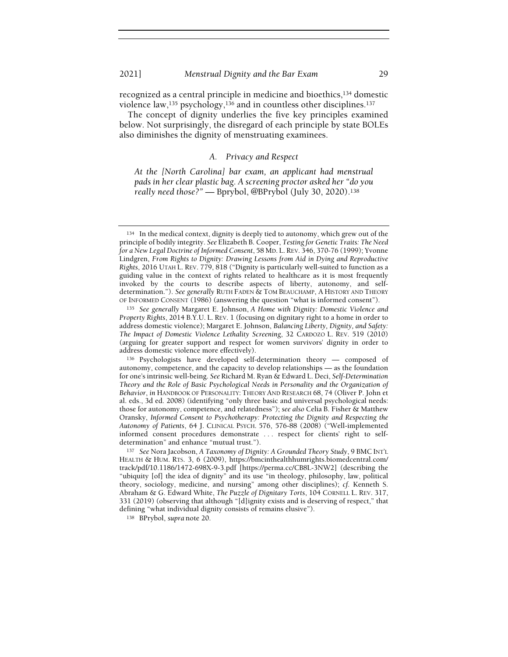recognized as a central principle in medicine and bioethics,134 domestic violence law,<sup>135</sup> psychology,<sup>136</sup> and in countless other disciplines.<sup>137</sup>

The concept of dignity underlies the five key principles examined below. Not surprisingly, the disregard of each principle by state BOLEs also diminishes the dignity of menstruating examinees.

# A. Privacy and Respect

At the [North Carolina] bar exam, an applicant had menstrual pads in her clear plastic bag. A screening proctor asked her "do you really need those?" — Bprybol, @BPrybol (July 30, 2020).<sup>138</sup>

<sup>134</sup> In the medical context, dignity is deeply tied to autonomy, which grew out of the principle of bodily integrity. See Elizabeth B. Cooper, Testing for Genetic Traits: The Need for a New Legal Doctrine of Informed Consent, 58 MD. L. REV. 346, 370-76 (1999); Yvonne Lindgren, From Rights to Dignity: Drawing Lessons from Aid in Dying and Reproductive Rights, 2016 UTAH L. REV. 779, 818 ("Dignity is particularly well-suited to function as a guiding value in the context of rights related to healthcare as it is most frequently invoked by the courts to describe aspects of liberty, autonomy, and selfdetermination."). See generally RUTH FADEN & TOM BEAUCHAMP, A HISTORY AND THEORY OF INFORMED CONSENT (1986) (answering the question "what is informed consent").

<sup>135</sup> See generally Margaret E. Johnson, A Home with Dignity: Domestic Violence and Property Rights, 2014 B.Y.U. L. REV. 1 (focusing on dignitary right to a home in order to address domestic violence); Margaret E. Johnson, Balancing Liberty, Dignity, and Safety: The Impact of Domestic Violence Lethality Screening, 32 CARDOZO L. REV. 519 (2010) (arguing for greater support and respect for women survivors' dignity in order to address domestic violence more effectively).

<sup>136</sup> Psychologists have developed self-determination theory — composed of autonomy, competence, and the capacity to develop relationships — as the foundation for one's intrinsic well-being. See Richard M. Ryan & Edward L. Deci, Self-Determination Theory and the Role of Basic Psychological Needs in Personality and the Organization of Behavior, in HANDBOOK OF PERSONALITY: THEORY AND RESEARCH 68, 74 (Oliver P. John et al. eds., 3d ed. 2008) (identifying "only three basic and universal psychological needs: those for autonomy, competence, and relatedness"); see also Celia B. Fisher & Matthew Oransky, Informed Consent to Psychotherapy: Protecting the Dignity and Respecting the Autonomy of Patients, 64 J. CLINICAL PSYCH. 576, 576-88 (2008) ("Well-implemented informed consent procedures demonstrate . . . respect for clients' right to selfdetermination" and enhance "mutual trust.").

<sup>137</sup> See Nora Jacobson, A Taxonomy of Dignity: A Grounded Theory Study, 9 BMC INT'L HEALTH & HUM. RTS. 3, 6 (2009), https://bmcinthealthhumrights.biomedcentral.com/ track/pdf/10.1186/1472-698X-9-3.pdf [https://perma.cc/CB8L-3NW2] (describing the "ubiquity [of] the idea of dignity" and its use "in theology, philosophy, law, political theory, sociology, medicine, and nursing" among other disciplines); cf. Kenneth S. Abraham & G. Edward White, The Puzzle of Dignitary Torts, 104 CORNELL L. REV. 317, 331 (2019) (observing that although "[d]ignity exists and is deserving of respect," that defining "what individual dignity consists of remains elusive").

<sup>138</sup> BPrybol, supra note 20.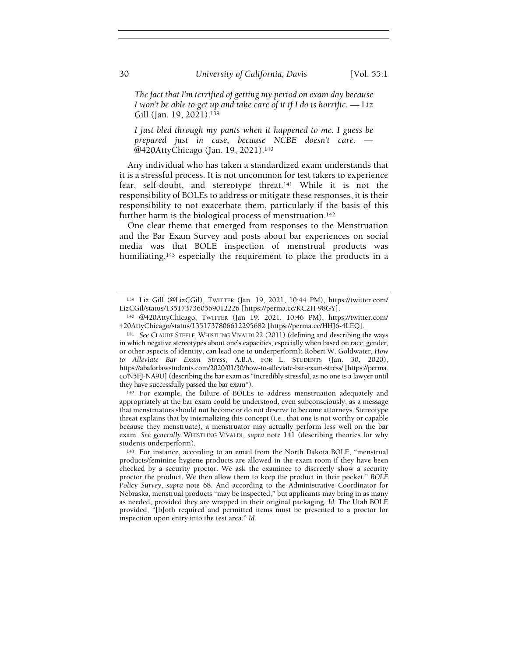The fact that I'm terrified of getting my period on exam day because I won't be able to get up and take care of it if I do is horrific.  $-$  Liz Gill (Jan. 19, 2021).<sup>139</sup>

I just bled through my pants when it happened to me. I guess be prepared just in case, because NCBE doesn't care. — @420AttyChicago (Jan. 19, 2021).<sup>140</sup>

Any individual who has taken a standardized exam understands that it is a stressful process. It is not uncommon for test takers to experience fear, self-doubt, and stereotype threat.141 While it is not the responsibility of BOLEs to address or mitigate these responses, it is their responsibility to not exacerbate them, particularly if the basis of this further harm is the biological process of menstruation.<sup>142</sup>

One clear theme that emerged from responses to the Menstruation and the Bar Exam Survey and posts about bar experiences on social media was that BOLE inspection of menstrual products was humiliating,<sup>143</sup> especially the requirement to place the products in a

<sup>139</sup> Liz Gill (@LizCGil), TWITTER (Jan. 19, 2021, 10:44 PM), https://twitter.com/ LizCGil/status/1351737360569012226 [https://perma.cc/KC2H-98GY].

<sup>140</sup> @420AttyChicago, TWITTER (Jan 19, 2021, 10:46 PM), https://twitter.com/ 420AttyChicago/status/1351737806612295682 [https://perma.cc/HHJ6-4LEQ].

<sup>141</sup> See CLAUDE STEELE, WHISTLING VIVALDI 22 (2011) (defining and describing the ways in which negative stereotypes about one's capacities, especially when based on race, gender, or other aspects of identity, can lead one to underperform); Robert W. Goldwater, How to Alleviate Bar Exam Stress, A.B.A. FOR L. STUDENTS (Jan. 30, 2020), https://abaforlawstudents.com/2020/01/30/how-to-alleviate-bar-exam-stress/ [https://perma. cc/N5FJ-NA9U] (describing the bar exam as "incredibly stressful, as no one is a lawyer until they have successfully passed the bar exam").

<sup>142</sup> For example, the failure of BOLEs to address menstruation adequately and appropriately at the bar exam could be understood, even subconsciously, as a message that menstruators should not become or do not deserve to become attorneys. Stereotype threat explains that by internalizing this concept (i.e., that one is not worthy or capable because they menstruate), a menstruator may actually perform less well on the bar exam. See generally WHISTLING VIVALDI, supra note 141 (describing theories for why students underperform).

<sup>143</sup> For instance, according to an email from the North Dakota BOLE, "menstrual products/feminine hygiene products are allowed in the exam room if they have been checked by a security proctor. We ask the examinee to discreetly show a security proctor the product. We then allow them to keep the product in their pocket." BOLE Policy Survey, supra note 68. And according to the Administrative Coordinator for Nebraska, menstrual products "may be inspected," but applicants may bring in as many as needed, provided they are wrapped in their original packaging. Id. The Utah BOLE provided, "[b]oth required and permitted items must be presented to a proctor for inspection upon entry into the test area." Id.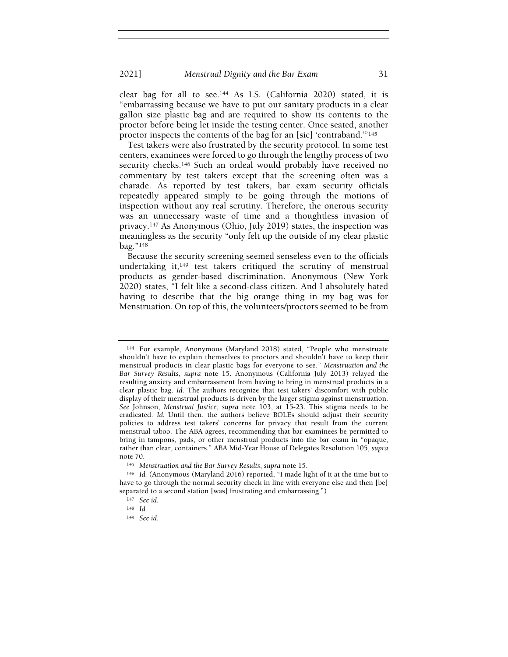clear bag for all to see.144 As I.S. (California 2020) stated, it is "embarrassing because we have to put our sanitary products in a clear gallon size plastic bag and are required to show its contents to the proctor before being let inside the testing center. Once seated, another proctor inspects the contents of the bag for an [sic] 'contraband.'"<sup>145</sup>

Test takers were also frustrated by the security protocol. In some test centers, examinees were forced to go through the lengthy process of two security checks.<sup>146</sup> Such an ordeal would probably have received no commentary by test takers except that the screening often was a charade. As reported by test takers, bar exam security officials repeatedly appeared simply to be going through the motions of inspection without any real scrutiny. Therefore, the onerous security was an unnecessary waste of time and a thoughtless invasion of privacy.147 As Anonymous (Ohio, July 2019) states, the inspection was meaningless as the security "only felt up the outside of my clear plastic bag."<sup>148</sup>

Because the security screening seemed senseless even to the officials undertaking it,149 test takers critiqued the scrutiny of menstrual products as gender-based discrimination. Anonymous (New York 2020) states, "I felt like a second-class citizen. And I absolutely hated having to describe that the big orange thing in my bag was for Menstruation. On top of this, the volunteers/proctors seemed to be from

<sup>144</sup> For example, Anonymous (Maryland 2018) stated, "People who menstruate shouldn't have to explain themselves to proctors and shouldn't have to keep their menstrual products in clear plastic bags for everyone to see." Menstruation and the Bar Survey Results, supra note 15. Anonymous (California July 2013) relayed the resulting anxiety and embarrassment from having to bring in menstrual products in a clear plastic bag. Id. The authors recognize that test takers' discomfort with public display of their menstrual products is driven by the larger stigma against menstruation. See Johnson, Menstrual Justice, supra note 103, at 15-23. This stigma needs to be eradicated. Id. Until then, the authors believe BOLEs should adjust their security policies to address test takers' concerns for privacy that result from the current menstrual taboo. The ABA agrees, recommending that bar examinees be permitted to bring in tampons, pads, or other menstrual products into the bar exam in "opaque, rather than clear, containers." ABA Mid-Year House of Delegates Resolution 105, supra note 70.

<sup>145</sup> Menstruation and the Bar Survey Results, supra note 15.

<sup>146</sup> Id. (Anonymous (Maryland 2016) reported, "I made light of it at the time but to have to go through the normal security check in line with everyone else and then [be] separated to a second station [was] frustrating and embarrassing.")

<sup>147</sup> See id.

<sup>148</sup> Id.

<sup>149</sup> See id.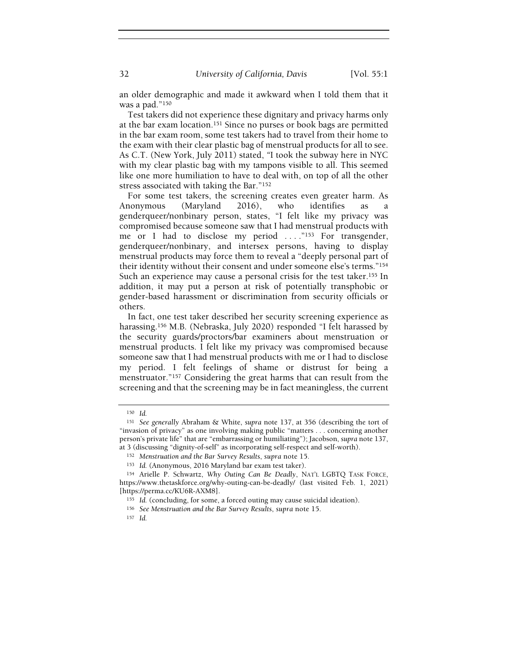32 University of California, Davis [Vol. 55:1]

an older demographic and made it awkward when I told them that it was a pad."<sup>150</sup>

Test takers did not experience these dignitary and privacy harms only at the bar exam location.151 Since no purses or book bags are permitted in the bar exam room, some test takers had to travel from their home to the exam with their clear plastic bag of menstrual products for all to see. As C.T. (New York, July 2011) stated, "I took the subway here in NYC with my clear plastic bag with my tampons visible to all. This seemed like one more humiliation to have to deal with, on top of all the other stress associated with taking the Bar."<sup>152</sup>

For some test takers, the screening creates even greater harm. As Anonymous (Maryland 2016), who identifies as a genderqueer/nonbinary person, states, "I felt like my privacy was compromised because someone saw that I had menstrual products with me or I had to disclose my period ...."<sup>153</sup> For transgender, genderqueer/nonbinary, and intersex persons, having to display menstrual products may force them to reveal a "deeply personal part of their identity without their consent and under someone else's terms."<sup>154</sup> Such an experience may cause a personal crisis for the test taker.<sup>155</sup> In addition, it may put a person at risk of potentially transphobic or gender-based harassment or discrimination from security officials or others.

In fact, one test taker described her security screening experience as harassing.156 M.B. (Nebraska, July 2020) responded "I felt harassed by the security guards/proctors/bar examiners about menstruation or menstrual products. I felt like my privacy was compromised because someone saw that I had menstrual products with me or I had to disclose my period. I felt feelings of shame or distrust for being a menstruator."157 Considering the great harms that can result from the screening and that the screening may be in fact meaningless, the current

<sup>150</sup> Id.

<sup>&</sup>lt;sup>151</sup> See generally Abraham & White, supra note 137, at 356 (describing the tort of "invasion of privacy" as one involving making public "matters . . . concerning another person's private life" that are "embarrassing or humiliating"); Jacobson, supra note 137, at 3 (discussing "dignity-of-self" as incorporating self-respect and self-worth).

<sup>152</sup> Menstruation and the Bar Survey Results, supra note 15.

<sup>153</sup> Id. (Anonymous, 2016 Maryland bar exam test taker).

<sup>154</sup> Arielle P. Schwartz, Why Outing Can Be Deadly, NAT'L LGBTQ TASK FORCE, https://www.thetaskforce.org/why-outing-can-be-deadly/ (last visited Feb. 1, 2021) [https://perma.cc/KU6R-AXM8].

<sup>155</sup> Id. (concluding, for some, a forced outing may cause suicidal ideation).

<sup>156</sup> See Menstruation and the Bar Survey Results, supra note 15.

<sup>157</sup> Id.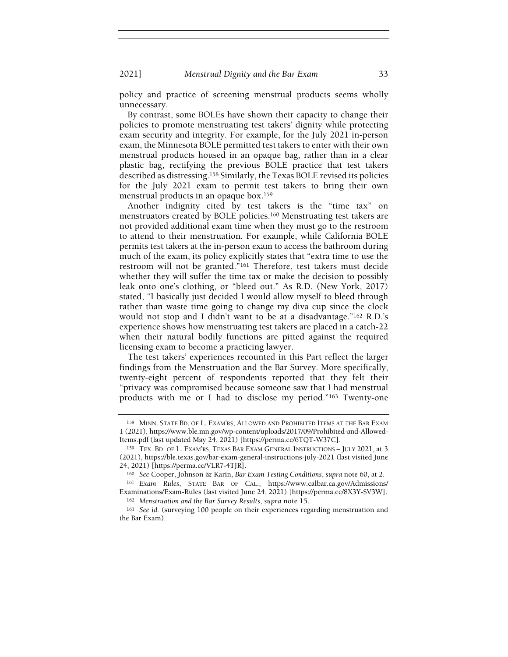policy and practice of screening menstrual products seems wholly unnecessary.

By contrast, some BOLEs have shown their capacity to change their policies to promote menstruating test takers' dignity while protecting exam security and integrity. For example, for the July 2021 in-person exam, the Minnesota BOLE permitted test takers to enter with their own menstrual products housed in an opaque bag, rather than in a clear plastic bag, rectifying the previous BOLE practice that test takers described as distressing.158 Similarly, the Texas BOLE revised its policies for the July 2021 exam to permit test takers to bring their own menstrual products in an opaque box.<sup>159</sup>

Another indignity cited by test takers is the "time tax" on menstruators created by BOLE policies.160 Menstruating test takers are not provided additional exam time when they must go to the restroom to attend to their menstruation. For example, while California BOLE permits test takers at the in-person exam to access the bathroom during much of the exam, its policy explicitly states that "extra time to use the restroom will not be granted."161 Therefore, test takers must decide whether they will suffer the time tax or make the decision to possibly leak onto one's clothing, or "bleed out." As R.D. (New York, 2017) stated, "I basically just decided I would allow myself to bleed through rather than waste time going to change my diva cup since the clock would not stop and I didn't want to be at a disadvantage."162 R.D.'s experience shows how menstruating test takers are placed in a catch-22 when their natural bodily functions are pitted against the required licensing exam to become a practicing lawyer.

The test takers' experiences recounted in this Part reflect the larger findings from the Menstruation and the Bar Survey. More specifically, twenty-eight percent of respondents reported that they felt their "privacy was compromised because someone saw that I had menstrual products with me or I had to disclose my period."163 Twenty-one

<sup>158</sup> MINN. STATE BD. OF L. EXAM'RS, ALLOWED AND PROHIBITED ITEMS AT THE BAR EXAM 1 (2021), https://www.ble.mn.gov/wp-content/uploads/2017/09/Prohibited-and-Allowed-Items.pdf (last updated May 24, 2021) [https://perma.cc/6TQT-W37C].

<sup>159</sup> TEX. BD. OF L. EXAM'RS, TEXAS BAR EXAM GENERAL INSTRUCTIONS – JULY 2021, at 3 (2021), https://ble.texas.gov/bar-exam-general-instructions-july-2021 (last visited June 24, 2021) [https://perma.cc/VLR7-4TJR].

<sup>160</sup> See Cooper, Johnson & Karin, Bar Exam Testing Conditions, supra note 60, at 2.

<sup>161</sup> Exam Rules, STATE BAR OF CAL., https://www.calbar.ca.gov/Admissions/ Examinations/Exam-Rules (last visited June 24, 2021) [https://perma.cc/8X3Y-SV3W]. <sup>162</sup> Menstruation and the Bar Survey Results, supra note 15.

<sup>163</sup> See id. (surveying 100 people on their experiences regarding menstruation and the Bar Exam).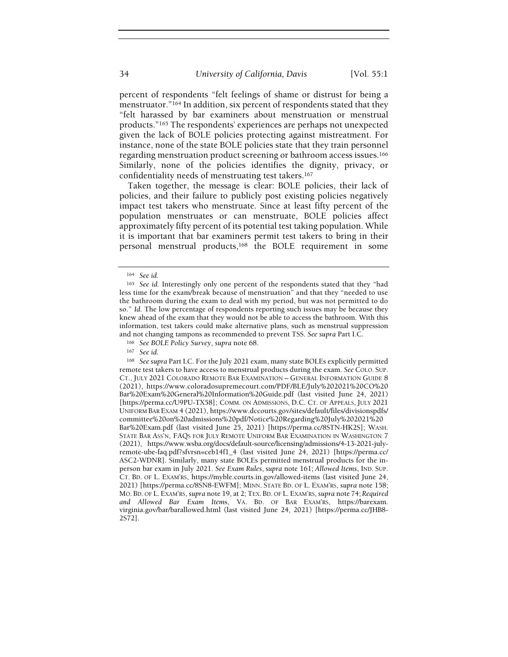percent of respondents "felt feelings of shame or distrust for being a menstruator."164 In addition, six percent of respondents stated that they "felt harassed by bar examiners about menstruation or menstrual products."165 The respondents' experiences are perhaps not unexpected given the lack of BOLE policies protecting against mistreatment. For instance, none of the state BOLE policies state that they train personnel regarding menstruation product screening or bathroom access issues.<sup>166</sup> Similarly, none of the policies identifies the dignity, privacy, or confidentiality needs of menstruating test takers.<sup>167</sup>

Taken together, the message is clear: BOLE policies, their lack of policies, and their failure to publicly post existing policies negatively impact test takers who menstruate. Since at least fifty percent of the population menstruates or can menstruate, BOLE policies affect approximately fifty percent of its potential test taking population. While it is important that bar examiners permit test takers to bring in their personal menstrual products,168 the BOLE requirement in some

<sup>166</sup> See BOLE Policy Survey, supra note 68.

<sup>168</sup> See supra Part I.C. For the July 2021 exam, many state BOLEs explicitly permitted remote test takers to have access to menstrual products during the exam. See COLO. SUP. CT., JULY 2021 COLORADO REMOTE BAR EXAMINATION – GENERAL INFORMATION GUIDE 8 (2021), https://www.coloradosupremecourt.com/PDF/BLE/July%202021%20CO%20 Bar%20Exam%20General%20Information%20Guide.pdf (last visited June 24, 2021) [https://perma.cc/U9PU-TX58]; COMM. ON ADMISSIONS, D.C. CT. OF APPEALS, JULY 2021 UNIFORM BAR EXAM 4 (2021), https://www.dccourts.gov/sites/default/files/divisionspdfs/ committee%20on%20admissions%20pdf/Notice%20Regarding%20July%202021%20 Bar%20Exam.pdf (last visited June 25, 2021) [https://perma.cc/8STN-HK2S]; WASH. STATE BAR ASS'N, FAQS FOR JULY REMOTE UNIFORM BAR EXAMINATION IN WASHINGTON 7 (2021), https://www.wsba.org/docs/default-source/licensing/admissions/4-13-2021-julyremote-ube-faq.pdf?sfvrsn=ceb14f1\_4 (last visited June 24, 2021) [https://perma.cc/ ASC2-WDNR]. Similarly, many state BOLEs permitted menstrual products for the inperson bar exam in July 2021. See Exam Rules, supra note 161; Allowed Items, IND. SUP. CT. BD. OF L. EXAM'RS, https://myble.courts.in.gov/allowed-items (last visited June 24, 2021) [https://perma.cc/8SN8-EWFM]; MINN. STATE BD. OF L. EXAM'RS, supra note 158; MO. BD. OF L. EXAM'RS, supra note 19, at 2; TEX. BD. OF L. EXAM'RS, supra note 74; Required and Allowed Bar Exam Items, VA. BD. OF BAR EXAM'RS, https://barexam. virginia.gov/bar/barallowed.html (last visited June 24, 2021) [https://perma.cc/JHB8- 2S72].

<sup>164</sup> See id.

<sup>165</sup> See id. Interestingly only one percent of the respondents stated that they "had less time for the exam/break because of menstruation" and that they "needed to use the bathroom during the exam to deal with my period, but was not permitted to do so." Id. The low percentage of respondents reporting such issues may be because they knew ahead of the exam that they would not be able to access the bathroom. With this information, test takers could make alternative plans, such as menstrual suppression and not changing tampons as recommended to prevent TSS. See supra Part I.C.

<sup>167</sup> See id.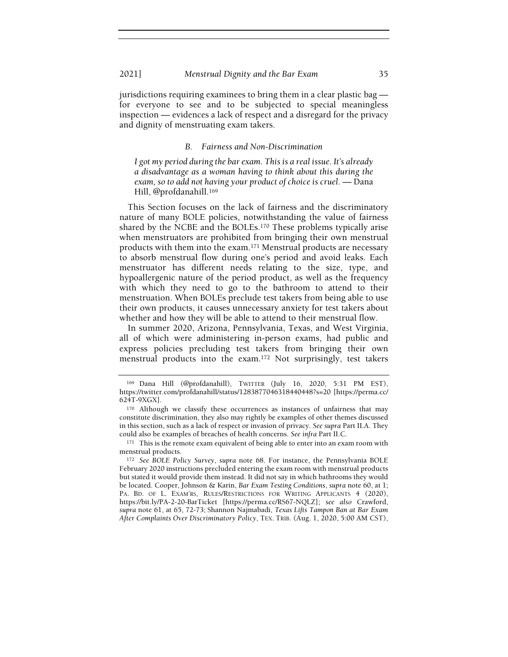jurisdictions requiring examinees to bring them in a clear plastic bag for everyone to see and to be subjected to special meaningless inspection — evidences a lack of respect and a disregard for the privacy and dignity of menstruating exam takers.

### B. Fairness and Non-Discrimination

I got my period during the bar exam. This is a real issue. It's already a disadvantage as a woman having to think about this during the exam, so to add not having your product of choice is cruel. — Dana Hill, @profdanahill.<sup>169</sup>

This Section focuses on the lack of fairness and the discriminatory nature of many BOLE policies, notwithstanding the value of fairness shared by the NCBE and the BOLEs.170 These problems typically arise when menstruators are prohibited from bringing their own menstrual products with them into the exam.171 Menstrual products are necessary to absorb menstrual flow during one's period and avoid leaks. Each menstruator has different needs relating to the size, type, and hypoallergenic nature of the period product, as well as the frequency with which they need to go to the bathroom to attend to their menstruation. When BOLEs preclude test takers from being able to use their own products, it causes unnecessary anxiety for test takers about whether and how they will be able to attend to their menstrual flow.

In summer 2020, Arizona, Pennsylvania, Texas, and West Virginia, all of which were administering in-person exams, had public and express policies precluding test takers from bringing their own menstrual products into the exam.172 Not surprisingly, test takers

<sup>169</sup> Dana Hill (@profdanahill), TWITTER (July 16, 2020, 5:31 PM EST), https://twitter.com/profdanahill/status/1283877046318440448?s=20 [https://perma.cc/ 624T-9XGX].

<sup>170</sup> Although we classify these occurrences as instances of unfairness that may constitute discrimination, they also may rightly be examples of other themes discussed in this section, such as a lack of respect or invasion of privacy. See supra Part II.A. They could also be examples of breaches of health concerns. See infra Part II.C.

<sup>&</sup>lt;sup>171</sup> This is the remote exam equivalent of being able to enter into an exam room with menstrual products.

<sup>172</sup> See BOLE Policy Survey, supra note 68. For instance, the Pennsylvania BOLE February 2020 instructions precluded entering the exam room with menstrual products but stated it would provide them instead. It did not say in which bathrooms they would be located. Cooper, Johnson & Karin, Bar Exam Testing Conditions, supra note 60, at 1; PA. BD. OF L. EXAM'RS, RULES/RESTRICTIONS FOR WRITING APPLICANTS 4 (2020), https://bit.ly/PA-2-20-BarTicket [https://perma.cc/RS67-NQLZ]; see also Crawford, supra note 61, at 65, 72-73; Shannon Najmabadi, Texas Lifts Tampon Ban at Bar Exam After Complaints Over Discriminatory Policy, TEX. TRIB. (Aug. 1, 2020, 5:00 AM CST),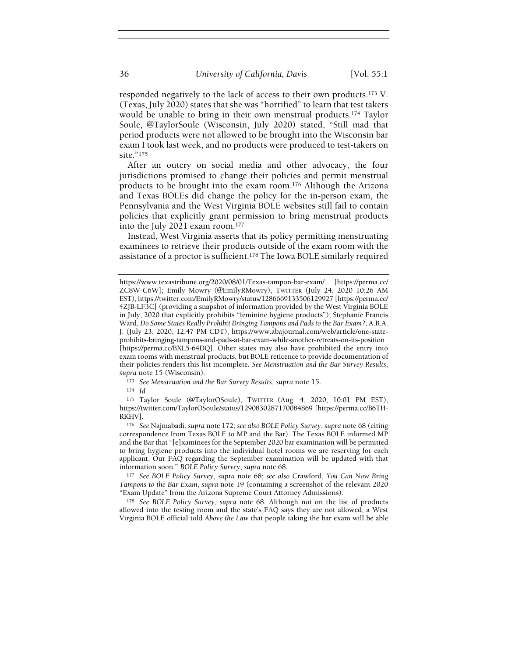responded negatively to the lack of access to their own products.173 V. (Texas, July 2020) states that she was "horrified" to learn that test takers would be unable to bring in their own menstrual products.174 Taylor Soule, @TaylorSoule (Wisconsin, July 2020) stated, "Still mad that period products were not allowed to be brought into the Wisconsin bar exam I took last week, and no products were produced to test-takers on site."<sup>175</sup>

After an outcry on social media and other advocacy, the four jurisdictions promised to change their policies and permit menstrual products to be brought into the exam room.176 Although the Arizona and Texas BOLEs did change the policy for the in-person exam, the Pennsylvania and the West Virginia BOLE websites still fail to contain policies that explicitly grant permission to bring menstrual products into the July 2021 exam room.<sup>177</sup>

Instead, West Virginia asserts that its policy permitting menstruating examinees to retrieve their products outside of the exam room with the assistance of a proctor is sufficient.178 The Iowa BOLE similarly required

173 See Menstruation and the Bar Survey Results, supra note 15.

<sup>174</sup> Id.

<sup>175</sup> Taylor Soule (@TaylorOSoule), TWITTER (Aug. 4, 2020, 10:01 PM EST), https://twitter.com/TaylorOSoule/status/1290830287170084869 [https://perma.cc/B6TH-RKHV].

<sup>176</sup> See Najmabadi, supra note 172; see also BOLE Policy Survey, supra note 68 (citing correspondence from Texas BOLE to MP and the Bar). The Texas BOLE informed MP and the Bar that "[e]xaminees for the September 2020 bar examination will be permitted to bring hygiene products into the individual hotel rooms we are reserving for each applicant. Our FAQ regarding the September examination will be updated with that information soon." BOLE Policy Survey, supra note 68.

177 See BOLE Policy Survey, supra note 68; see also Crawford, You Can Now Bring Tampons to the Bar Exam, supra note 19 (containing a screenshot of the relevant 2020 "Exam Update" from the Arizona Supreme Court Attorney Admissions).

<sup>178</sup> See BOLE Policy Survey, supra note 68. Although not on the list of products allowed into the testing room and the state's FAQ says they are not allowed, a West Virginia BOLE official told Above the Law that people taking the bar exam will be able

https://www.texastribune.org/2020/08/01/Texas-tampon-bar-exam/ [https://perma.cc/ ZC8W-C6W]; Emily Mowry (@EmilyRMowry), TWITTER (July 24, 2020 10:26 AM EST), https://twitter.com/EmilyRMowry/status/1286669133506129927 [https://perma.cc/ 4ZJB-LF3C] (providing a snapshot of information provided by the West Virginia BOLE in July, 2020 that explicitly prohibits "feminine hygiene products"); Stephanie Francis Ward, Do Some States Really Prohibit Bringing Tampons and Pads to the Bar Exam?, A.B.A. J. (July 23, 2020, 12:47 PM CDT), https://www.abajournal.com/web/article/one-stateprohibits-bringing-tampons-and-pads-at-bar-exam-while-another-retreats-on-its-position [https://perma.cc/BXL5-64DQ]. Other states may also have prohibited the entry into exam rooms with menstrual products, but BOLE reticence to provide documentation of their policies renders this list incomplete. See Menstruation and the Bar Survey Results, supra note 15 (Wisconsin).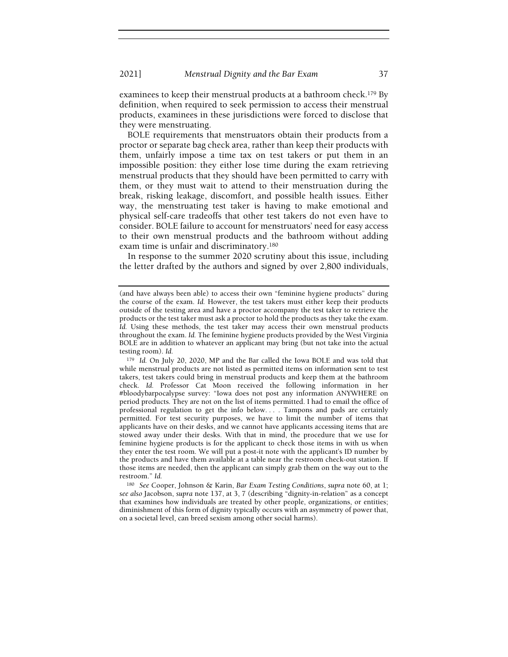examinees to keep their menstrual products at a bathroom check.<sup>179</sup> By definition, when required to seek permission to access their menstrual products, examinees in these jurisdictions were forced to disclose that they were menstruating.

BOLE requirements that menstruators obtain their products from a proctor or separate bag check area, rather than keep their products with them, unfairly impose a time tax on test takers or put them in an impossible position: they either lose time during the exam retrieving menstrual products that they should have been permitted to carry with them, or they must wait to attend to their menstruation during the break, risking leakage, discomfort, and possible health issues. Either way, the menstruating test taker is having to make emotional and physical self-care tradeoffs that other test takers do not even have to consider. BOLE failure to account for menstruators' need for easy access to their own menstrual products and the bathroom without adding exam time is unfair and discriminatory.<sup>180</sup>

In response to the summer 2020 scrutiny about this issue, including the letter drafted by the authors and signed by over 2,800 individuals,

<sup>179</sup> Id. On July 20, 2020, MP and the Bar called the Iowa BOLE and was told that while menstrual products are not listed as permitted items on information sent to test takers, test takers could bring in menstrual products and keep them at the bathroom check. Id. Professor Cat Moon received the following information in her #bloodybarpocalypse survey: "Iowa does not post any information ANYWHERE on period products. They are not on the list of items permitted. I had to email the office of professional regulation to get the info below. . . . Tampons and pads are certainly permitted. For test security purposes, we have to limit the number of items that applicants have on their desks, and we cannot have applicants accessing items that are stowed away under their desks. With that in mind, the procedure that we use for feminine hygiene products is for the applicant to check those items in with us when they enter the test room. We will put a post-it note with the applicant's ID number by the products and have them available at a table near the restroom check-out station. If those items are needed, then the applicant can simply grab them on the way out to the restroom." Id.

<sup>180</sup> See Cooper, Johnson & Karin, Bar Exam Testing Conditions, supra note 60, at 1; see also Jacobson, supra note 137, at 3, 7 (describing "dignity-in-relation" as a concept that examines how individuals are treated by other people, organizations, or entities; diminishment of this form of dignity typically occurs with an asymmetry of power that, on a societal level, can breed sexism among other social harms).

<sup>(</sup>and have always been able) to access their own "feminine hygiene products" during the course of the exam. Id. However, the test takers must either keep their products outside of the testing area and have a proctor accompany the test taker to retrieve the products or the test taker must ask a proctor to hold the products as they take the exam. Id. Using these methods, the test taker may access their own menstrual products throughout the exam. Id. The feminine hygiene products provided by the West Virginia BOLE are in addition to whatever an applicant may bring (but not take into the actual testing room). Id.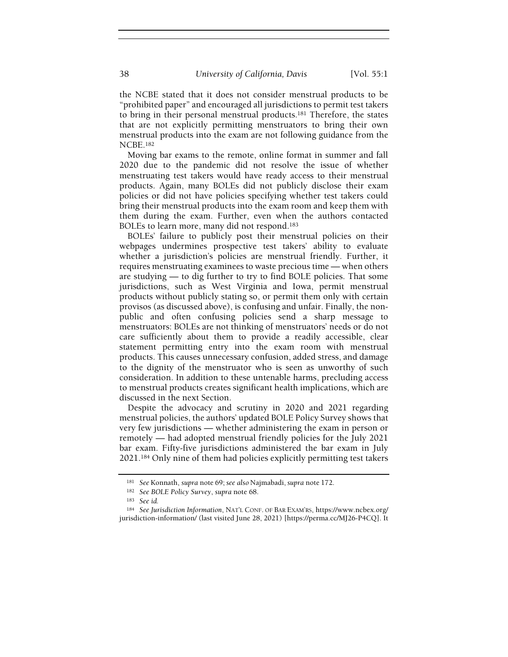the NCBE stated that it does not consider menstrual products to be "prohibited paper" and encouraged all jurisdictions to permit test takers to bring in their personal menstrual products.181 Therefore, the states that are not explicitly permitting menstruators to bring their own menstrual products into the exam are not following guidance from the NCBE.<sup>182</sup>

Moving bar exams to the remote, online format in summer and fall 2020 due to the pandemic did not resolve the issue of whether menstruating test takers would have ready access to their menstrual products. Again, many BOLEs did not publicly disclose their exam policies or did not have policies specifying whether test takers could bring their menstrual products into the exam room and keep them with them during the exam. Further, even when the authors contacted BOLEs to learn more, many did not respond.<sup>183</sup>

BOLEs' failure to publicly post their menstrual policies on their webpages undermines prospective test takers' ability to evaluate whether a jurisdiction's policies are menstrual friendly. Further, it requires menstruating examinees to waste precious time — when others are studying — to dig further to try to find BOLE policies. That some jurisdictions, such as West Virginia and Iowa, permit menstrual products without publicly stating so, or permit them only with certain provisos (as discussed above), is confusing and unfair. Finally, the nonpublic and often confusing policies send a sharp message to menstruators: BOLEs are not thinking of menstruators' needs or do not care sufficiently about them to provide a readily accessible, clear statement permitting entry into the exam room with menstrual products. This causes unnecessary confusion, added stress, and damage to the dignity of the menstruator who is seen as unworthy of such consideration. In addition to these untenable harms, precluding access to menstrual products creates significant health implications, which are discussed in the next Section.

Despite the advocacy and scrutiny in 2020 and 2021 regarding menstrual policies, the authors' updated BOLE Policy Survey shows that very few jurisdictions — whether administering the exam in person or remotely — had adopted menstrual friendly policies for the July 2021 bar exam. Fifty-five jurisdictions administered the bar exam in July 2021.184 Only nine of them had policies explicitly permitting test takers

<sup>181</sup> See Konnath, supra note 69; see also Najmabadi, supra note 172.

<sup>182</sup> See BOLE Policy Survey, supra note 68.

<sup>183</sup> See id.

<sup>184</sup> See Jurisdiction Information, NAT'L CONF. OF BAR EXAM'RS, https://www.ncbex.org/ jurisdiction-information/ (last visited June 28, 2021) [https://perma.cc/MJ26-P4CQ]. It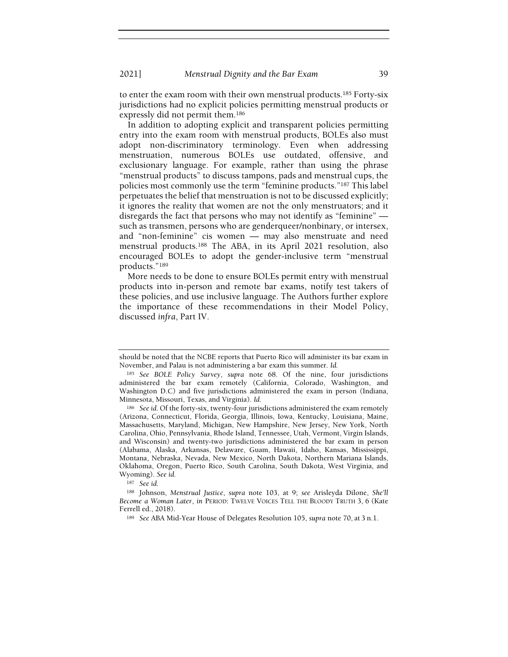to enter the exam room with their own menstrual products.185 Forty-six jurisdictions had no explicit policies permitting menstrual products or expressly did not permit them.<sup>186</sup>

In addition to adopting explicit and transparent policies permitting entry into the exam room with menstrual products, BOLEs also must adopt non-discriminatory terminology. Even when addressing menstruation, numerous BOLEs use outdated, offensive, and exclusionary language. For example, rather than using the phrase "menstrual products" to discuss tampons, pads and menstrual cups, the policies most commonly use the term "feminine products."187 This label perpetuates the belief that menstruation is not to be discussed explicitly; it ignores the reality that women are not the only menstruators; and it disregards the fact that persons who may not identify as "feminine" such as transmen, persons who are genderqueer/nonbinary, or intersex, and "non-feminine" cis women — may also menstruate and need menstrual products.188 The ABA, in its April 2021 resolution, also encouraged BOLEs to adopt the gender-inclusive term "menstrual products."<sup>189</sup>

More needs to be done to ensure BOLEs permit entry with menstrual products into in-person and remote bar exams, notify test takers of these policies, and use inclusive language. The Authors further explore the importance of these recommendations in their Model Policy, discussed infra, Part IV.

<sup>187</sup> See id.

should be noted that the NCBE reports that Puerto Rico will administer its bar exam in November, and Palau is not administering a bar exam this summer. Id.

<sup>185</sup> See BOLE Policy Survey, supra note 68. Of the nine, four jurisdictions administered the bar exam remotely (California, Colorado, Washington, and Washington D.C) and five jurisdictions administered the exam in person (Indiana, Minnesota, Missouri, Texas, and Virginia). Id.

<sup>186</sup> See id. Of the forty-six, twenty-four jurisdictions administered the exam remotely (Arizona, Connecticut, Florida, Georgia, Illinois, Iowa, Kentucky, Louisiana, Maine, Massachusetts, Maryland, Michigan, New Hampshire, New Jersey, New York, North Carolina, Ohio, Pennsylvania, Rhode Island, Tennessee, Utah, Vermont, Virgin Islands, and Wisconsin) and twenty-two jurisdictions administered the bar exam in person (Alabama, Alaska, Arkansas, Delaware, Guam, Hawaii, Idaho, Kansas, Mississippi, Montana, Nebraska, Nevada, New Mexico, North Dakota, Northern Mariana Islands, Oklahoma, Oregon, Puerto Rico, South Carolina, South Dakota, West Virginia, and Wyoming). See id.

<sup>188</sup> Johnson, Menstrual Justice, supra note 103, at 9; see Arisleyda Dilone, She'll Become a Woman Later, in PERIOD: TWELVE VOICES TELL THE BLOODY TRUTH 3, 6 (Kate Ferrell ed., 2018).

<sup>&</sup>lt;sup>189</sup> See ABA Mid-Year House of Delegates Resolution 105, supra note 70, at 3 n.1.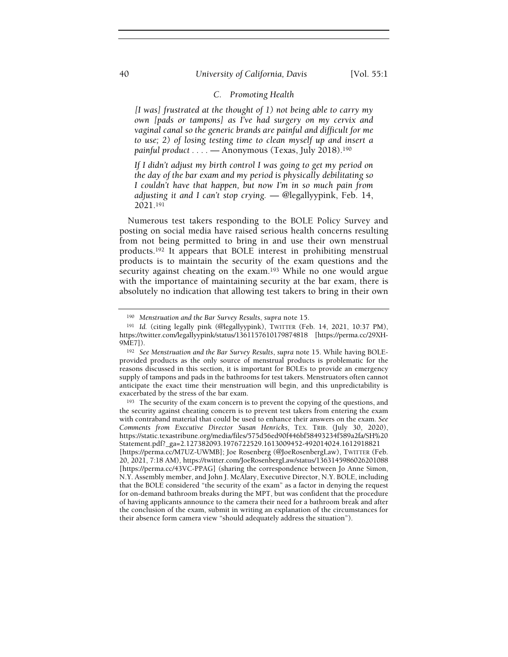## 40 University of California, Davis [Vol. 55:1]

# C. Promoting Health

[I was] frustrated at the thought of 1) not being able to carry my own [pads or tampons] as I've had surgery on my cervix and vaginal canal so the generic brands are painful and difficult for me to use; 2) of losing testing time to clean myself up and insert a painful product . . . . - Anonymous (Texas, July 2018).<sup>190</sup>

If I didn't adjust my birth control I was going to get my period on the day of the bar exam and my period is physically debilitating so I couldn't have that happen, but now I'm in so much pain from adjusting it and I can't stop crying. — @legallyypink, Feb. 14, 2021.<sup>191</sup>

Numerous test takers responding to the BOLE Policy Survey and posting on social media have raised serious health concerns resulting from not being permitted to bring in and use their own menstrual products.192 It appears that BOLE interest in prohibiting menstrual products is to maintain the security of the exam questions and the security against cheating on the exam.<sup>193</sup> While no one would argue with the importance of maintaining security at the bar exam, there is absolutely no indication that allowing test takers to bring in their own

<sup>190</sup> Menstruation and the Bar Survey Results, supra note 15.

<sup>191</sup> Id. (citing legally pink (@legallyypink), TWITTER (Feb. 14, 2021, 10:37 PM), https://twitter.com/legallyypink/status/1361157610179874818 [https://perma.cc/29XH-9ME7]).

<sup>192</sup> See Menstruation and the Bar Survey Results, supra note 15. While having BOLEprovided products as the only source of menstrual products is problematic for the reasons discussed in this section, it is important for BOLEs to provide an emergency supply of tampons and pads in the bathrooms for test takers. Menstruators often cannot anticipate the exact time their menstruation will begin, and this unpredictability is exacerbated by the stress of the bar exam.

<sup>193</sup> The security of the exam concern is to prevent the copying of the questions, and the security against cheating concern is to prevent test takers from entering the exam with contraband material that could be used to enhance their answers on the exam. See Comments from Executive Director Susan Henricks, TEX. TRIB. (July 30, 2020), https://static.texastribune.org/media/files/575d56ed90f446bf58493234f589a2fa/SH%20 Statement.pdf?\_ga=2.127382093.1976722529.1613009452-492014024.1612918821 [https://perma.cc/M7UZ-UWMB]; Joe Rosenberg (@JoeRosenbergLaw), TWITTER (Feb. 20, 2021, 7:18 AM), https://twitter.com/JoeRosenbergLaw/status/1363145986026201088 [https://perma.cc/43VC-PPAG] (sharing the correspondence between Jo Anne Simon, N.Y. Assembly member, and John J. McAlary, Executive Director, N.Y. BOLE, including that the BOLE considered "the security of the exam" as a factor in denying the request for on-demand bathroom breaks during the MPT, but was confident that the procedure of having applicants announce to the camera their need for a bathroom break and after the conclusion of the exam, submit in writing an explanation of the circumstances for their absence form camera view "should adequately address the situation").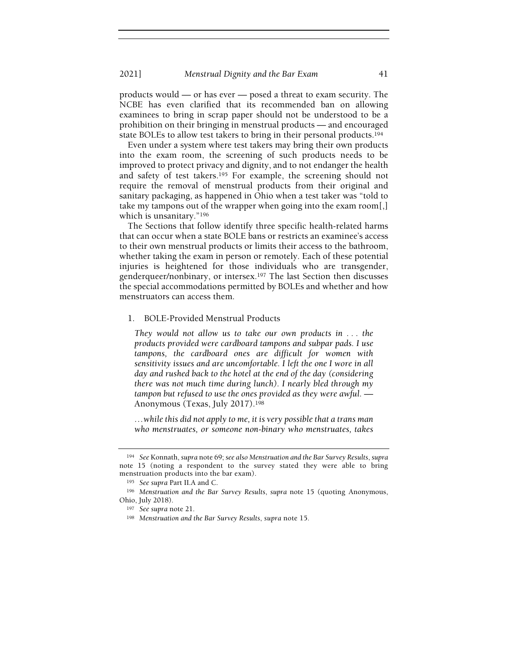2021] Menstrual Dignity and the Bar Exam 41

products would — or has ever — posed a threat to exam security. The NCBE has even clarified that its recommended ban on allowing examinees to bring in scrap paper should not be understood to be a prohibition on their bringing in menstrual products — and encouraged state BOLEs to allow test takers to bring in their personal products.<sup>194</sup>

Even under a system where test takers may bring their own products into the exam room, the screening of such products needs to be improved to protect privacy and dignity, and to not endanger the health and safety of test takers.195 For example, the screening should not require the removal of menstrual products from their original and sanitary packaging, as happened in Ohio when a test taker was "told to take my tampons out of the wrapper when going into the exam room[,] which is unsanitary."<sup>196</sup>

The Sections that follow identify three specific health-related harms that can occur when a state BOLE bans or restricts an examinee's access to their own menstrual products or limits their access to the bathroom, whether taking the exam in person or remotely. Each of these potential injuries is heightened for those individuals who are transgender, genderqueer/nonbinary, or intersex.197 The last Section then discusses the special accommodations permitted by BOLEs and whether and how menstruators can access them.

#### 1. BOLE-Provided Menstrual Products

They would not allow us to take our own products in . . . the products provided were cardboard tampons and subpar pads. I use tampons, the cardboard ones are difficult for women with sensitivity issues and are uncomfortable. I left the one I wore in all day and rushed back to the hotel at the end of the day (considering there was not much time during lunch). I nearly bled through my tampon but refused to use the ones provided as they were awful. — Anonymous (Texas, July 2017).<sup>198</sup>

…while this did not apply to me, it is very possible that a trans man who menstruates, or someone non-binary who menstruates, takes

<sup>194</sup> See Konnath, supra note 69; see also Menstruation and the Bar Survey Results, supra note 15 (noting a respondent to the survey stated they were able to bring menstruation products into the bar exam).

<sup>195</sup> See supra Part II.A and C.

<sup>196</sup> Menstruation and the Bar Survey Results, supra note 15 (quoting Anonymous, Ohio, July 2018).

<sup>197</sup> See supra note 21.

<sup>198</sup> Menstruation and the Bar Survey Results, supra note 15.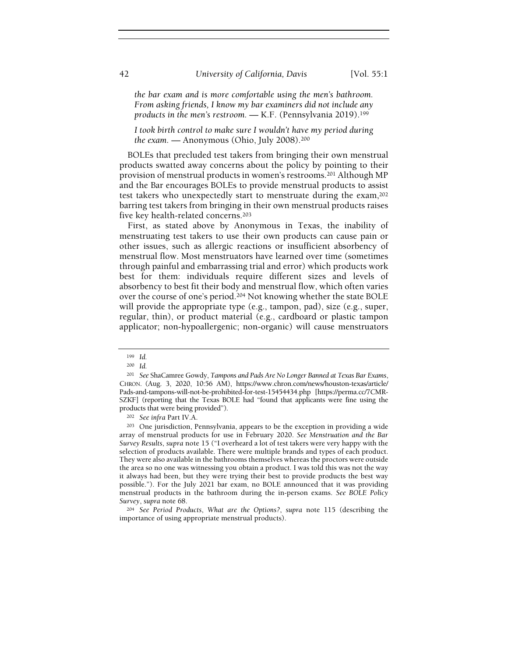the bar exam and is more comfortable using the men's bathroom. From asking friends, I know my bar examiners did not include any products in the men's restroom. — K.F. (Pennsylvania 2019).<sup>199</sup>

I took birth control to make sure I wouldn't have my period during the exam. — Anonymous (Ohio, July 2008).<sup>200</sup>

BOLEs that precluded test takers from bringing their own menstrual products swatted away concerns about the policy by pointing to their provision of menstrual products in women's restrooms.201 Although MP and the Bar encourages BOLEs to provide menstrual products to assist test takers who unexpectedly start to menstruate during the exam,<sup>202</sup> barring test takers from bringing in their own menstrual products raises five key health-related concerns.<sup>203</sup>

First, as stated above by Anonymous in Texas, the inability of menstruating test takers to use their own products can cause pain or other issues, such as allergic reactions or insufficient absorbency of menstrual flow. Most menstruators have learned over time (sometimes through painful and embarrassing trial and error) which products work best for them: individuals require different sizes and levels of absorbency to best fit their body and menstrual flow, which often varies over the course of one's period.204 Not knowing whether the state BOLE will provide the appropriate type (e.g., tampon, pad), size (e.g., super, regular, thin), or product material (e.g., cardboard or plastic tampon applicator; non-hypoallergenic; non-organic) will cause menstruators

<sup>199</sup> Id.

<sup>200</sup> Id.

<sup>&</sup>lt;sup>201</sup> See ShaCamree Gowdy, Tampons and Pads Are No Longer Banned at Texas Bar Exams, CHRON. (Aug. 3, 2020, 10:56 AM), https://www.chron.com/news/houston-texas/article/ Pads-and-tampons-will-not-be-prohibited-for-test-15454434.php [https://perma.cc/7CMR-SZKF] (reporting that the Texas BOLE had "found that applicants were fine using the products that were being provided").

<sup>202</sup> See infra Part IV.A.

<sup>203</sup> One jurisdiction, Pennsylvania, appears to be the exception in providing a wide array of menstrual products for use in February 2020. See Menstruation and the Bar Survey Results, supra note 15 ("I overheard a lot of test takers were very happy with the selection of products available. There were multiple brands and types of each product. They were also available in the bathrooms themselves whereas the proctors were outside the area so no one was witnessing you obtain a product. I was told this was not the way it always had been, but they were trying their best to provide products the best way possible."). For the July 2021 bar exam, no BOLE announced that it was providing menstrual products in the bathroom during the in-person exams. See BOLE Policy Survey, supra note 68.

<sup>204</sup> See Period Products, What are the Options?, supra note 115 (describing the importance of using appropriate menstrual products).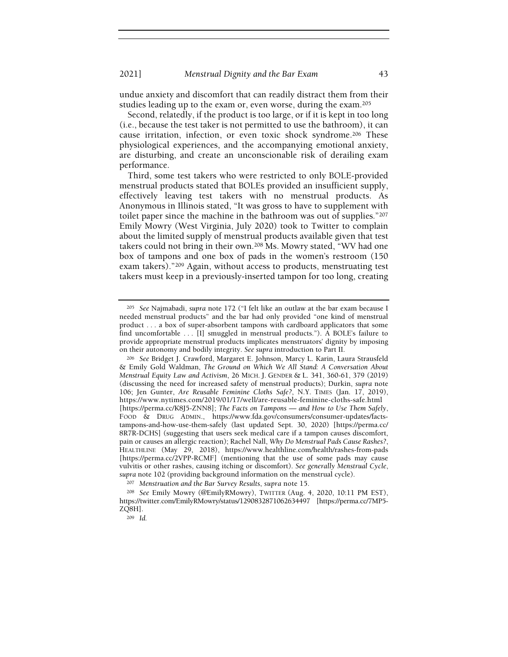undue anxiety and discomfort that can readily distract them from their studies leading up to the exam or, even worse, during the exam.<sup>205</sup>

Second, relatedly, if the product is too large, or if it is kept in too long (i.e., because the test taker is not permitted to use the bathroom), it can cause irritation, infection, or even toxic shock syndrome.206 These physiological experiences, and the accompanying emotional anxiety, are disturbing, and create an unconscionable risk of derailing exam performance.

Third, some test takers who were restricted to only BOLE-provided menstrual products stated that BOLEs provided an insufficient supply, effectively leaving test takers with no menstrual products. As Anonymous in Illinois stated, "It was gross to have to supplement with toilet paper since the machine in the bathroom was out of supplies."<sup>207</sup> Emily Mowry (West Virginia, July 2020) took to Twitter to complain about the limited supply of menstrual products available given that test takers could not bring in their own.208 Ms. Mowry stated, "WV had one box of tampons and one box of pads in the women's restroom (150 exam takers)."209 Again, without access to products, menstruating test takers must keep in a previously-inserted tampon for too long, creating

<sup>209</sup> Id.

<sup>205</sup> See Najmabadi, supra note 172 ("I felt like an outlaw at the bar exam because I needed menstrual products" and the bar had only provided "one kind of menstrual product . . . a box of super-absorbent tampons with cardboard applicators that some find uncomfortable . . . [I] smuggled in menstrual products."). A BOLE's failure to provide appropriate menstrual products implicates menstruators' dignity by imposing on their autonomy and bodily integrity. See supra introduction to Part II.

<sup>206</sup> See Bridget J. Crawford, Margaret E. Johnson, Marcy L. Karin, Laura Strausfeld & Emily Gold Waldman, The Ground on Which We All Stand: A Conversation About Menstrual Equity Law and Activism, 26 MICH. J. GENDER & L. 341, 360-61, 379 (2019) (discussing the need for increased safety of menstrual products); Durkin, supra note 106; Jen Gunter, Are Reusable Feminine Cloths Safe?, N.Y. TIMES (Jan. 17, 2019), https://www.nytimes.com/2019/01/17/well/are-reusable-feminine-cloths-safe.html [https://perma.cc/K8J5-ZNN8]; The Facts on Tampons — and How to Use Them Safely, FOOD & DRUG ADMIN., https://www.fda.gov/consumers/consumer-updates/factstampons-and-how-use-them-safely (last updated Sept. 30, 2020) [https://perma.cc/ 8R7R-DCHS] (suggesting that users seek medical care if a tampon causes discomfort, pain or causes an allergic reaction); Rachel Nall, Why Do Menstrual Pads Cause Rashes?, HEALTHLINE (May 29, 2018), https://www.healthline.com/health/rashes-from-pads [https://perma.cc/2VPP-RCMF] (mentioning that the use of some pads may cause vulvitis or other rashes, causing itching or discomfort). See generally Menstrual Cycle, supra note 102 (providing background information on the menstrual cycle).

<sup>207</sup> Menstruation and the Bar Survey Results, supra note 15.

<sup>208</sup> See Emily Mowry (@EmilyRMowry), TWITTER (Aug. 4, 2020, 10:11 PM EST), https://twitter.com/EmilyRMowry/status/1290832871062634497 [https://perma.cc/7MP5- ZQ8H].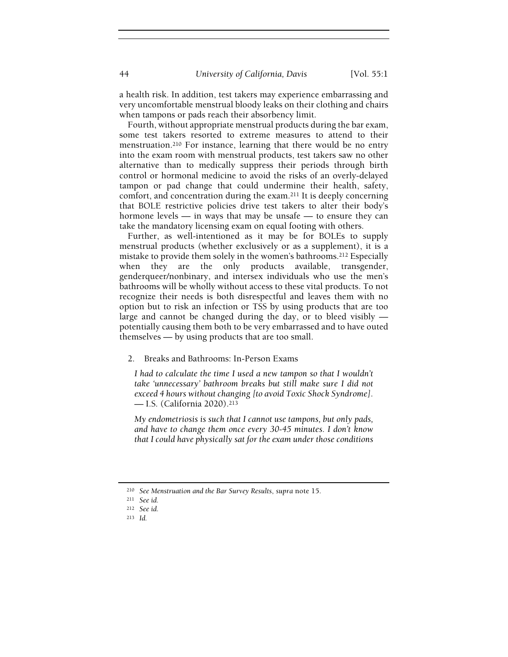a health risk. In addition, test takers may experience embarrassing and very uncomfortable menstrual bloody leaks on their clothing and chairs when tampons or pads reach their absorbency limit.

Fourth, without appropriate menstrual products during the bar exam, some test takers resorted to extreme measures to attend to their menstruation.210 For instance, learning that there would be no entry into the exam room with menstrual products, test takers saw no other alternative than to medically suppress their periods through birth control or hormonal medicine to avoid the risks of an overly-delayed tampon or pad change that could undermine their health, safety, comfort, and concentration during the exam.211 It is deeply concerning that BOLE restrictive policies drive test takers to alter their body's hormone levels — in ways that may be unsafe — to ensure they can take the mandatory licensing exam on equal footing with others.

Further, as well-intentioned as it may be for BOLEs to supply menstrual products (whether exclusively or as a supplement), it is a mistake to provide them solely in the women's bathrooms.212 Especially when they are the only products available, transgender, genderqueer/nonbinary, and intersex individuals who use the men's bathrooms will be wholly without access to these vital products. To not recognize their needs is both disrespectful and leaves them with no option but to risk an infection or TSS by using products that are too large and cannot be changed during the day, or to bleed visibly potentially causing them both to be very embarrassed and to have outed themselves — by using products that are too small.

2. Breaks and Bathrooms: In-Person Exams

I had to calculate the time I used a new tampon so that I wouldn't take 'unnecessary' bathroom breaks but still make sure I did not exceed 4 hours without changing [to avoid Toxic Shock Syndrome]. — I.S. (California 2020).<sup>213</sup>

My endometriosis is such that I cannot use tampons, but only pads, and have to change them once every 30-45 minutes. I don't know that I could have physically sat for the exam under those conditions

<sup>210</sup> See Menstruation and the Bar Survey Results, supra note 15.

<sup>211</sup> See id.

<sup>212</sup> See id.

<sup>213</sup> Id.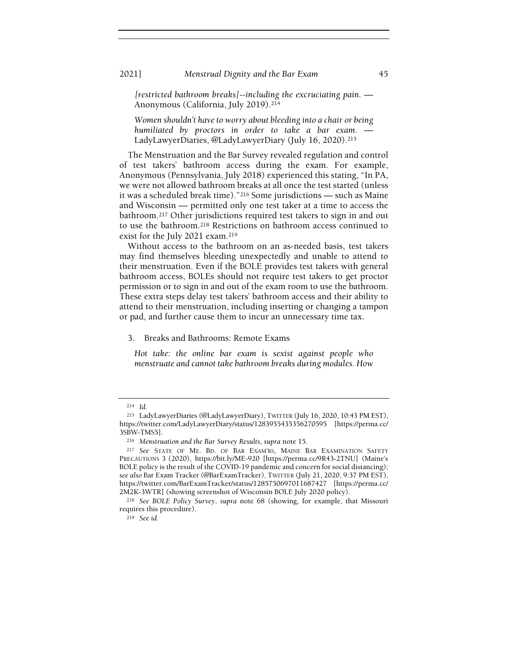2021] Menstrual Dignity and the Bar Exam 45

[restricted bathroom breaks]--including the excruciating pain. — Anonymous (California, July 2019).<sup>214</sup>

Women shouldn't have to worry about bleeding into a chair or being humiliated by proctors in order to take a bar exam. LadyLawyerDiaries, @LadyLawyerDiary (July 16, 2020).<sup>215</sup>

The Menstruation and the Bar Survey revealed regulation and control of test takers' bathroom access during the exam. For example, Anonymous (Pennsylvania, July 2018) experienced this stating, "In PA, we were not allowed bathroom breaks at all once the test started (unless it was a scheduled break time)."216 Some jurisdictions — such as Maine and Wisconsin — permitted only one test taker at a time to access the bathroom.217 Other jurisdictions required test takers to sign in and out to use the bathroom.218 Restrictions on bathroom access continued to exist for the July 2021 exam.<sup>219</sup>

Without access to the bathroom on an as-needed basis, test takers may find themselves bleeding unexpectedly and unable to attend to their menstruation. Even if the BOLE provides test takers with general bathroom access, BOLEs should not require test takers to get proctor permission or to sign in and out of the exam room to use the bathroom. These extra steps delay test takers' bathroom access and their ability to attend to their menstruation, including inserting or changing a tampon or pad, and further cause them to incur an unnecessary time tax.

# 3. Breaks and Bathrooms: Remote Exams

Hot take: the online bar exam is sexist against people who menstruate and cannot take bathroom breaks during modules. How

<sup>214</sup> Id.

<sup>215</sup> LadyLawyerDiaries (@LadyLawyerDiary), TWITTER (July 16, 2020, 10:43 PM EST), https://twitter.com/LadyLawyerDiary/status/1283955435356270595 [https://perma.cc/ 3SBW-TMS5].

<sup>216</sup> Menstruation and the Bar Survey Results, supra note 15.

<sup>217</sup> See STATE OF ME. BD. OF BAR EXAM'RS, MAINE BAR EXAMINATION SAFETY PRECAUTIONS 3 (2020), https://bit.ly/ME-920 [https://perma.cc/9R43-2TNU] (Maine's BOLE policy is the result of the COVID-19 pandemic and concern for social distancing); see also Bar Exam Tracker (@BarExamTracker), TWITTER (July 21, 2020, 9:37 PM EST), https://twitter.com/BarExamTracker/status/1285750697011687427 [https://perma.cc/ 2M2K-3WTR] (showing screenshot of Wisconsin BOLE July 2020 policy).

<sup>218</sup> See BOLE Policy Survey, supra note 68 (showing, for example, that Missouri requires this procedure).

<sup>219</sup> See id.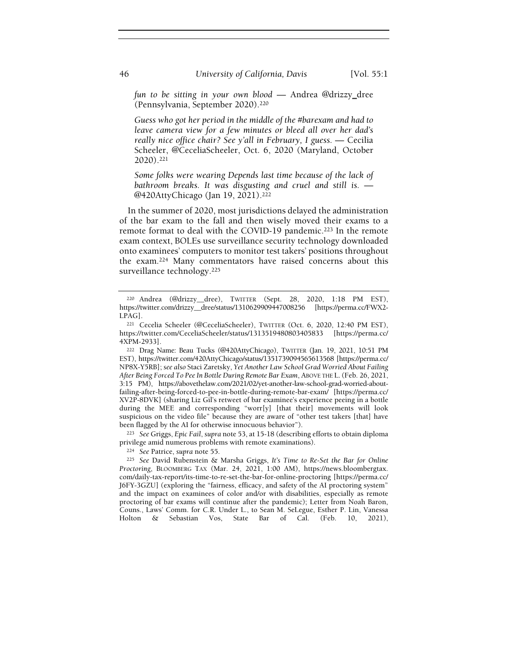fun to be sitting in your own blood — Andrea @drizzy\_dree (Pennsylvania, September 2020).<sup>220</sup>

Guess who got her period in the middle of the #barexam and had to leave camera view for a few minutes or bleed all over her dad's really nice office chair? See y'all in February, I guess. — Cecilia Scheeler, @CeceliaScheeler, Oct. 6, 2020 (Maryland, October 2020).<sup>221</sup>

Some folks were wearing Depends last time because of the lack of bathroom breaks. It was disgusting and cruel and still is. — @420AttyChicago (Jan 19, 2021).<sup>222</sup>

In the summer of 2020, most jurisdictions delayed the administration of the bar exam to the fall and then wisely moved their exams to a remote format to deal with the COVID-19 pandemic.<sup>223</sup> In the remote exam context, BOLEs use surveillance security technology downloaded onto examinees' computers to monitor test takers' positions throughout the exam.224 Many commentators have raised concerns about this surveillance technology.<sup>225</sup>

<sup>223</sup> See Griggs, Epic Fail, supra note 53, at 15-18 (describing efforts to obtain diploma privilege amid numerous problems with remote examinations).

<sup>224</sup> See Patrice, supra note 55.

<sup>225</sup> See David Rubenstein & Marsha Griggs, It's Time to Re-Set the Bar for Online Proctoring, BLOOMBERG TAX (Mar. 24, 2021, 1:00 AM), https://news.bloombergtax. com/daily-tax-report/its-time-to-re-set-the-bar-for-online-proctoring [https://perma.cc/ J6FY-3GZU] (exploring the "fairness, efficacy, and safety of the AI proctoring system" and the impact on examinees of color and/or with disabilities, especially as remote proctoring of bar exams will continue after the pandemic); Letter from Noah Baron, Couns., Laws' Comm. for C.R. Under L., to Sean M. SeLegue, Esther P. Lin, Vanessa Holton & Sebastian Vos, State Bar of Cal. (Feb. 10, 2021),

<sup>220</sup> Andrea (@drizzy\_\_dree), TWITTER (Sept. 28, 2020, 1:18 PM EST), https://twitter.com/drizzy\_\_dree/status/1310629909447008256 [https://perma.cc/FWX2- LPAG].

<sup>221</sup> Cecelia Scheeler (@CeceliaScheeler), TWITTER (Oct. 6, 2020, 12:40 PM EST), https://twitter.com/CeceliaScheeler/status/1313519480803405833 [https://perma.cc/ 4XPM-2933].

<sup>222</sup> Drag Name: Beau Tucks (@420AttyChicago), TWITTER (Jan. 19, 2021, 10:51 PM EST), https://twitter.com/420AttyChicago/status/1351739094565613568 [https://perma.cc/ NP8X-Y5RB]; see also Staci Zaretsky, Yet Another Law School Grad Worried About Failing After Being Forced To Pee In Bottle During Remote Bar Exam, ABOVE THE L.(Feb. 26, 2021, 3:15 PM), https://abovethelaw.com/2021/02/yet-another-law-school-grad-worried-aboutfailing-after-being-forced-to-pee-in-bottle-during-remote-bar-exam/ [https://perma.cc/ XV2P-8DVK] (sharing Liz Gil's retweet of bar examinee's experience peeing in a bottle during the MEE and corresponding "worr[y] [that their] movements will look suspicious on the video file" because they are aware of "other test takers [that] have been flagged by the AI for otherwise innocuous behavior").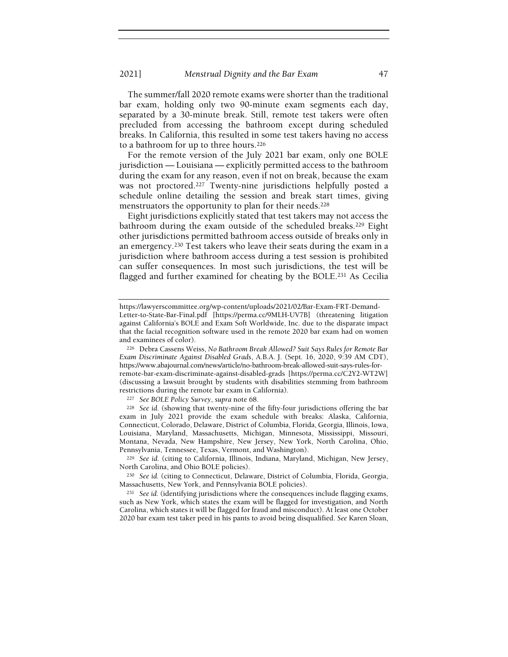The summer/fall 2020 remote exams were shorter than the traditional bar exam, holding only two 90-minute exam segments each day, separated by a 30-minute break. Still, remote test takers were often precluded from accessing the bathroom except during scheduled breaks. In California, this resulted in some test takers having no access to a bathroom for up to three hours.<sup>226</sup>

For the remote version of the July 2021 bar exam, only one BOLE jurisdiction — Louisiana — explicitly permitted access to the bathroom during the exam for any reason, even if not on break, because the exam was not proctored.<sup>227</sup> Twenty-nine jurisdictions helpfully posted a schedule online detailing the session and break start times, giving menstruators the opportunity to plan for their needs.<sup>228</sup>

Eight jurisdictions explicitly stated that test takers may not access the bathroom during the exam outside of the scheduled breaks.229 Eight other jurisdictions permitted bathroom access outside of breaks only in an emergency.230 Test takers who leave their seats during the exam in a jurisdiction where bathroom access during a test session is prohibited can suffer consequences. In most such jurisdictions, the test will be flagged and further examined for cheating by the BOLE.231 As Cecilia

<sup>227</sup> See BOLE Policy Survey, supra note 68.

<sup>228</sup> See id. (showing that twenty-nine of the fifty-four jurisdictions offering the bar exam in July 2021 provide the exam schedule with breaks: Alaska, California, Connecticut, Colorado, Delaware, District of Columbia, Florida, Georgia, Illinois, Iowa, Louisiana, Maryland, Massachusetts, Michigan, Minnesota, Mississippi, Missouri, Montana, Nevada, New Hampshire, New Jersey, New York, North Carolina, Ohio, Pennsylvania, Tennessee, Texas, Vermont, and Washington).

<sup>229</sup> See id. (citing to California, Illinois, Indiana, Maryland, Michigan, New Jersey, North Carolina, and Ohio BOLE policies).

<sup>230</sup> See id. (citing to Connecticut, Delaware, District of Columbia, Florida, Georgia, Massachusetts, New York, and Pennsylvania BOLE policies).

<sup>231</sup> See id. (identifying jurisdictions where the consequences include flagging exams, such as New York, which states the exam will be flagged for investigation, and North Carolina, which states it will be flagged for fraud and misconduct). At least one October 2020 bar exam test taker peed in his pants to avoid being disqualified. See Karen Sloan,

https://lawyerscommittee.org/wp-content/uploads/2021/02/Bar-Exam-FRT-Demand-Letter-to-State-Bar-Final.pdf [https://perma.cc/9MLH-UV7B] (threatening litigation against California's BOLE and Exam Soft Worldwide, Inc. due to the disparate impact that the facial recognition software used in the remote 2020 bar exam had on women and examinees of color).

<sup>226</sup> Debra Cassens Weiss, No Bathroom Break Allowed? Suit Says Rules for Remote Bar Exam Discriminate Against Disabled Grads, A.B.A. J. (Sept. 16, 2020, 9:39 AM CDT), https://www.abajournal.com/news/article/no-bathroom-break-allowed-suit-says-rules-forremote-bar-exam-discriminate-against-disabled-grads [https://perma.cc/C2Y2-WT2W] (discussing a lawsuit brought by students with disabilities stemming from bathroom restrictions during the remote bar exam in California).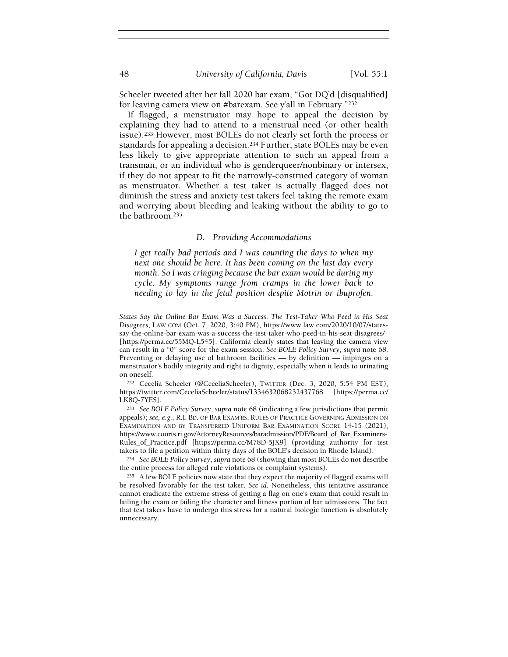Scheeler tweeted after her fall 2020 bar exam, "Got DQ'd [disqualified] for leaving camera view on #barexam. See y'all in February."<sup>232</sup>

If flagged, a menstruator may hope to appeal the decision by explaining they had to attend to a menstrual need (or other health issue).233 However, most BOLEs do not clearly set forth the process or standards for appealing a decision.234 Further, state BOLEs may be even less likely to give appropriate attention to such an appeal from a transman, or an individual who is genderqueer/nonbinary or intersex, if they do not appear to fit the narrowly-construed category of woman as menstruator. Whether a test taker is actually flagged does not diminish the stress and anxiety test takers feel taking the remote exam and worrying about bleeding and leaking without the ability to go to the bathroom.<sup>235</sup>

## D. Providing Accommodations

I get really bad periods and I was counting the days to when my next one should be here. It has been coming on the last day every month. So I was cringing because the bar exam would be during my cycle. My symptoms range from cramps in the lower back to needing to lay in the fetal position despite Motrin or ibuprofen.

<sup>232</sup> Cecelia Scheeler (@CeceliaScheeler), TWITTER (Dec. 3, 2020, 5:54 PM EST), https://twitter.com/CeceliaScheeler/status/1334632068232437768 [https://perma.cc/ LK8Q-7YES].

<sup>233</sup> See BOLE Policy Survey, supra note 68 (indicating a few jurisdictions that permit appeals); see, e.g., R.I. BD. OF BAR EXAM'RS, RULES OF PRACTICE GOVERNING ADMISSION ON EXAMINATION AND BY TRANSFERRED UNIFORM BAR EXAMINATION SCORE 14-15 (2021), https://www.courts.ri.gov/AttorneyResources/baradmission/PDF/Board\_of\_Bar\_Examiners-Rules\_of\_Practice.pdf [https://perma.cc/M78D-5JX9] (providing authority for test takers to file a petition within thirty days of the BOLE's decision in Rhode Island).

<sup>234</sup> See BOLE Policy Survey, supra note 68 (showing that most BOLEs do not describe the entire process for alleged rule violations or complaint systems).

States Say the Online Bar Exam Was a Success. The Test-Taker Who Peed in His Seat Disagrees, LAW.COM (Oct. 7, 2020, 3:40 PM), https://www.law.com/2020/10/07/statessay-the-online-bar-exam-was-a-success-the-test-taker-who-peed-in-his-seat-disagrees/ [https://perma.cc/55MQ-L545]. California clearly states that leaving the camera view can result in a "0" score for the exam session. See BOLE Policy Survey, supra note 68. Preventing or delaying use of bathroom facilities — by definition — impinges on a menstruator's bodily integrity and right to dignity, especially when it leads to urinating on oneself.

<sup>235</sup> A few BOLE policies now state that they expect the majority of flagged exams will be resolved favorably for the test taker. See id. Nonetheless, this tentative assurance cannot eradicate the extreme stress of getting a flag on one's exam that could result in failing the exam or failing the character and fitness portion of bar admissions. The fact that test takers have to undergo this stress for a natural biologic function is absolutely unnecessary.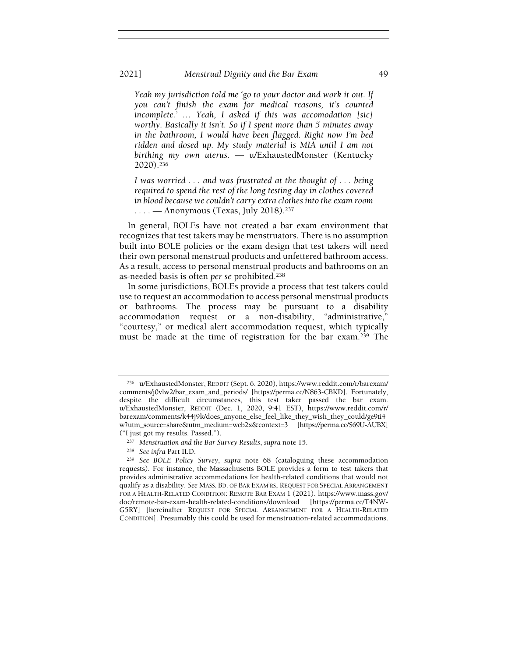#### 2021] Menstrual Dignity and the Bar Exam 49

Yeah my jurisdiction told me 'go to your doctor and work it out. If you can't finish the exam for medical reasons, it's counted incomplete.' … Yeah, I asked if this was accomodation [sic] worthy. Basically it isn't. So if I spent more than 5 minutes away in the bathroom, I would have been flagged. Right now I'm bed ridden and dosed up. My study material is MIA until I am not birthing my own uterus. — u/ExhaustedMonster (Kentucky 2020).<sup>236</sup>

I was worried . . . and was frustrated at the thought of . . . being required to spend the rest of the long testing day in clothes covered in blood because we couldn't carry extra clothes into the exam room  $\ldots$  — Anonymous (Texas, July 2018).<sup>237</sup>

In general, BOLEs have not created a bar exam environment that recognizes that test takers may be menstruators. There is no assumption built into BOLE policies or the exam design that test takers will need their own personal menstrual products and unfettered bathroom access. As a result, access to personal menstrual products and bathrooms on an as-needed basis is often per se prohibited.<sup>238</sup>

In some jurisdictions, BOLEs provide a process that test takers could use to request an accommodation to access personal menstrual products or bathrooms. The process may be pursuant to a disability accommodation request or a non-disability, "administrative," "courtesy," or medical alert accommodation request, which typically must be made at the time of registration for the bar exam.239 The

<sup>236</sup> u/ExhaustedMonster, REDDIT (Sept. 6, 2020), https://www.reddit.com/r/barexam/ comments/j0vlw2/bar\_exam\_and\_periods/ [https://perma.cc/N863-CBKD]. Fortunately, despite the difficult circumstances, this test taker passed the bar exam. u/ExhaustedMonster, REDDIT (Dec. 1, 2020, 9:41 EST), https://www.reddit.com/r/ barexam/comments/k44j9k/does\_anyone\_else\_feel\_like\_they\_wish\_they\_could/ge9ti4 w?utm\_source=share&utm\_medium=web2x&context=3 [https://perma.cc/S69U-AUBX] ("I just got my results. Passed.").

<sup>237</sup> Menstruation and the Bar Survey Results, supra note 15.

<sup>238</sup> See infra Part II.D.

<sup>239</sup> See BOLE Policy Survey, supra note 68 (cataloguing these accommodation requests). For instance, the Massachusetts BOLE provides a form to test takers that provides administrative accommodations for health-related conditions that would not qualify as a disability. See MASS. BD. OF BAR EXAM'RS, REQUEST FOR SPECIAL ARRANGEMENT FOR A HEALTH-RELATED CONDITION: REMOTE BAR EXAM 1 (2021), https://www.mass.gov/ doc/remote-bar-exam-health-related-conditions/download [https://perma.cc/T4NW-G5RY] [hereinafter REQUEST FOR SPECIAL ARRANGEMENT FOR A HEALTH-RELATED CONDITION]. Presumably this could be used for menstruation-related accommodations.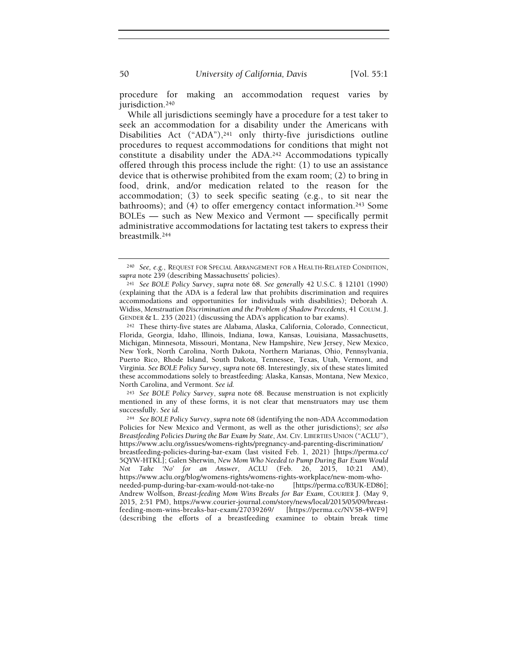procedure for making an accommodation request varies by jurisdiction.<sup>240</sup>

While all jurisdictions seemingly have a procedure for a test taker to seek an accommodation for a disability under the Americans with Disabilities Act ("ADA"),<sup>241</sup> only thirty-five jurisdictions outline procedures to request accommodations for conditions that might not constitute a disability under the ADA.242 Accommodations typically offered through this process include the right: (1) to use an assistance device that is otherwise prohibited from the exam room; (2) to bring in food, drink, and/or medication related to the reason for the accommodation; (3) to seek specific seating (e.g., to sit near the bathrooms); and (4) to offer emergency contact information.243 Some BOLEs — such as New Mexico and Vermont — specifically permit administrative accommodations for lactating test takers to express their breastmilk.<sup>244</sup>

<sup>243</sup> See BOLE Policy Survey, supra note 68. Because menstruation is not explicitly mentioned in any of these forms, it is not clear that menstruators may use them successfully. See id.

<sup>240</sup> See, e.g., REQUEST FOR SPECIAL ARRANGEMENT FOR A HEALTH-RELATED CONDITION, supra note 239 (describing Massachusetts' policies).

<sup>241</sup> See BOLE Policy Survey, supra note 68. See generally 42 U.S.C. § 12101 (1990) (explaining that the ADA is a federal law that prohibits discrimination and requires accommodations and opportunities for individuals with disabilities); Deborah A. Widiss, Menstruation Discrimination and the Problem of Shadow Precedents, 41 COLUM. J. GENDER & L. 235 (2021) (discussing the ADA's application to bar exams).

<sup>242</sup> These thirty-five states are Alabama, Alaska, California, Colorado, Connecticut, Florida, Georgia, Idaho, Illinois, Indiana, Iowa, Kansas, Louisiana, Massachusetts, Michigan, Minnesota, Missouri, Montana, New Hampshire, New Jersey, New Mexico, New York, North Carolina, North Dakota, Northern Marianas, Ohio, Pennsylvania, Puerto Rico, Rhode Island, South Dakota, Tennessee, Texas, Utah, Vermont, and Virginia. See BOLE Policy Survey, supra note 68. Interestingly, six of these states limited these accommodations solely to breastfeeding: Alaska, Kansas, Montana, New Mexico, North Carolina, and Vermont. See id.

<sup>244</sup> See BOLE Policy Survey, supra note 68 (identifying the non-ADA Accommodation Policies for New Mexico and Vermont, as well as the other jurisdictions); see also Breastfeeding Policies During the Bar Exam by State, AM. CIV. LIBERTIES UNION ("ACLU"), https://www.aclu.org/issues/womens-rights/pregnancy-and-parenting-discrimination/ breastfeeding-policies-during-bar-exam (last visited Feb. 1, 2021) [https://perma.cc/ 5QYW-HTKL]; Galen Sherwin, New Mom Who Needed to Pump During Bar Exam Would Not Take 'No' for an Answer, ACLU (Feb. 26, 2015, 10:21 AM), https://www.aclu.org/blog/womens-rights/womens-rights-workplace/new-mom-whoneeded-pump-during-bar-exam-would-not-take-no [https://perma.cc/B3UK-ED86]; Andrew Wolfson, Breast-feeding Mom Wins Breaks for Bar Exam, COURIER J. (May 9, 2015, 2:51 PM), https://www.courier-journal.com/story/news/local/2015/05/09/breastfeeding-mom-wins-breaks-bar-exam/27039269/ [https://perma.cc/NV58-4WF9] (describing the efforts of a breastfeeding examinee to obtain break time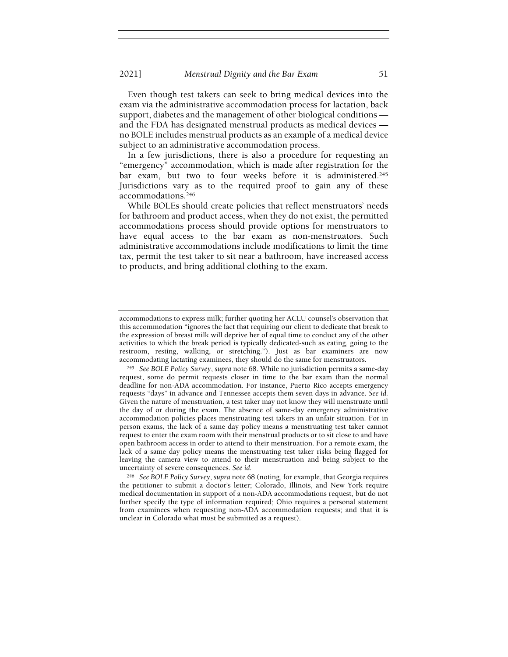Even though test takers can seek to bring medical devices into the exam via the administrative accommodation process for lactation, back support, diabetes and the management of other biological conditions and the FDA has designated menstrual products as medical devices no BOLE includes menstrual products as an example of a medical device subject to an administrative accommodation process.

In a few jurisdictions, there is also a procedure for requesting an "emergency" accommodation, which is made after registration for the bar exam, but two to four weeks before it is administered.<sup>245</sup> Jurisdictions vary as to the required proof to gain any of these accommodations.<sup>246</sup>

While BOLEs should create policies that reflect menstruators' needs for bathroom and product access, when they do not exist, the permitted accommodations process should provide options for menstruators to have equal access to the bar exam as non-menstruators. Such administrative accommodations include modifications to limit the time tax, permit the test taker to sit near a bathroom, have increased access to products, and bring additional clothing to the exam.

accommodations to express milk; further quoting her ACLU counsel's observation that this accommodation "ignores the fact that requiring our client to dedicate that break to the expression of breast milk will deprive her of equal time to conduct any of the other activities to which the break period is typically dedicated-such as eating, going to the restroom, resting, walking, or stretching."). Just as bar examiners are now accommodating lactating examinees, they should do the same for menstruators.

<sup>245</sup> See BOLE Policy Survey, supra note 68. While no jurisdiction permits a same-day request, some do permit requests closer in time to the bar exam than the normal deadline for non-ADA accommodation. For instance, Puerto Rico accepts emergency requests "days" in advance and Tennessee accepts them seven days in advance. See id. Given the nature of menstruation, a test taker may not know they will menstruate until the day of or during the exam. The absence of same-day emergency administrative accommodation policies places menstruating test takers in an unfair situation. For in person exams, the lack of a same day policy means a menstruating test taker cannot request to enter the exam room with their menstrual products or to sit close to and have open bathroom access in order to attend to their menstruation. For a remote exam, the lack of a same day policy means the menstruating test taker risks being flagged for leaving the camera view to attend to their menstruation and being subject to the uncertainty of severe consequences. See id.

<sup>246</sup> See BOLE Policy Survey, supra note 68 (noting, for example, that Georgia requires the petitioner to submit a doctor's letter; Colorado, Illinois, and New York require medical documentation in support of a non-ADA accommodations request, but do not further specify the type of information required; Ohio requires a personal statement from examinees when requesting non-ADA accommodation requests; and that it is unclear in Colorado what must be submitted as a request).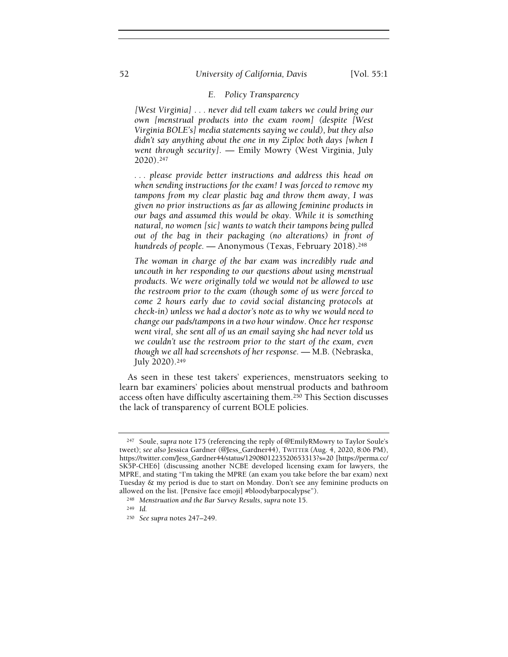## 52 University of California, Davis [Vol. 55:1]

### E. Policy Transparency

[West Virginia] . . . never did tell exam takers we could bring our own [menstrual products into the exam room] (despite [West Virginia BOLE's] media statements saying we could), but they also didn't say anything about the one in my Ziploc both days [when I went through security]. — Emily Mowry (West Virginia, July 2020).<sup>247</sup>

. . . please provide better instructions and address this head on when sending instructions for the exam! I was forced to remove my tampons from my clear plastic bag and throw them away, I was given no prior instructions as far as allowing feminine products in our bags and assumed this would be okay. While it is something natural, no women [sic] wants to watch their tampons being pulled out of the bag in their packaging (no alterations) in front of hundreds of people. - Anonymous (Texas, February 2018).<sup>248</sup>

The woman in charge of the bar exam was incredibly rude and uncouth in her responding to our questions about using menstrual products. We were originally told we would not be allowed to use the restroom prior to the exam (though some of us were forced to come 2 hours early due to covid social distancing protocols at check-in) unless we had a doctor's note as to why we would need to change our pads/tampons in a two hour window. Once her response went viral, she sent all of us an email saying she had never told us we couldn't use the restroom prior to the start of the exam, even though we all had screenshots of her response. — M.B. (Nebraska, July 2020).<sup>249</sup>

As seen in these test takers' experiences, menstruators seeking to learn bar examiners' policies about menstrual products and bathroom access often have difficulty ascertaining them.250 This Section discusses the lack of transparency of current BOLE policies.

<sup>247</sup> Soule, supra note 175 (referencing the reply of @EmilyRMowry to Taylor Soule's tweet); see also Jessica Gardner (@Jess\_Gardner44), TWITTER (Aug. 4, 2020, 8:06 PM), https://twitter.com/Jess\_Gardner44/status/1290801223520653313?s=20 [https://perma.cc/ SK5P-CHE6] (discussing another NCBE developed licensing exam for lawyers, the MPRE, and stating "I'm taking the MPRE (an exam you take before the bar exam) next Tuesday & my period is due to start on Monday. Don't see any feminine products on allowed on the list. [Pensive face emoji] #bloodybarpocalypse").

<sup>248</sup> Menstruation and the Bar Survey Results, supra note 15.

<sup>249</sup> Id.

<sup>250</sup> See supra notes 247–249.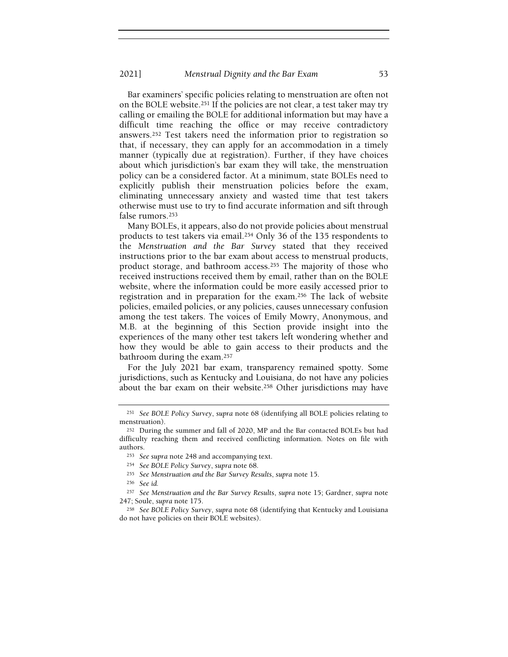Bar examiners' specific policies relating to menstruation are often not on the BOLE website.251 If the policies are not clear, a test taker may try calling or emailing the BOLE for additional information but may have a difficult time reaching the office or may receive contradictory answers.252 Test takers need the information prior to registration so that, if necessary, they can apply for an accommodation in a timely manner (typically due at registration). Further, if they have choices about which jurisdiction's bar exam they will take, the menstruation policy can be a considered factor. At a minimum, state BOLEs need to explicitly publish their menstruation policies before the exam, eliminating unnecessary anxiety and wasted time that test takers otherwise must use to try to find accurate information and sift through false rumors.<sup>253</sup>

Many BOLEs, it appears, also do not provide policies about menstrual products to test takers via email.254 Only 36 of the 135 respondents to the Menstruation and the Bar Survey stated that they received instructions prior to the bar exam about access to menstrual products, product storage, and bathroom access.255 The majority of those who received instructions received them by email, rather than on the BOLE website, where the information could be more easily accessed prior to registration and in preparation for the exam.256 The lack of website policies, emailed policies, or any policies, causes unnecessary confusion among the test takers. The voices of Emily Mowry, Anonymous, and M.B. at the beginning of this Section provide insight into the experiences of the many other test takers left wondering whether and how they would be able to gain access to their products and the bathroom during the exam.<sup>257</sup>

For the July 2021 bar exam, transparency remained spotty. Some jurisdictions, such as Kentucky and Louisiana, do not have any policies about the bar exam on their website.258 Other jurisdictions may have

<sup>256</sup> See id.

<sup>251</sup> See BOLE Policy Survey, supra note 68 (identifying all BOLE policies relating to menstruation).

<sup>252</sup> During the summer and fall of 2020, MP and the Bar contacted BOLEs but had difficulty reaching them and received conflicting information. Notes on file with authors.

<sup>&</sup>lt;sup>253</sup> See supra note 248 and accompanying text.

<sup>254</sup> See BOLE Policy Survey, supra note 68.

<sup>255</sup> See Menstruation and the Bar Survey Results, supra note 15.

<sup>257</sup> See Menstruation and the Bar Survey Results, supra note 15; Gardner, supra note 247; Soule, supra note 175.

<sup>258</sup> See BOLE Policy Survey, supra note 68 (identifying that Kentucky and Louisiana do not have policies on their BOLE websites).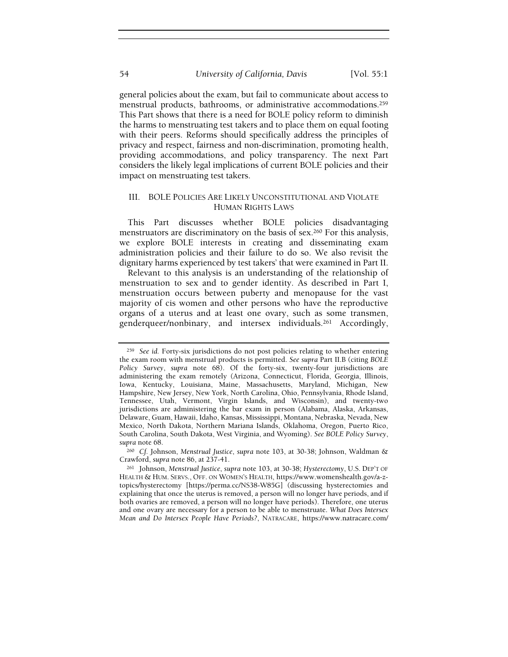general policies about the exam, but fail to communicate about access to menstrual products, bathrooms, or administrative accommodations.<sup>259</sup> This Part shows that there is a need for BOLE policy reform to diminish the harms to menstruating test takers and to place them on equal footing with their peers. Reforms should specifically address the principles of privacy and respect, fairness and non-discrimination, promoting health, providing accommodations, and policy transparency. The next Part considers the likely legal implications of current BOLE policies and their impact on menstruating test takers.

# III. BOLE POLICIES ARE LIKELY UNCONSTITUTIONAL AND VIOLATE HUMAN RIGHTS LAWS

This Part discusses whether BOLE policies disadvantaging menstruators are discriminatory on the basis of sex.260 For this analysis, we explore BOLE interests in creating and disseminating exam administration policies and their failure to do so. We also revisit the dignitary harms experienced by test takers' that were examined in Part II.

Relevant to this analysis is an understanding of the relationship of menstruation to sex and to gender identity. As described in Part I, menstruation occurs between puberty and menopause for the vast majority of cis women and other persons who have the reproductive organs of a uterus and at least one ovary, such as some transmen, genderqueer/nonbinary, and intersex individuals.261 Accordingly,

<sup>260</sup> Cf. Johnson, Menstrual Justice, supra note 103, at 30-38; Johnson, Waldman & Crawford, supra note 86, at 237-41.

<sup>259</sup> See id. Forty-six jurisdictions do not post policies relating to whether entering the exam room with menstrual products is permitted. See supra Part II.B (citing BOLE Policy Survey, supra note 68). Of the forty-six, twenty-four jurisdictions are administering the exam remotely (Arizona, Connecticut, Florida, Georgia, Illinois, Iowa, Kentucky, Louisiana, Maine, Massachusetts, Maryland, Michigan, New Hampshire, New Jersey, New York, North Carolina, Ohio, Pennsylvania, Rhode Island, Tennessee, Utah, Vermont, Virgin Islands, and Wisconsin), and twenty-two jurisdictions are administering the bar exam in person (Alabama, Alaska, Arkansas, Delaware, Guam, Hawaii, Idaho, Kansas, Mississippi, Montana, Nebraska, Nevada, New Mexico, North Dakota, Northern Mariana Islands, Oklahoma, Oregon, Puerto Rico, South Carolina, South Dakota, West Virginia, and Wyoming). See BOLE Policy Survey, supra note 68.

<sup>261</sup> Johnson, Menstrual Justice, supra note 103, at 30-38; Hysterectomy, U.S. DEP'T OF HEALTH & HUM. SERVS., OFF. ON WOMEN'S HEALTH, https://www.womenshealth.gov/a-ztopics/hysterectomy [https://perma.cc/NS38-W85G] (discussing hysterectomies and explaining that once the uterus is removed, a person will no longer have periods, and if both ovaries are removed, a person will no longer have periods). Therefore, one uterus and one ovary are necessary for a person to be able to menstruate. What Does Intersex Mean and Do Intersex People Have Periods?, NATRACARE, https://www.natracare.com/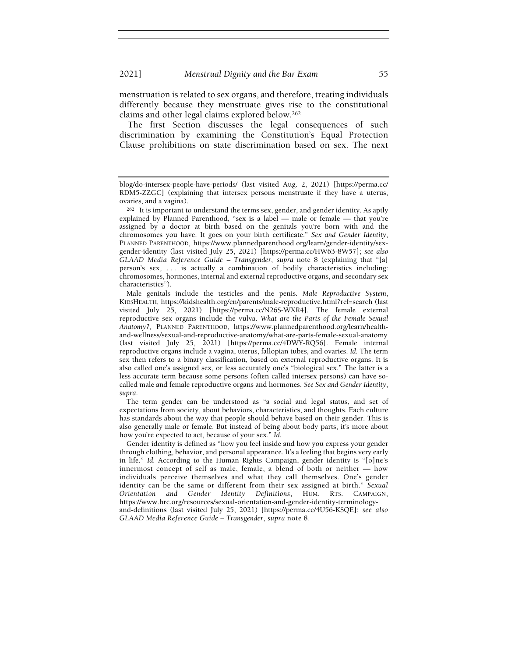menstruation is related to sex organs, and therefore, treating individuals differently because they menstruate gives rise to the constitutional claims and other legal claims explored below.<sup>262</sup>

The first Section discusses the legal consequences of such discrimination by examining the Constitution's Equal Protection Clause prohibitions on state discrimination based on sex. The next

Male genitals include the testicles and the penis. Male Reproductive System, KIDSHEALTH, https://kidshealth.org/en/parents/male-reproductive.html?ref=search (last visited July 25, 2021) [https://perma.cc/N26S-WXR4]. The female external reproductive sex organs include the vulva. What are the Parts of the Female Sexual Anatomy?, PLANNED PARENTHOOD, https://www.plannedparenthood.org/learn/healthand-wellness/sexual-and-reproductive-anatomy/what-are-parts-female-sexual-anatomy (last visited July 25, 2021) [https://perma.cc/4DWY-RQ56]. Female internal reproductive organs include a vagina, uterus, fallopian tubes, and ovaries. Id. The term sex then refers to a binary classification, based on external reproductive organs. It is also called one's assigned sex, or less accurately one's "biological sex." The latter is a less accurate term because some persons (often called intersex persons) can have socalled male and female reproductive organs and hormones. See Sex and Gender Identity, supra.

The term gender can be understood as "a social and legal status, and set of expectations from society, about behaviors, characteristics, and thoughts. Each culture has standards about the way that people should behave based on their gender. This is also generally male or female. But instead of being about body parts, it's more about how you're expected to act, because of your sex." Id.

Gender identity is defined as "how you feel inside and how you express your gender through clothing, behavior, and personal appearance. It's a feeling that begins very early in life." Id. According to the Human Rights Campaign, gender identity is "[o]ne's innermost concept of self as male, female, a blend of both or neither — how individuals perceive themselves and what they call themselves. One's gender identity can be the same or different from their sex assigned at birth." Sexual Orientation and Gender Identity Definitions, HUM. RTS. CAMPAIGN, https://www.hrc.org/resources/sexual-orientation-and-gender-identity-terminologyand-definitions (last visited July 25, 2021) [https://perma.cc/4U56-KSQE]; see also GLAAD Media Reference Guide – Transgender, supra note 8.

blog/do-intersex-people-have-periods/ (last visited Aug. 2, 2021) [https://perma.cc/ RDM5-ZZGC] (explaining that intersex persons menstruate if they have a uterus, ovaries, and a vagina).

<sup>262</sup> It is important to understand the terms sex, gender, and gender identity. As aptly explained by Planned Parenthood, "sex is a label — male or female — that you're assigned by a doctor at birth based on the genitals you're born with and the chromosomes you have. It goes on your birth certificate." Sex and Gender Identity, PLANNED PARENTHOOD, https://www.plannedparenthood.org/learn/gender-identity/sexgender-identity (last visited July 25, 2021) [https://perma.cc/HW63-8W57]; see also GLAAD Media Reference Guide – Transgender, supra note 8 (explaining that "[a] person's sex, . . . is actually a combination of bodily characteristics including: chromosomes, hormones, internal and external reproductive organs, and secondary sex characteristics").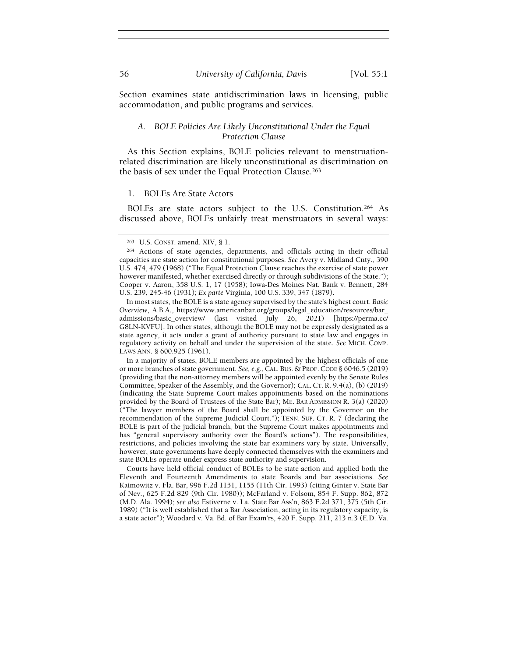Section examines state antidiscrimination laws in licensing, public accommodation, and public programs and services.

## A. BOLE Policies Are Likely Unconstitutional Under the Equal Protection Clause

As this Section explains, BOLE policies relevant to menstruationrelated discrimination are likely unconstitutional as discrimination on the basis of sex under the Equal Protection Clause.<sup>263</sup>

#### 1. BOLEs Are State Actors

BOLEs are state actors subject to the U.S. Constitution.264 As discussed above, BOLEs unfairly treat menstruators in several ways:

In a majority of states, BOLE members are appointed by the highest officials of one or more branches of state government. See, e.g.,CAL. BUS. & PROF.CODE § 6046.5 (2019) (providing that the non-attorney members will be appointed evenly by the Senate Rules Committee, Speaker of the Assembly, and the Governor); CAL. CT. R. 9.4(a), (b) (2019) (indicating the State Supreme Court makes appointments based on the nominations provided by the Board of Trustees of the State Bar); ME. BAR ADMISSION R. 3(a) (2020) ("The lawyer members of the Board shall be appointed by the Governor on the recommendation of the Supreme Judicial Court."); TENN. SUP. CT. R. 7 (declaring the BOLE is part of the judicial branch, but the Supreme Court makes appointments and has "general supervisory authority over the Board's actions"). The responsibilities, restrictions, and policies involving the state bar examiners vary by state. Universally, however, state governments have deeply connected themselves with the examiners and state BOLEs operate under express state authority and supervision.

Courts have held official conduct of BOLEs to be state action and applied both the Eleventh and Fourteenth Amendments to state Boards and bar associations. See Kaimowitz v. Fla. Bar, 996 F.2d 1151, 1155 (11th Cir. 1993) (citing Ginter v. State Bar of Nev., 625 F.2d 829 (9th Cir. 1980)); McFarland v. Folsom, 854 F. Supp. 862, 872 (M.D. Ala. 1994); see also Estiverne v. La. State Bar Ass'n, 863 F.2d 371, 375 (5th Cir. 1989) ("It is well established that a Bar Association, acting in its regulatory capacity, is a state actor"); Woodard v. Va. Bd. of Bar Exam'rs, 420 F. Supp. 211, 213 n.3 (E.D. Va.

<sup>263</sup> U.S. CONST. amend. XIV, § 1.

<sup>264</sup> Actions of state agencies, departments, and officials acting in their official capacities are state action for constitutional purposes. See Avery v. Midland Cnty., 390 U.S. 474, 479 (1968) ("The Equal Protection Clause reaches the exercise of state power however manifested, whether exercised directly or through subdivisions of the State."); Cooper v. Aaron, 358 U.S. 1, 17 (1958); Iowa-Des Moines Nat. Bank v. Bennett, 284 U.S. 239, 245-46 (1931); Ex parte Virginia, 100 U.S. 339, 347 (1879).

In most states, the BOLE is a state agency supervised by the state's highest court. Basic Overview, A.B.A., https://www.americanbar.org/groups/legal\_education/resources/bar\_ admissions/basic\_overview/ (last visited July 26, 2021) [https://perma.cc/ G8LN-KVFU]. In other states, although the BOLE may not be expressly designated as a state agency, it acts under a grant of authority pursuant to state law and engages in regulatory activity on behalf and under the supervision of the state. See MICH. COMP. LAWS ANN. § 600.925 (1961).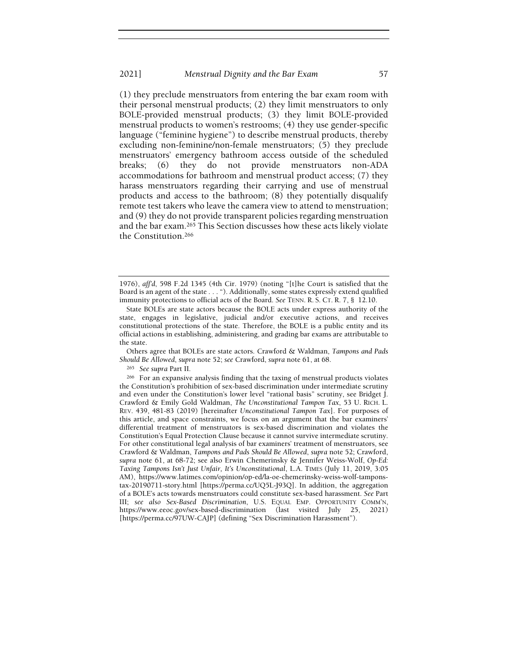(1) they preclude menstruators from entering the bar exam room with their personal menstrual products; (2) they limit menstruators to only BOLE-provided menstrual products; (3) they limit BOLE-provided menstrual products to women's restrooms; (4) they use gender-specific language ("feminine hygiene") to describe menstrual products, thereby excluding non-feminine/non-female menstruators; (5) they preclude menstruators' emergency bathroom access outside of the scheduled breaks; (6) they do not provide menstruators non-ADA accommodations for bathroom and menstrual product access; (7) they harass menstruators regarding their carrying and use of menstrual products and access to the bathroom; (8) they potentially disqualify remote test takers who leave the camera view to attend to menstruation; and (9) they do not provide transparent policies regarding menstruation and the bar exam.265 This Section discusses how these acts likely violate the Constitution.<sup>266</sup>

Others agree that BOLEs are state actors. Crawford & Waldman, Tampons and Pads Should Be Allowed, supra note 52; see Crawford, supra note 61, at 68.

<sup>265</sup> See supra Part II.

<sup>1976),</sup> aff'd, 598 F.2d 1345 (4th Cir. 1979) (noting "[t]he Court is satisfied that the Board is an agent of the state . . . "). Additionally, some states expressly extend qualified immunity protections to official acts of the Board. See TENN. R. S. CT. R. 7, § 12.10.

State BOLEs are state actors because the BOLE acts under express authority of the state, engages in legislative, judicial and/or executive actions, and receives constitutional protections of the state. Therefore, the BOLE is a public entity and its official actions in establishing, administering, and grading bar exams are attributable to the state.

<sup>266</sup> For an expansive analysis finding that the taxing of menstrual products violates the Constitution's prohibition of sex-based discrimination under intermediate scrutiny and even under the Constitution's lower level "rational basis" scrutiny, see Bridget J. Crawford & Emily Gold Waldman, The Unconstitutional Tampon Tax, 53 U. RICH. L. REV. 439, 481-83 (2019) [hereinafter Unconstitutional Tampon Tax]. For purposes of this article, and space constraints, we focus on an argument that the bar examiners' differential treatment of menstruators is sex-based discrimination and violates the Constitution's Equal Protection Clause because it cannot survive intermediate scrutiny. For other constitutional legal analysis of bar examiners' treatment of menstruators, see Crawford & Waldman, Tampons and Pads Should Be Allowed, supra note 52; Crawford, supra note 61, at 68-72; see also Erwin Chemerinsky & Jennifer Weiss-Wolf, Op-Ed: Taxing Tampons Isn't Just Unfair, It's Unconstitutional, L.A. TIMES (July 11, 2019, 3:05 AM), https://www.latimes.com/opinion/op-ed/la-oe-chemerinsky-weiss-wolf-tamponstax-20190711-story.html [https://perma.cc/UQ5L-J93Q]. In addition, the aggregation of a BOLE's acts towards menstruators could constitute sex-based harassment. See Part III; see also Sex-Based Discrimination, U.S. EQUAL EMP. OPPORTUNITY COMM'N, https://www.eeoc.gov/sex-based-discrimination (last visited July 25, 2021) [https://perma.cc/97UW-CAJP] (defining "Sex Discrimination Harassment").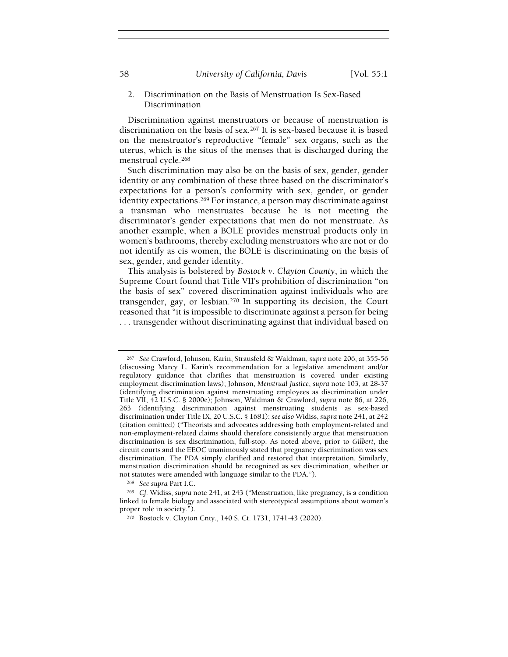58 University of California, Davis [Vol. 55:1]

# 2. Discrimination on the Basis of Menstruation Is Sex-Based Discrimination

Discrimination against menstruators or because of menstruation is discrimination on the basis of sex.267 It is sex-based because it is based on the menstruator's reproductive "female" sex organs, such as the uterus, which is the situs of the menses that is discharged during the menstrual cycle.<sup>268</sup>

Such discrimination may also be on the basis of sex, gender, gender identity or any combination of these three based on the discriminator's expectations for a person's conformity with sex, gender, or gender identity expectations.<sup>269</sup> For instance, a person may discriminate against a transman who menstruates because he is not meeting the discriminator's gender expectations that men do not menstruate. As another example, when a BOLE provides menstrual products only in women's bathrooms, thereby excluding menstruators who are not or do not identify as cis women, the BOLE is discriminating on the basis of sex, gender, and gender identity.

This analysis is bolstered by Bostock v. Clayton County, in which the Supreme Court found that Title VII's prohibition of discrimination "on the basis of sex" covered discrimination against individuals who are transgender, gay, or lesbian.270 In supporting its decision, the Court reasoned that "it is impossible to discriminate against a person for being . . . transgender without discriminating against that individual based on

<sup>268</sup> See supra Part I.C.

<sup>267</sup> See Crawford, Johnson, Karin, Strausfeld & Waldman, supra note 206, at 355-56 (discussing Marcy L. Karin's recommendation for a legislative amendment and/or regulatory guidance that clarifies that menstruation is covered under existing employment discrimination laws); Johnson, Menstrual Justice, supra note 103, at 28-37 (identifying discrimination against menstruating employees as discrimination under Title VII, 42 U.S.C. § 2000e); Johnson, Waldman & Crawford, supra note 86, at 226, 263 (identifying discrimination against menstruating students as sex-based discrimination under Title IX, 20 U.S.C. § 1681); see also Widiss, supra note 241, at 242 (citation omitted) ("Theorists and advocates addressing both employment-related and non-employment-related claims should therefore consistently argue that menstruation discrimination is sex discrimination, full-stop. As noted above, prior to Gilbert, the circuit courts and the EEOC unanimously stated that pregnancy discrimination was sex discrimination. The PDA simply clarified and restored that interpretation. Similarly, menstruation discrimination should be recognized as sex discrimination, whether or not statutes were amended with language similar to the PDA.").

<sup>269</sup> Cf. Widiss, supra note 241, at 243 ("Menstruation, like pregnancy, is a condition linked to female biology and associated with stereotypical assumptions about women's proper role in society.").

<sup>270</sup> Bostock v. Clayton Cnty., 140 S. Ct. 1731, 1741-43 (2020).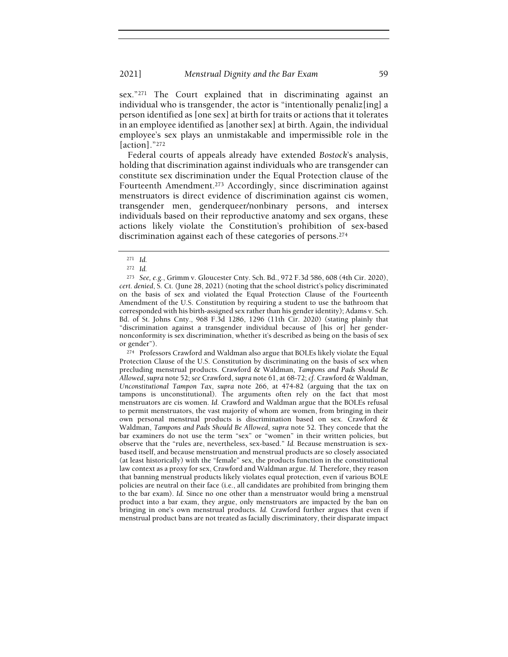sex."271 The Court explained that in discriminating against an individual who is transgender, the actor is "intentionally penaliz[ing] a person identified as [one sex] at birth for traits or actions that it tolerates in an employee identified as [another sex] at birth. Again, the individual employee's sex plays an unmistakable and impermissible role in the [action]."<sup>272</sup>

Federal courts of appeals already have extended Bostock's analysis, holding that discrimination against individuals who are transgender can constitute sex discrimination under the Equal Protection clause of the Fourteenth Amendment.273 Accordingly, since discrimination against menstruators is direct evidence of discrimination against cis women, transgender men, genderqueer/nonbinary persons, and intersex individuals based on their reproductive anatomy and sex organs, these actions likely violate the Constitution's prohibition of sex-based discrimination against each of these categories of persons.<sup>274</sup>

<sup>274</sup> Professors Crawford and Waldman also argue that BOLEs likely violate the Equal Protection Clause of the U.S. Constitution by discriminating on the basis of sex when precluding menstrual products. Crawford & Waldman, Tampons and Pads Should Be Allowed, supra note 52; see Crawford, supra note 61, at 68-72; cf. Crawford & Waldman, Unconstitutional Tampon Tax, supra note 266, at 474-82 (arguing that the tax on tampons is unconstitutional). The arguments often rely on the fact that most menstruators are cis women. Id. Crawford and Waldman argue that the BOLEs refusal to permit menstruators, the vast majority of whom are women, from bringing in their own personal menstrual products is discrimination based on sex. Crawford & Waldman, Tampons and Pads Should Be Allowed, supra note 52. They concede that the bar examiners do not use the term "sex" or "women" in their written policies, but observe that the "rules are, nevertheless, sex-based." Id. Because menstruation is sexbased itself, and because menstruation and menstrual products are so closely associated (at least historically) with the "female" sex, the products function in the constitutional law context as a proxy for sex, Crawford and Waldman argue. Id. Therefore, they reason that banning menstrual products likely violates equal protection, even if various BOLE policies are neutral on their face (i.e., all candidates are prohibited from bringing them to the bar exam). Id. Since no one other than a menstruator would bring a menstrual product into a bar exam, they argue, only menstruators are impacted by the ban on bringing in one's own menstrual products. Id. Crawford further argues that even if menstrual product bans are not treated as facially discriminatory, their disparate impact

<sup>271</sup> Id.

<sup>272</sup> Id.

<sup>273</sup> See, e.g., Grimm v. Gloucester Cnty. Sch. Bd., 972 F.3d 586, 608 (4th Cir. 2020), cert. denied, S. Ct. (June 28, 2021) (noting that the school district's policy discriminated on the basis of sex and violated the Equal Protection Clause of the Fourteenth Amendment of the U.S. Constitution by requiring a student to use the bathroom that corresponded with his birth-assigned sex rather than his gender identity); Adams v. Sch. Bd. of St. Johns Cnty., 968 F.3d 1286, 1296 (11th Cir. 2020) (stating plainly that "discrimination against a transgender individual because of [his or] her gendernonconformity is sex discrimination, whether it's described as being on the basis of sex or gender").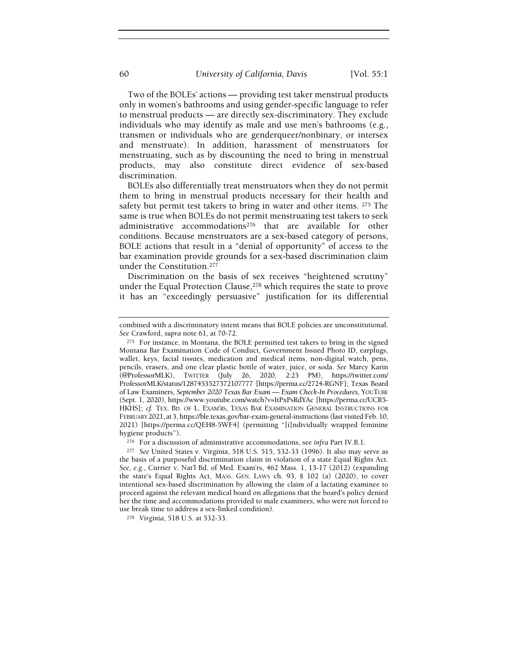Two of the BOLEs' actions — providing test taker menstrual products only in women's bathrooms and using gender-specific language to refer to menstrual products — are directly sex-discriminatory. They exclude individuals who may identify as male and use men's bathrooms (e.g., transmen or individuals who are genderqueer/nonbinary, or intersex and menstruate). In addition, harassment of menstruators for menstruating, such as by discounting the need to bring in menstrual products, may also constitute direct evidence of sex-based discrimination.

BOLEs also differentially treat menstruators when they do not permit them to bring in menstrual products necessary for their health and safety but permit test takers to bring in water and other items. 275 The same is true when BOLEs do not permit menstruating test takers to seek administrative accommodations276 that are available for other conditions. Because menstruators are a sex-based category of persons, BOLE actions that result in a "denial of opportunity" of access to the bar examination provide grounds for a sex-based discrimination claim under the Constitution.<sup>277</sup>

Discrimination on the basis of sex receives "heightened scrutiny" under the Equal Protection Clause,<sup>278</sup> which requires the state to prove it has an "exceedingly persuasive" justification for its differential

combined with a discriminatory intent means that BOLE policies are unconstitutional. See Crawford, supra note 61, at 70-72.

<sup>275</sup> For instance, in Montana, the BOLE permitted test takers to bring in the signed Montana Bar Examination Code of Conduct, Government Issued Photo ID, earplugs, wallet, keys, facial tissues, medication and medical items, non-digital watch, pens, pencils, erasers, and one clear plastic bottle of water, juice, or soda. See Marcy Karin (@ProfessorMLK), TWITTER (July 26, 2020, 2:23 PM), https://twitter.com/ ProfessorMLK/status/1287453527372107777 [https://perma.cc/2724-RGNF]; Texas Board of Law Examiners, September 2020 Texas Bar Exam — Exam Check-In Procedures, YOUTUBE (Sept. 1, 2020), https://www.youtube.com/watch?v=ItPxPsRdYAc [https://perma.cc/UCR5- HKHS]; cf. TEX. BD. OF L. EXAM'RS, TEXAS BAR EXAMINATION GENERAL INSTRUCTIONS FOR FEBRUARY 2021, at 3, https://ble.texas.gov/bar-exam-general-instructions (last visited Feb. 10, 2021) [https://perma.cc/QEH8-5WF4] (permitting "[i]ndividually wrapped feminine hygiene products").

<sup>276</sup> For a discussion of administrative accommodations, see infra Part IV.B.1.

<sup>277</sup> See United States v. Virginia, 518 U.S. 515, 532-33 (1996). It also may serve as the basis of a purposeful discrimination claim in violation of a state Equal Rights Act. See, e.g., Currier v. Nat'l Bd. of Med. Exam'rs, 462 Mass. 1, 13-17 (2012) (expanding the state's Equal Rights Act, MASS. GEN. LAWS ch. 93, § 102 (a) (2020), to cover intentional sex-based discrimination by allowing the claim of a lactating examinee to proceed against the relevant medical board on allegations that the board's policy denied her the time and accommodations provided to male examinees, who were not forced to use break time to address a sex-linked condition).

<sup>278</sup> Virginia, 518 U.S. at 532-33.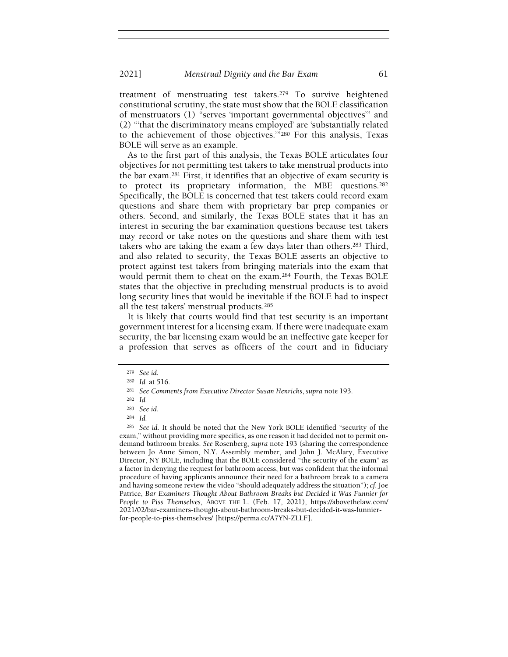treatment of menstruating test takers.279 To survive heightened constitutional scrutiny, the state must show that the BOLE classification of menstruators (1) "serves 'important governmental objectives'" and (2) "'that the discriminatory means employed' are 'substantially related to the achievement of those objectives.'"280 For this analysis, Texas BOLE will serve as an example.

As to the first part of this analysis, the Texas BOLE articulates four objectives for not permitting test takers to take menstrual products into the bar exam.281 First, it identifies that an objective of exam security is to protect its proprietary information, the MBE questions.<sup>282</sup> Specifically, the BOLE is concerned that test takers could record exam questions and share them with proprietary bar prep companies or others. Second, and similarly, the Texas BOLE states that it has an interest in securing the bar examination questions because test takers may record or take notes on the questions and share them with test takers who are taking the exam a few days later than others.283 Third, and also related to security, the Texas BOLE asserts an objective to protect against test takers from bringing materials into the exam that would permit them to cheat on the exam.284 Fourth, the Texas BOLE states that the objective in precluding menstrual products is to avoid long security lines that would be inevitable if the BOLE had to inspect all the test takers' menstrual products.<sup>285</sup>

It is likely that courts would find that test security is an important government interest for a licensing exam. If there were inadequate exam security, the bar licensing exam would be an ineffective gate keeper for a profession that serves as officers of the court and in fiduciary

<sup>285</sup> See id. It should be noted that the New York BOLE identified "security of the exam," without providing more specifics, as one reason it had decided not to permit ondemand bathroom breaks. See Rosenberg, supra note 193 (sharing the correspondence between Jo Anne Simon, N.Y. Assembly member, and John J. McAlary, Executive Director, NY BOLE, including that the BOLE considered "the security of the exam" as a factor in denying the request for bathroom access, but was confident that the informal procedure of having applicants announce their need for a bathroom break to a camera and having someone review the video "should adequately address the situation"); cf. Joe Patrice, Bar Examiners Thought About Bathroom Breaks but Decided it Was Funnier for People to Piss Themselves, ABOVE THE L. (Feb. 17, 2021), https://abovethelaw.com/ 2021/02/bar-examiners-thought-about-bathroom-breaks-but-decided-it-was-funnierfor-people-to-piss-themselves/ [https://perma.cc/A7YN-ZLLF].

<sup>279</sup> See id.

<sup>280</sup> Id. at 516.

<sup>281</sup> See Comments from Executive Director Susan Henricks, supra note 193.

<sup>282</sup> Id.

<sup>283</sup> See id.

<sup>284</sup> Id.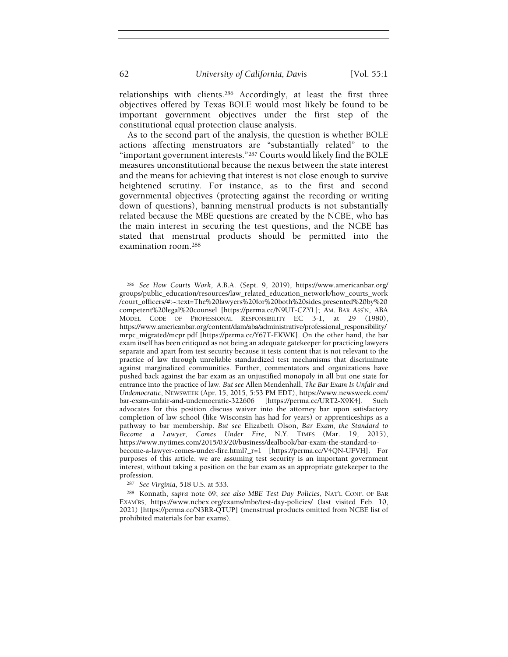relationships with clients.286 Accordingly, at least the first three objectives offered by Texas BOLE would most likely be found to be important government objectives under the first step of the constitutional equal protection clause analysis.

As to the second part of the analysis, the question is whether BOLE actions affecting menstruators are "substantially related" to the "important government interests."287 Courts would likely find the BOLE measures unconstitutional because the nexus between the state interest and the means for achieving that interest is not close enough to survive heightened scrutiny. For instance, as to the first and second governmental objectives (protecting against the recording or writing down of questions), banning menstrual products is not substantially related because the MBE questions are created by the NCBE, who has the main interest in securing the test questions, and the NCBE has stated that menstrual products should be permitted into the examination room.<sup>288</sup>

<sup>287</sup> See Virginia, 518 U.S. at 533.

<sup>286</sup> See How Courts Work, A.B.A. (Sept. 9, 2019), https://www.americanbar.org/ groups/public\_education/resources/law\_related\_education\_network/how\_courts\_work /court\_officers/#:~:text=The%20lawyers%20for%20both%20sides,presented%20by%20 competent%20legal%20counsel [https://perma.cc/N9UT-CZYL]; AM. BAR ASS'N, ABA MODEL CODE OF PROFESSIONAL RESPONSIBILITY EC 3-1, at 29 (1980), https://www.americanbar.org/content/dam/aba/administrative/professional\_responsibility/ mrpc\_migrated/mcpr.pdf [https://perma.cc/Y67T-EKWK]. On the other hand, the bar exam itself has been critiqued as not being an adequate gatekeeper for practicing lawyers separate and apart from test security because it tests content that is not relevant to the practice of law through unreliable standardized test mechanisms that discriminate against marginalized communities. Further, commentators and organizations have pushed back against the bar exam as an unjustified monopoly in all but one state for entrance into the practice of law. But see Allen Mendenhall, The Bar Exam Is Unfair and Undemocratic, NEWSWEEK (Apr. 15, 2015, 5:53 PM EDT), https://www.newsweek.com/ bar-exam-unfair-and-undemocratic-322606 [https://perma.cc/URT2-X9K4]. Such advocates for this position discuss waiver into the attorney bar upon satisfactory completion of law school (like Wisconsin has had for years) or apprenticeships as a pathway to bar membership. But see Elizabeth Olson, Bar Exam, the Standard to Become a Lawyer, Comes Under Fire, N.Y. TIMES (Mar. 19, 2015), https://www.nytimes.com/2015/03/20/business/dealbook/bar-exam-the-standard-tobecome-a-lawyer-comes-under-fire.html?\_r=1 [https://perma.cc/V4QN-UFVH]. For purposes of this article, we are assuming test security is an important government interest, without taking a position on the bar exam as an appropriate gatekeeper to the profession.

<sup>288</sup> Konnath, supra note 69; see also MBE Test Day Policies, NAT'L CONF. OF BAR EXAM'RS, https://www.ncbex.org/exams/mbe/test-day-policies/ (last visited Feb. 10, 2021) [https://perma.cc/N3RR-QTUP] (menstrual products omitted from NCBE list of prohibited materials for bar exams).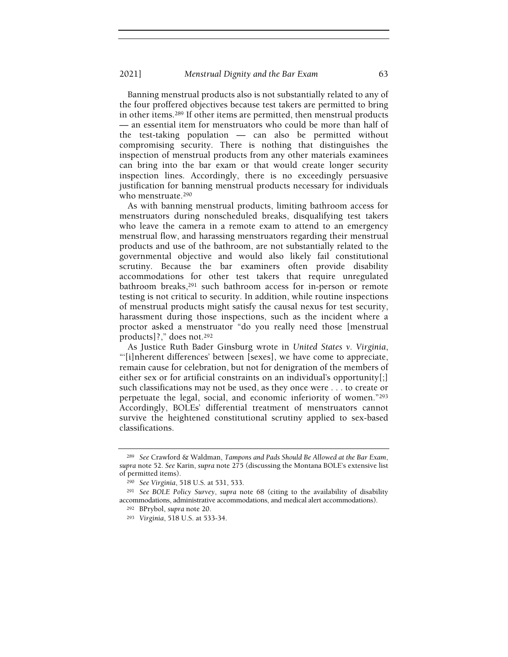Banning menstrual products also is not substantially related to any of the four proffered objectives because test takers are permitted to bring in other items.289 If other items are permitted, then menstrual products — an essential item for menstruators who could be more than half of the test-taking population — can also be permitted without compromising security. There is nothing that distinguishes the inspection of menstrual products from any other materials examinees can bring into the bar exam or that would create longer security inspection lines. Accordingly, there is no exceedingly persuasive justification for banning menstrual products necessary for individuals who menstruate.<sup>290</sup>

As with banning menstrual products, limiting bathroom access for menstruators during nonscheduled breaks, disqualifying test takers who leave the camera in a remote exam to attend to an emergency menstrual flow, and harassing menstruators regarding their menstrual products and use of the bathroom, are not substantially related to the governmental objective and would also likely fail constitutional scrutiny. Because the bar examiners often provide disability accommodations for other test takers that require unregulated bathroom breaks,<sup>291</sup> such bathroom access for in-person or remote testing is not critical to security. In addition, while routine inspections of menstrual products might satisfy the causal nexus for test security, harassment during those inspections, such as the incident where a proctor asked a menstruator "do you really need those [menstrual products]?," does not.<sup>292</sup>

As Justice Ruth Bader Ginsburg wrote in United States v. Virginia, "'[i]nherent differences' between [sexes], we have come to appreciate, remain cause for celebration, but not for denigration of the members of either sex or for artificial constraints on an individual's opportunity[;] such classifications may not be used, as they once were . . . to create or perpetuate the legal, social, and economic inferiority of women."<sup>293</sup> Accordingly, BOLEs' differential treatment of menstruators cannot survive the heightened constitutional scrutiny applied to sex-based classifications.

<sup>289</sup> See Crawford & Waldman, Tampons and Pads Should Be Allowed at the Bar Exam, supra note 52. See Karin, supra note 275 (discussing the Montana BOLE's extensive list of permitted items).

<sup>290</sup> See Virginia, 518 U.S. at 531, 533.

<sup>291</sup> See BOLE Policy Survey, supra note 68 (citing to the availability of disability accommodations, administrative accommodations, and medical alert accommodations).

<sup>292</sup> BPrybol, supra note 20.

<sup>293</sup> Virginia, 518 U.S. at 533-34.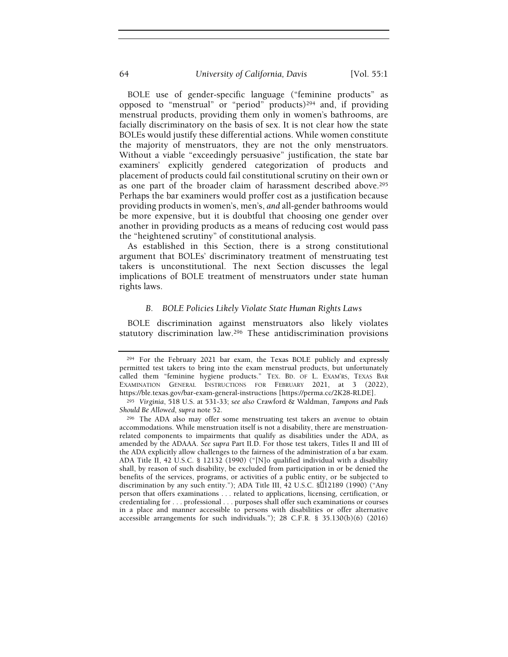BOLE use of gender-specific language ("feminine products" as opposed to "menstrual" or "period" products)294 and, if providing menstrual products, providing them only in women's bathrooms, are facially discriminatory on the basis of sex. It is not clear how the state BOLEs would justify these differential actions. While women constitute the majority of menstruators, they are not the only menstruators. Without a viable "exceedingly persuasive" justification, the state bar examiners' explicitly gendered categorization of products and placement of products could fail constitutional scrutiny on their own or as one part of the broader claim of harassment described above.<sup>295</sup> Perhaps the bar examiners would proffer cost as a justification because providing products in women's, men's, and all-gender bathrooms would be more expensive, but it is doubtful that choosing one gender over another in providing products as a means of reducing cost would pass the "heightened scrutiny" of constitutional analysis.

As established in this Section, there is a strong constitutional argument that BOLEs' discriminatory treatment of menstruating test takers is unconstitutional. The next Section discusses the legal implications of BOLE treatment of menstruators under state human rights laws.

#### B. BOLE Policies Likely Violate State Human Rights Laws

BOLE discrimination against menstruators also likely violates statutory discrimination law.296 These antidiscrimination provisions

<sup>294</sup> For the February 2021 bar exam, the Texas BOLE publicly and expressly permitted test takers to bring into the exam menstrual products, but unfortunately called them "feminine hygiene products." TEX. BD. OF L. EXAM'RS, TEXAS BAR EXAMINATION GENERAL INSTRUCTIONS FOR FEBRUARY 2021, at 3 (2022), https://ble.texas.gov/bar-exam-general-instructions [https://perma.cc/2K28-RLDE].

<sup>295</sup> Virginia, 518 U.S. at 531-33; see also Crawford & Waldman, Tampons and Pads Should Be Allowed, supra note 52.

<sup>296</sup> The ADA also may offer some menstruating test takers an avenue to obtain accommodations. While menstruation itself is not a disability, there are menstruationrelated components to impairments that qualify as disabilities under the ADA, as amended by the ADAAA. See supra Part II.D. For those test takers, Titles II and III of the ADA explicitly allow challenges to the fairness of the administration of a bar exam. ADA Title II, 42 U.S.C. § 12132 (1990) ("[N]o qualified individual with a disability shall, by reason of such disability, be excluded from participation in or be denied the benefits of the services, programs, or activities of a public entity, or be subjected to discrimination by any such entity."); ADA Title III, 42 U.S.C. § 12189 (1990) ("Any person that offers examinations . . . related to applications, licensing, certification, or credentialing for . . . professional . . . purposes shall offer such examinations or courses in a place and manner accessible to persons with disabilities or offer alternative accessible arrangements for such individuals."); 28 C.F.R. § 35.130(b)(6) (2016)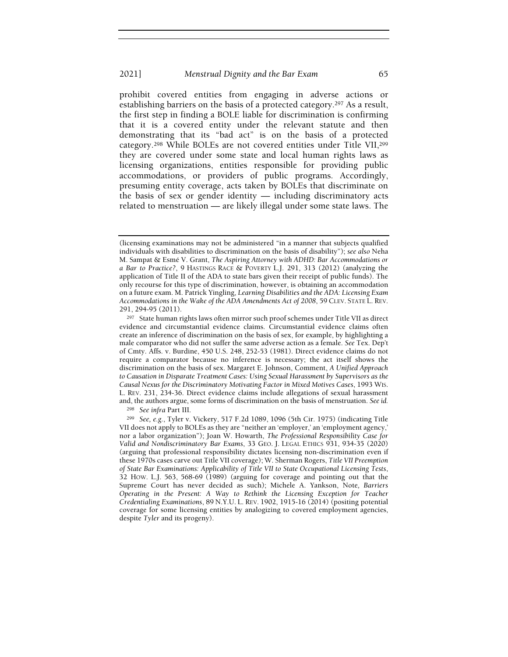prohibit covered entities from engaging in adverse actions or establishing barriers on the basis of a protected category.297 As a result, the first step in finding a BOLE liable for discrimination is confirming that it is a covered entity under the relevant statute and then demonstrating that its "bad act" is on the basis of a protected category.298 While BOLEs are not covered entities under Title VII,<sup>299</sup> they are covered under some state and local human rights laws as licensing organizations, entities responsible for providing public accommodations, or providers of public programs. Accordingly, presuming entity coverage, acts taken by BOLEs that discriminate on the basis of sex or gender identity — including discriminatory acts related to menstruation — are likely illegal under some state laws. The

<sup>298</sup> See infra Part III.

<sup>(</sup>licensing examinations may not be administered "in a manner that subjects qualified individuals with disabilities to discrimination on the basis of disability"); see also Neha M. Sampat & Esmé V. Grant, The Aspiring Attorney with ADHD: Bar Accommodations or a Bar to Practice?, 9 HASTINGS RACE & POVERTY L.J. 291, 313 (2012) (analyzing the application of Title II of the ADA to state bars given their receipt of public funds). The only recourse for this type of discrimination, however, is obtaining an accommodation on a future exam. M. Patrick Yingling, Learning Disabilities and the ADA: Licensing Exam Accommodations in the Wake of the ADA Amendments Act of 2008, 59 CLEV. STATE L. REV. 291, 294-95 (2011).

<sup>297</sup> State human rights laws often mirror such proof schemes under Title VII as direct evidence and circumstantial evidence claims. Circumstantial evidence claims often create an inference of discrimination on the basis of sex, for example, by highlighting a male comparator who did not suffer the same adverse action as a female. See Tex. Dep't of Cmty. Affs. v. Burdine, 450 U.S. 248, 252-53 (1981). Direct evidence claims do not require a comparator because no inference is necessary; the act itself shows the discrimination on the basis of sex. Margaret E. Johnson, Comment, A Unified Approach to Causation in Disparate Treatment Cases: Using Sexual Harassment by Supervisors as the Causal Nexus for the Discriminatory Motivating Factor in Mixed Motives Cases, 1993 WIS. L. REV. 231, 234-36. Direct evidence claims include allegations of sexual harassment and, the authors argue, some forms of discrimination on the basis of menstruation. See id.

<sup>299</sup> See, e.g., Tyler v. Vickery, 517 F.2d 1089, 1096 (5th Cir. 1975) (indicating Title VII does not apply to BOLEs as they are "neither an 'employer,' an 'employment agency,' nor a labor organization"); Joan W. Howarth, The Professional Responsibility Case for Valid and Nondiscriminatory Bar Exams, 33 GEO. J. LEGAL ETHICS 931, 934-35 (2020) (arguing that professional responsibility dictates licensing non-discrimination even if these 1970s cases carve out Title VII coverage); W. Sherman Rogers, Title VII Preemption of State Bar Examinations: Applicability of Title VII to State Occupational Licensing Tests, 32 HOW. L.J. 563, 568-69 (1989) (arguing for coverage and pointing out that the Supreme Court has never decided as such); Michele A. Yankson, Note, Barriers Operating in the Present: A Way to Rethink the Licensing Exception for Teacher Credentialing Examinations, 89 N.Y.U. L. REV. 1902, 1915-16 (2014) (positing potential coverage for some licensing entities by analogizing to covered employment agencies, despite Tyler and its progeny).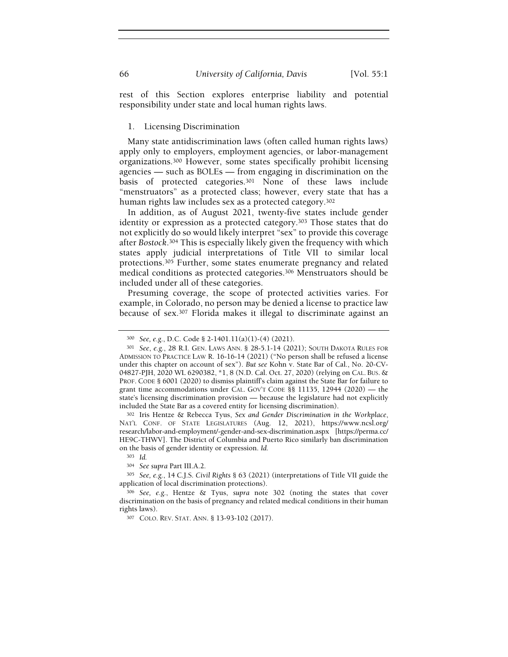rest of this Section explores enterprise liability and potential responsibility under state and local human rights laws.

### 1. Licensing Discrimination

Many state antidiscrimination laws (often called human rights laws) apply only to employers, employment agencies, or labor-management organizations.300 However, some states specifically prohibit licensing agencies — such as BOLEs — from engaging in discrimination on the basis of protected categories.301 None of these laws include "menstruators" as a protected class; however, every state that has a human rights law includes sex as a protected category.<sup>302</sup>

In addition, as of August 2021, twenty-five states include gender identity or expression as a protected category.<sup>303</sup> Those states that do not explicitly do so would likely interpret "sex" to provide this coverage after Bostock.304 This is especially likely given the frequency with which states apply judicial interpretations of Title VII to similar local protections.305 Further, some states enumerate pregnancy and related medical conditions as protected categories.306 Menstruators should be included under all of these categories.

Presuming coverage, the scope of protected activities varies. For example, in Colorado, no person may be denied a license to practice law because of sex.307 Florida makes it illegal to discriminate against an

<sup>302</sup> Iris Hentze & Rebecca Tyus, Sex and Gender Discrimination in the Workplace, NAT'L CONF. OF STATE LEGISLATURES (Aug. 12, 2021), https://www.ncsl.org/ research/labor-and-employment/-gender-and-sex-discrimination.aspx [https://perma.cc/ HE9C-THWV]. The District of Columbia and Puerto Rico similarly ban discrimination on the basis of gender identity or expression. Id.

<sup>300</sup> See, e.g., D.C. Code § 2-1401.11(a)(1)-(4) (2021).

<sup>301</sup> See, e.g., 28 R.I. GEN. LAWS ANN. § 28-5.1-14 (2021); SOUTH DAKOTA RULES FOR ADMISSION TO PRACTICE LAW R. 16-16-14 (2021) ("No person shall be refused a license under this chapter on account of sex"). But see Kohn v. State Bar of Cal., No. 20-CV-04827-PJH, 2020 WL 6290382, \*1, 8 (N.D. Cal. Oct. 27, 2020) (relying on CAL. BUS. & PROF. CODE § 6001 (2020) to dismiss plaintiff's claim against the State Bar for failure to grant time accommodations under CAL. GOV'T CODE §§ 11135, 12944 (2020) — the state's licensing discrimination provision — because the legislature had not explicitly included the State Bar as a covered entity for licensing discrimination).

<sup>303</sup> Id.

<sup>304</sup> See supra Part III.A.2.

<sup>305</sup> See, e.g., 14 C.J.S. Civil Rights § 63 (2021) (interpretations of Title VII guide the application of local discrimination protections).

<sup>306</sup> See, e.g., Hentze & Tyus, supra note 302 (noting the states that cover discrimination on the basis of pregnancy and related medical conditions in their human rights laws).

<sup>307</sup> COLO. REV. STAT. ANN. § 13-93-102 (2017).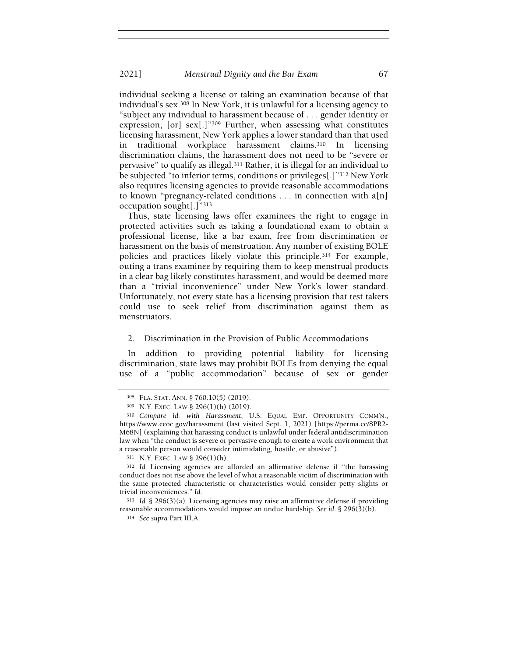individual seeking a license or taking an examination because of that individual's sex.308 In New York, it is unlawful for a licensing agency to "subject any individual to harassment because of . . . gender identity or expression, [or] sex[.]"309 Further, when assessing what constitutes licensing harassment, New York applies a lower standard than that used in traditional workplace harassment claims.310 In licensing discrimination claims, the harassment does not need to be "severe or pervasive" to qualify as illegal.311 Rather, it is illegal for an individual to be subjected "to inferior terms, conditions or privileges[.]"312 New York also requires licensing agencies to provide reasonable accommodations to known "pregnancy-related conditions . . . in connection with a[n] occupation sought[.]"<sup>313</sup>

Thus, state licensing laws offer examinees the right to engage in protected activities such as taking a foundational exam to obtain a professional license, like a bar exam, free from discrimination or harassment on the basis of menstruation. Any number of existing BOLE policies and practices likely violate this principle.314 For example, outing a trans examinee by requiring them to keep menstrual products in a clear bag likely constitutes harassment, and would be deemed more than a "trivial inconvenience" under New York's lower standard. Unfortunately, not every state has a licensing provision that test takers could use to seek relief from discrimination against them as menstruators.

### 2. Discrimination in the Provision of Public Accommodations

In addition to providing potential liability for licensing discrimination, state laws may prohibit BOLEs from denying the equal use of a "public accommodation" because of sex or gender

<sup>308</sup> FLA. STAT. ANN. § 760.10(5) (2019).

<sup>309</sup> N.Y. EXEC. LAW § 296(1)(h) (2019).

<sup>310</sup> Compare id. with Harassment, U.S. EQUAL EMP. OPPORTUNITY COMM'N., https://www.eeoc.gov/harassment (last visited Sept. 1, 2021) [https://perma.cc/8PR2- M68N] (explaining that harassing conduct is unlawful under federal antidiscrimination law when "the conduct is severe or pervasive enough to create a work environment that a reasonable person would consider intimidating, hostile, or abusive").

<sup>311</sup> N.Y. EXEC. LAW § 296(1)(h).

<sup>312</sup> Id. Licensing agencies are afforded an affirmative defense if "the harassing conduct does not rise above the level of what a reasonable victim of discrimination with the same protected characteristic or characteristics would consider petty slights or trivial inconveniences." Id.

<sup>313</sup> Id. § 296(3)(a). Licensing agencies may raise an affirmative defense if providing reasonable accommodations would impose an undue hardship. See id. § 296(3)(b).

<sup>314</sup> See supra Part III.A.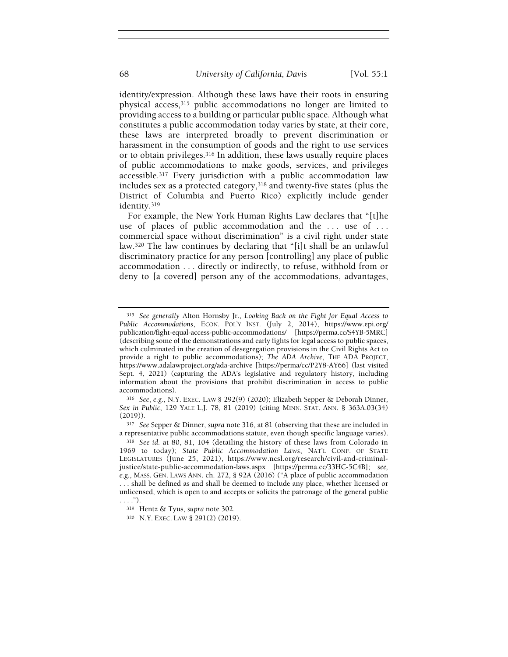identity/expression. Although these laws have their roots in ensuring physical access,315 public accommodations no longer are limited to providing access to a building or particular public space. Although what constitutes a public accommodation today varies by state, at their core, these laws are interpreted broadly to prevent discrimination or harassment in the consumption of goods and the right to use services or to obtain privileges.316 In addition, these laws usually require places of public accommodations to make goods, services, and privileges accessible.317 Every jurisdiction with a public accommodation law includes sex as a protected category,318 and twenty-five states (plus the District of Columbia and Puerto Rico) explicitly include gender identity.<sup>319</sup>

For example, the New York Human Rights Law declares that "[t]he use of places of public accommodation and the ... use of ... commercial space without discrimination" is a civil right under state law.320 The law continues by declaring that "[i]t shall be an unlawful discriminatory practice for any person [controlling] any place of public accommodation . . . directly or indirectly, to refuse, withhold from or deny to [a covered] person any of the accommodations, advantages,

<sup>317</sup> See Sepper & Dinner, supra note 316, at 81 (observing that these are included in a representative public accommodations statute, even though specific language varies).

<sup>315</sup> See generally Alton Hornsby Jr., Looking Back on the Fight for Equal Access to Public Accommodations, ECON. POL'Y INST. (July 2, 2014), https://www.epi.org/ publication/fight-equal-access-public-accommodations/ [https://perma.cc/S4YB-5MRC] (describing some of the demonstrations and early fights for legal access to public spaces, which culminated in the creation of desegregation provisions in the Civil Rights Act to provide a right to public accommodations); The ADA Archive, THE ADA PROJECT, https://www.adalawproject.org/ada-archive [https://perma/cc/P2Y8-AY66] (last visited Sept. 4, 2021) (capturing the ADA's legislative and regulatory history, including information about the provisions that prohibit discrimination in access to public accommodations).

<sup>316</sup> See, e.g., N.Y. EXEC. LAW § 292(9) (2020); Elizabeth Sepper & Deborah Dinner, Sex in Public, 129 YALE L.J. 78, 81 (2019) (citing MINN. STAT. ANN. § 363A.03(34) (2019)).

<sup>318</sup> See id. at 80, 81, 104 (detailing the history of these laws from Colorado in 1969 to today); State Public Accommodation Laws, NAT'L CONF. OF STATE LEGISLATURES (June 25, 2021), https://www.ncsl.org/research/civil-and-criminaljustice/state-public-accommodation-laws.aspx [https://perma.cc/33HC-5C4B]; see, e.g., MASS. GEN. LAWS ANN. ch. 272, § 92A (2016) ("A place of public accommodation . . . shall be defined as and shall be deemed to include any place, whether licensed or unlicensed, which is open to and accepts or solicits the patronage of the general public . . . .").

<sup>319</sup> Hentz & Tyus, supra note 302.

<sup>320</sup> N.Y. EXEC. LAW § 291(2) (2019).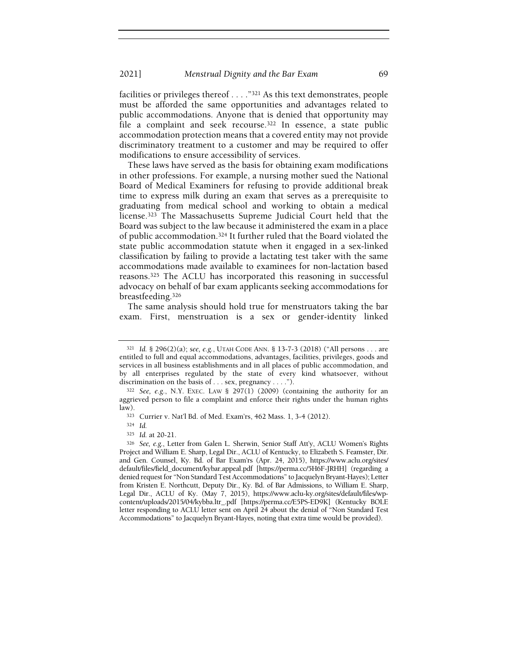facilities or privileges thereof . . . ."321 As this text demonstrates, people must be afforded the same opportunities and advantages related to public accommodations. Anyone that is denied that opportunity may file a complaint and seek recourse.<sup>322</sup> In essence, a state public accommodation protection means that a covered entity may not provide discriminatory treatment to a customer and may be required to offer modifications to ensure accessibility of services.

These laws have served as the basis for obtaining exam modifications in other professions. For example, a nursing mother sued the National Board of Medical Examiners for refusing to provide additional break time to express milk during an exam that serves as a prerequisite to graduating from medical school and working to obtain a medical license.323 The Massachusetts Supreme Judicial Court held that the Board was subject to the law because it administered the exam in a place of public accommodation.324 It further ruled that the Board violated the state public accommodation statute when it engaged in a sex-linked classification by failing to provide a lactating test taker with the same accommodations made available to examinees for non-lactation based reasons.325 The ACLU has incorporated this reasoning in successful advocacy on behalf of bar exam applicants seeking accommodations for breastfeeding.<sup>326</sup>

The same analysis should hold true for menstruators taking the bar exam. First, menstruation is a sex or gender-identity linked

<sup>321</sup> Id. § 296(2)(a); see, e.g., UTAH CODE ANN. § 13-7-3 (2018) ("All persons . . . are entitled to full and equal accommodations, advantages, facilities, privileges, goods and services in all business establishments and in all places of public accommodation, and by all enterprises regulated by the state of every kind whatsoever, without discrimination on the basis of . . . sex, pregnancy . . . .").

 $322$  See, e.g., N.Y. EXEC. LAW § 297(1) (2009) (containing the authority for an aggrieved person to file a complaint and enforce their rights under the human rights law).

<sup>323</sup> Currier v. Nat'l Bd. of Med. Exam'rs, 462 Mass. 1, 3-4 (2012).

<sup>324</sup> Id.

<sup>325</sup> Id. at 20-21.

<sup>326</sup> See, e.g., Letter from Galen L. Sherwin, Senior Staff Att'y, ACLU Women's Rights Project and William E. Sharp, Legal Dir., ACLU of Kentucky, to Elizabeth S. Feamster, Dir. and Gen. Counsel, Ky. Bd. of Bar Exam'rs (Apr. 24, 2015), https://www.aclu.org/sites/ default/files/field\_document/kybar.appeal.pdf [https://perma.cc/5H6F-JRHH] (regarding a denied request for "Non Standard Test Accommodations" to Jacquelyn Bryant-Hayes); Letter from Kristen E. Northcutt, Deputy Dir., Ky. Bd. of Bar Admissions, to William E. Sharp, Legal Dir., ACLU of Ky. (May 7, 2015), https://www.aclu-ky.org/sites/default/files/wpcontent/uploads/2015/04/kybba.ltr\_.pdf [https://perma.cc/E5PS-ED9K] (Kentucky BOLE letter responding to ACLU letter sent on April 24 about the denial of "Non Standard Test Accommodations" to Jacquelyn Bryant-Hayes, noting that extra time would be provided).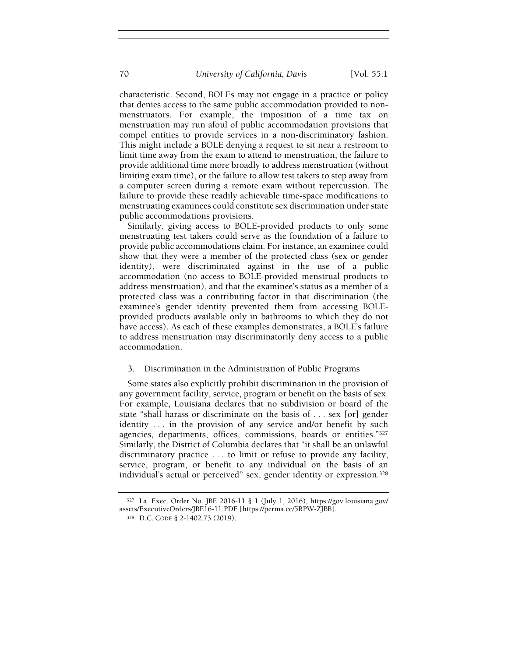characteristic. Second, BOLEs may not engage in a practice or policy that denies access to the same public accommodation provided to nonmenstruators. For example, the imposition of a time tax on menstruation may run afoul of public accommodation provisions that compel entities to provide services in a non-discriminatory fashion. This might include a BOLE denying a request to sit near a restroom to limit time away from the exam to attend to menstruation, the failure to provide additional time more broadly to address menstruation (without limiting exam time), or the failure to allow test takers to step away from a computer screen during a remote exam without repercussion. The failure to provide these readily achievable time-space modifications to menstruating examinees could constitute sex discrimination under state public accommodations provisions.

Similarly, giving access to BOLE-provided products to only some menstruating test takers could serve as the foundation of a failure to provide public accommodations claim. For instance, an examinee could show that they were a member of the protected class (sex or gender identity), were discriminated against in the use of a public accommodation (no access to BOLE-provided menstrual products to address menstruation), and that the examinee's status as a member of a protected class was a contributing factor in that discrimination (the examinee's gender identity prevented them from accessing BOLEprovided products available only in bathrooms to which they do not have access). As each of these examples demonstrates, a BOLE's failure to address menstruation may discriminatorily deny access to a public accommodation.

## 3. Discrimination in the Administration of Public Programs

Some states also explicitly prohibit discrimination in the provision of any government facility, service, program or benefit on the basis of sex. For example, Louisiana declares that no subdivision or board of the state "shall harass or discriminate on the basis of . . . sex [or] gender identity . . . in the provision of any service and/or benefit by such agencies, departments, offices, commissions, boards or entities."<sup>327</sup> Similarly, the District of Columbia declares that "it shall be an unlawful discriminatory practice . . . to limit or refuse to provide any facility, service, program, or benefit to any individual on the basis of an individual's actual or perceived" sex, gender identity or expression.<sup>328</sup>

<sup>327</sup> La. Exec. Order No. JBE 2016-11 § 1 (July 1, 2016), https://gov.louisiana.gov/ assets/ExecutiveOrders/JBE16-11.PDF [https://perma.cc/5RPW-ZJBB].

<sup>328</sup> D.C. CODE § 2-1402.73 (2019).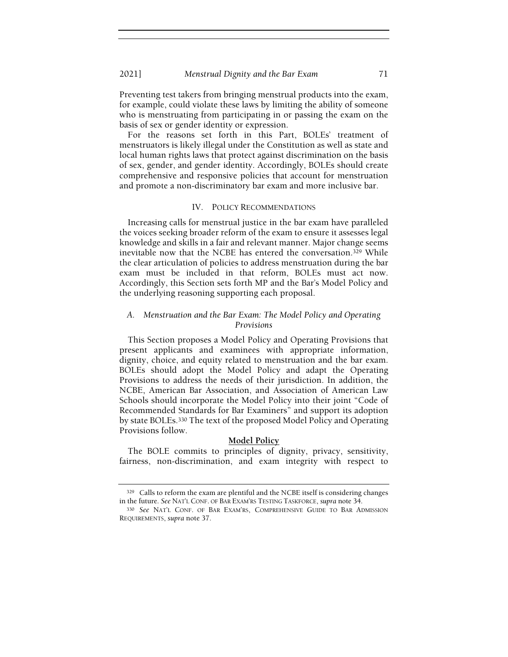Preventing test takers from bringing menstrual products into the exam, for example, could violate these laws by limiting the ability of someone who is menstruating from participating in or passing the exam on the basis of sex or gender identity or expression.

For the reasons set forth in this Part, BOLEs' treatment of menstruators is likely illegal under the Constitution as well as state and local human rights laws that protect against discrimination on the basis of sex, gender, and gender identity. Accordingly, BOLEs should create comprehensive and responsive policies that account for menstruation and promote a non-discriminatory bar exam and more inclusive bar.

#### IV. POLICY RECOMMENDATIONS

Increasing calls for menstrual justice in the bar exam have paralleled the voices seeking broader reform of the exam to ensure it assesses legal knowledge and skills in a fair and relevant manner. Major change seems inevitable now that the NCBE has entered the conversation.329 While the clear articulation of policies to address menstruation during the bar exam must be included in that reform, BOLEs must act now. Accordingly, this Section sets forth MP and the Bar's Model Policy and the underlying reasoning supporting each proposal.

# A. Menstruation and the Bar Exam: The Model Policy and Operating Provisions

This Section proposes a Model Policy and Operating Provisions that present applicants and examinees with appropriate information, dignity, choice, and equity related to menstruation and the bar exam. BOLEs should adopt the Model Policy and adapt the Operating Provisions to address the needs of their jurisdiction. In addition, the NCBE, American Bar Association, and Association of American Law Schools should incorporate the Model Policy into their joint "Code of Recommended Standards for Bar Examiners" and support its adoption by state BOLEs.330 The text of the proposed Model Policy and Operating Provisions follow.

#### Model Policy

The BOLE commits to principles of dignity, privacy, sensitivity, fairness, non-discrimination, and exam integrity with respect to

<sup>329</sup> Calls to reform the exam are plentiful and the NCBE itself is considering changes in the future. See NAT'L CONF. OF BAR EXAM'RS TESTING TASKFORCE, supra note 34.

<sup>330</sup> See NAT'L CONF. OF BAR EXAM'RS, COMPREHENSIVE GUIDE TO BAR ADMISSION REQUIREMENTS, supra note 37.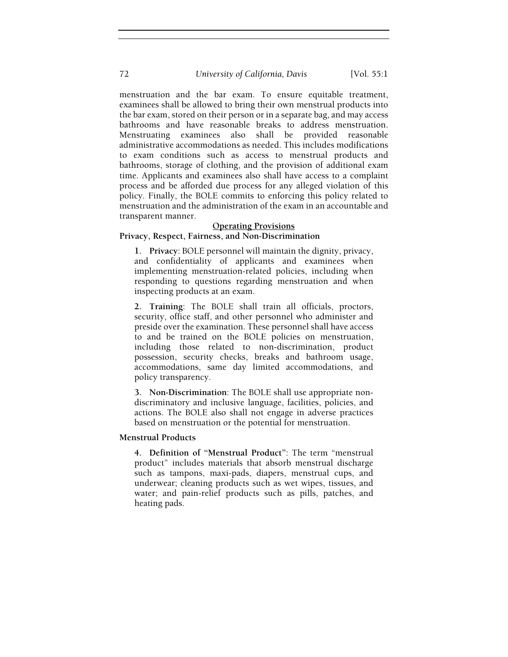72 University of California, Davis [Vol. 55:1]

menstruation and the bar exam. To ensure equitable treatment, examinees shall be allowed to bring their own menstrual products into the bar exam, stored on their person or in a separate bag, and may access bathrooms and have reasonable breaks to address menstruation. Menstruating examinees also shall be provided reasonable administrative accommodations as needed. This includes modifications to exam conditions such as access to menstrual products and bathrooms, storage of clothing, and the provision of additional exam time. Applicants and examinees also shall have access to a complaint process and be afforded due process for any alleged violation of this policy. Finally, the BOLE commits to enforcing this policy related to menstruation and the administration of the exam in an accountable and transparent manner.

### Operating Provisions

## Privacy, Respect, Fairness, and Non-Discrimination

1. Privacy: BOLE personnel will maintain the dignity, privacy, and confidentiality of applicants and examinees when implementing menstruation-related policies, including when responding to questions regarding menstruation and when inspecting products at an exam.

2. Training: The BOLE shall train all officials, proctors, security, office staff, and other personnel who administer and preside over the examination. These personnel shall have access to and be trained on the BOLE policies on menstruation, including those related to non-discrimination, product possession, security checks, breaks and bathroom usage, accommodations, same day limited accommodations, and policy transparency.

3. Non-Discrimination: The BOLE shall use appropriate nondiscriminatory and inclusive language, facilities, policies, and actions. The BOLE also shall not engage in adverse practices based on menstruation or the potential for menstruation.

## Menstrual Products

4. Definition of "Menstrual Product": The term "menstrual product" includes materials that absorb menstrual discharge such as tampons, maxi-pads, diapers, menstrual cups, and underwear; cleaning products such as wet wipes, tissues, and water; and pain-relief products such as pills, patches, and heating pads.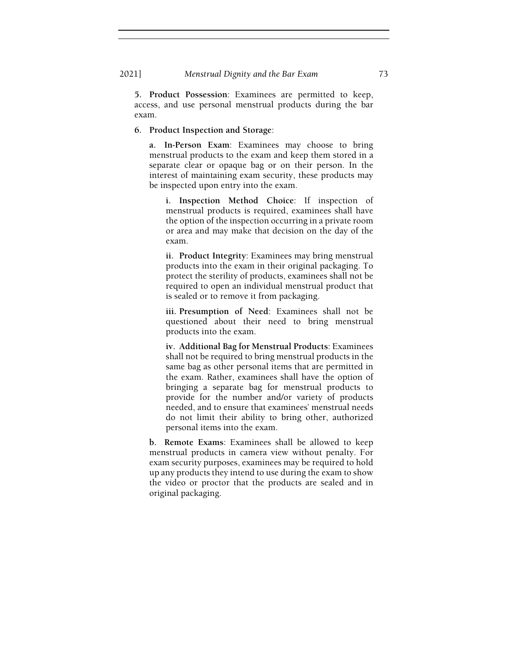5. Product Possession: Examinees are permitted to keep, access, and use personal menstrual products during the bar exam.

#### 6. Product Inspection and Storage:

a. In-Person Exam: Examinees may choose to bring menstrual products to the exam and keep them stored in a separate clear or opaque bag or on their person. In the interest of maintaining exam security, these products may be inspected upon entry into the exam.

i. Inspection Method Choice: If inspection of menstrual products is required, examinees shall have the option of the inspection occurring in a private room or area and may make that decision on the day of the exam.

ii. Product Integrity: Examinees may bring menstrual products into the exam in their original packaging. To protect the sterility of products, examinees shall not be required to open an individual menstrual product that is sealed or to remove it from packaging.

iii. Presumption of Need: Examinees shall not be questioned about their need to bring menstrual products into the exam.

iv. Additional Bag for Menstrual Products: Examinees shall not be required to bring menstrual products in the same bag as other personal items that are permitted in the exam. Rather, examinees shall have the option of bringing a separate bag for menstrual products to provide for the number and/or variety of products needed, and to ensure that examinees' menstrual needs do not limit their ability to bring other, authorized personal items into the exam.

b. Remote Exams: Examinees shall be allowed to keep menstrual products in camera view without penalty. For exam security purposes, examinees may be required to hold up any products they intend to use during the exam to show the video or proctor that the products are sealed and in original packaging.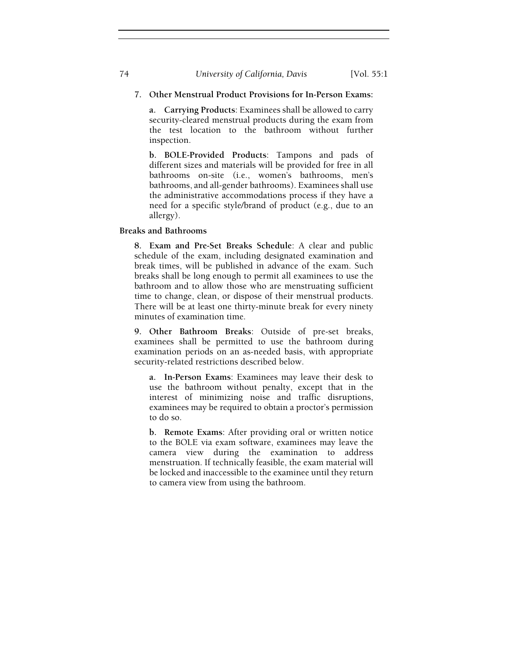74 University of California, Davis [Vol. 55:1]

# 7. Other Menstrual Product Provisions for In-Person Exams:

a. Carrying Products: Examinees shall be allowed to carry security-cleared menstrual products during the exam from the test location to the bathroom without further inspection.

b. BOLE-Provided Products: Tampons and pads of different sizes and materials will be provided for free in all bathrooms on-site (i.e., women's bathrooms, men's bathrooms, and all-gender bathrooms). Examinees shall use the administrative accommodations process if they have a need for a specific style/brand of product (e.g., due to an allergy).

Breaks and Bathrooms

8. Exam and Pre-Set Breaks Schedule: A clear and public schedule of the exam, including designated examination and break times, will be published in advance of the exam. Such breaks shall be long enough to permit all examinees to use the bathroom and to allow those who are menstruating sufficient time to change, clean, or dispose of their menstrual products. There will be at least one thirty-minute break for every ninety minutes of examination time.

9. Other Bathroom Breaks: Outside of pre-set breaks, examinees shall be permitted to use the bathroom during examination periods on an as-needed basis, with appropriate security-related restrictions described below.

a. In-Person Exams: Examinees may leave their desk to use the bathroom without penalty, except that in the interest of minimizing noise and traffic disruptions, examinees may be required to obtain a proctor's permission to do so.

b. Remote Exams: After providing oral or written notice to the BOLE via exam software, examinees may leave the camera view during the examination to address menstruation. If technically feasible, the exam material will be locked and inaccessible to the examinee until they return to camera view from using the bathroom.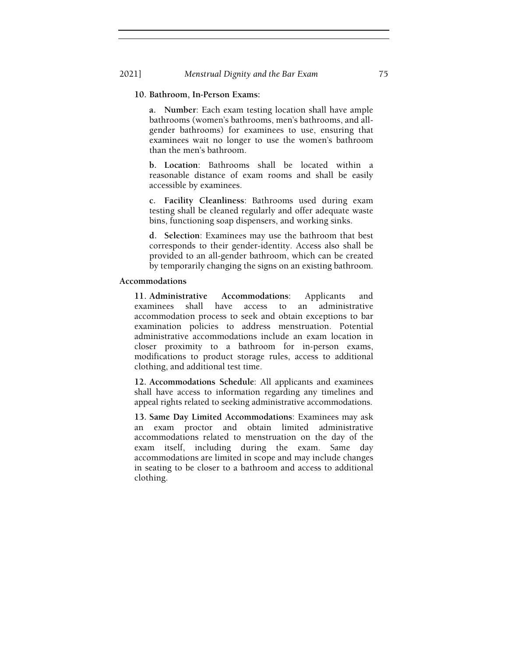## 10. Bathroom, In-Person Exams:

a. Number: Each exam testing location shall have ample bathrooms (women's bathrooms, men's bathrooms, and allgender bathrooms) for examinees to use, ensuring that examinees wait no longer to use the women's bathroom than the men's bathroom.

b. Location: Bathrooms shall be located within a reasonable distance of exam rooms and shall be easily accessible by examinees.

c. Facility Cleanliness: Bathrooms used during exam testing shall be cleaned regularly and offer adequate waste bins, functioning soap dispensers, and working sinks.

d. Selection: Examinees may use the bathroom that best corresponds to their gender-identity. Access also shall be provided to an all-gender bathroom, which can be created by temporarily changing the signs on an existing bathroom.

#### Accommodations

11. Administrative Accommodations: Applicants and examinees shall have access to an administrative accommodation process to seek and obtain exceptions to bar examination policies to address menstruation. Potential administrative accommodations include an exam location in closer proximity to a bathroom for in-person exams, modifications to product storage rules, access to additional clothing, and additional test time.

12. Accommodations Schedule: All applicants and examinees shall have access to information regarding any timelines and appeal rights related to seeking administrative accommodations.

13. Same Day Limited Accommodations: Examinees may ask an exam proctor and obtain limited administrative accommodations related to menstruation on the day of the exam itself, including during the exam. Same day accommodations are limited in scope and may include changes in seating to be closer to a bathroom and access to additional clothing.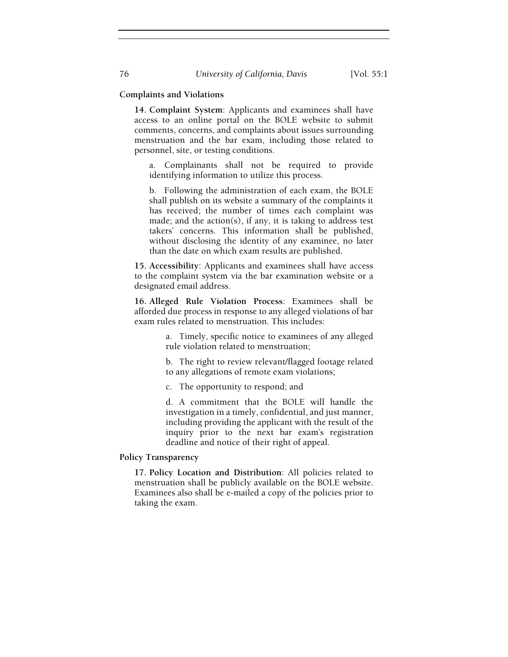## Complaints and Violations

14. Complaint System: Applicants and examinees shall have access to an online portal on the BOLE website to submit comments, concerns, and complaints about issues surrounding menstruation and the bar exam, including those related to personnel, site, or testing conditions.

a. Complainants shall not be required to provide identifying information to utilize this process.

b. Following the administration of each exam, the BOLE shall publish on its website a summary of the complaints it has received; the number of times each complaint was made; and the action(s), if any, it is taking to address test takers' concerns. This information shall be published, without disclosing the identity of any examinee, no later than the date on which exam results are published.

15. Accessibility: Applicants and examinees shall have access to the complaint system via the bar examination website or a designated email address.

16. Alleged Rule Violation Process: Examinees shall be afforded due process in response to any alleged violations of bar exam rules related to menstruation. This includes:

> a. Timely, specific notice to examinees of any alleged rule violation related to menstruation;

> b. The right to review relevant/flagged footage related to any allegations of remote exam violations;

c. The opportunity to respond; and

d. A commitment that the BOLE will handle the investigation in a timely, confidential, and just manner, including providing the applicant with the result of the inquiry prior to the next bar exam's registration deadline and notice of their right of appeal.

# Policy Transparency

17. Policy Location and Distribution: All policies related to menstruation shall be publicly available on the BOLE website. Examinees also shall be e-mailed a copy of the policies prior to taking the exam.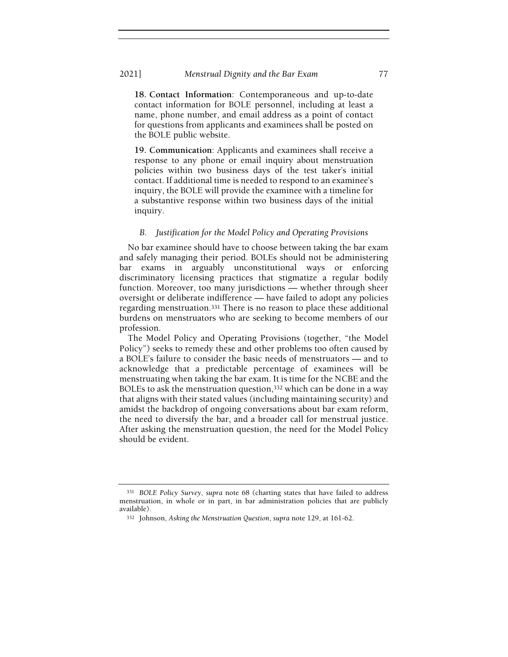18. Contact Information: Contemporaneous and up-to-date contact information for BOLE personnel, including at least a name, phone number, and email address as a point of contact for questions from applicants and examinees shall be posted on the BOLE public website.

19. Communication: Applicants and examinees shall receive a response to any phone or email inquiry about menstruation policies within two business days of the test taker's initial contact. If additional time is needed to respond to an examinee's inquiry, the BOLE will provide the examinee with a timeline for a substantive response within two business days of the initial inquiry.

# B. Justification for the Model Policy and Operating Provisions

No bar examinee should have to choose between taking the bar exam and safely managing their period. BOLEs should not be administering bar exams in arguably unconstitutional ways or enforcing discriminatory licensing practices that stigmatize a regular bodily function. Moreover, too many jurisdictions — whether through sheer oversight or deliberate indifference — have failed to adopt any policies regarding menstruation.331 There is no reason to place these additional burdens on menstruators who are seeking to become members of our profession.

The Model Policy and Operating Provisions (together, "the Model Policy") seeks to remedy these and other problems too often caused by a BOLE's failure to consider the basic needs of menstruators — and to acknowledge that a predictable percentage of examinees will be menstruating when taking the bar exam. It is time for the NCBE and the BOLEs to ask the menstruation question,<sup>332</sup> which can be done in a way that aligns with their stated values (including maintaining security) and amidst the backdrop of ongoing conversations about bar exam reform, the need to diversify the bar, and a broader call for menstrual justice. After asking the menstruation question, the need for the Model Policy should be evident.

<sup>331</sup> BOLE Policy Survey, supra note 68 (charting states that have failed to address menstruation, in whole or in part, in bar administration policies that are publicly available).

<sup>332</sup> Johnson, Asking the Menstruation Question, supra note 129, at 161-62.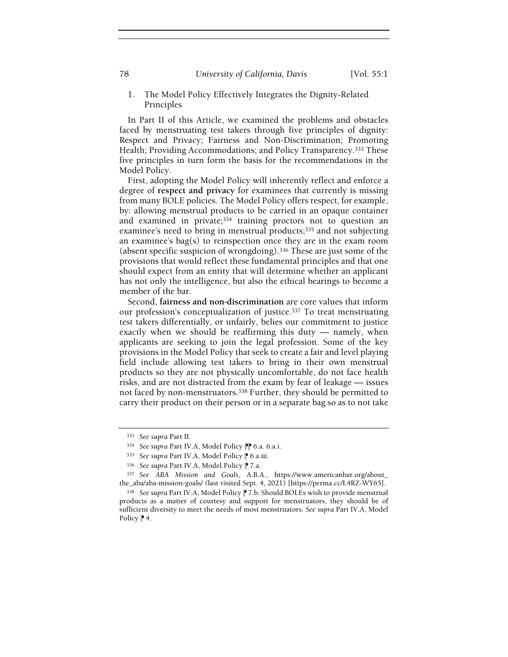78 University of California, Davis [Vol. 55:1]

1. The Model Policy Effectively Integrates the Dignity-Related Principles

In Part II of this Article, we examined the problems and obstacles faced by menstruating test takers through five principles of dignity: Respect and Privacy; Fairness and Non-Discrimination; Promoting Health; Providing Accommodations; and Policy Transparency.333 These five principles in turn form the basis for the recommendations in the Model Policy.

First, adopting the Model Policy will inherently reflect and enforce a degree of respect and privacy for examinees that currently is missing from many BOLE policies. The Model Policy offers respect, for example, by: allowing menstrual products to be carried in an opaque container and examined in private;<sup>334</sup> training proctors not to question an examinee's need to bring in menstrual products;<sup>335</sup> and not subjecting an examinee's bag(s) to reinspection once they are in the exam room (absent specific suspicion of wrongdoing).336 These are just some of the provisions that would reflect these fundamental principles and that one should expect from an entity that will determine whether an applicant has not only the intelligence, but also the ethical bearings to become a member of the bar.

Second, fairness and non-discrimination are core values that inform our profession's conceptualization of justice.337 To treat menstruating test takers differentially, or unfairly, belies our commitment to justice exactly when we should be reaffirming this duty — namely, when applicants are seeking to join the legal profession. Some of the key provisions in the Model Policy that seek to create a fair and level playing field include allowing test takers to bring in their own menstrual products so they are not physically uncomfortable, do not face health risks, and are not distracted from the exam by fear of leakage — issues not faced by non-menstruators.338 Further, they should be permitted to carry their product on their person or in a separate bag so as to not take

<sup>333</sup> See supra Part II.

<sup>334</sup> See supra Part IV.A, Model Policy <sup>1</sup> 6.a. 6.a.i.

<sup>335</sup> See supra Part IV.A, Model Policy P 6.a.iii.

<sup>336</sup> See supra Part IV.A, Model Policy | 7.a.

<sup>337</sup> See ABA Mission and Goals, A.B.A., https://www.americanbar.org/about\_ the\_aba/aba-mission-goals/ (last visited Sept. 4, 2021) [https://perma.cc/L4RZ-WY65].

<sup>338</sup> See supra Part IV.A, Model Policy <sup>1</sup> 7.b. Should BOLEs wish to provide menstrual products as a matter of courtesy and support for menstruators, they should be of sufficient diversity to meet the needs of most menstruators. See supra Part IV.A, Model Policy  $\uparrow$  4.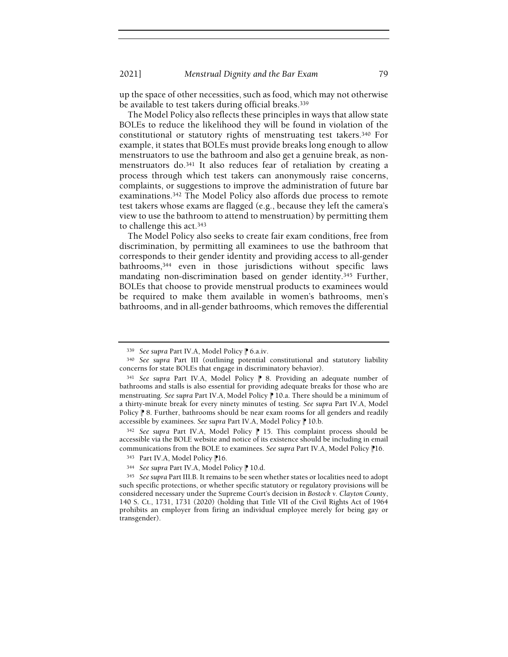up the space of other necessities, such as food, which may not otherwise be available to test takers during official breaks.<sup>339</sup>

The Model Policy also reflects these principles in ways that allow state BOLEs to reduce the likelihood they will be found in violation of the constitutional or statutory rights of menstruating test takers.340 For example, it states that BOLEs must provide breaks long enough to allow menstruators to use the bathroom and also get a genuine break, as nonmenstruators do.341 It also reduces fear of retaliation by creating a process through which test takers can anonymously raise concerns, complaints, or suggestions to improve the administration of future bar examinations.342 The Model Policy also affords due process to remote test takers whose exams are flagged (e.g., because they left the camera's view to use the bathroom to attend to menstruation) by permitting them to challenge this act.<sup>343</sup>

The Model Policy also seeks to create fair exam conditions, free from discrimination, by permitting all examinees to use the bathroom that corresponds to their gender identity and providing access to all-gender bathrooms,344 even in those jurisdictions without specific laws mandating non-discrimination based on gender identity.345 Further, BOLEs that choose to provide menstrual products to examinees would be required to make them available in women's bathrooms, men's bathrooms, and in all-gender bathrooms, which removes the differential

<sup>339</sup> See supra Part IV.A, Model Policy P 6.a.iv.

<sup>340</sup> See supra Part III (outlining potential constitutional and statutory liability concerns for state BOLEs that engage in discriminatory behavior).

<sup>341</sup> See supra Part IV.A, Model Policy | 8. Providing an adequate number of bathrooms and stalls is also essential for providing adequate breaks for those who are menstruating. See supra Part IV.A, Model Policy  $\mathbb P$  10.a. There should be a minimum of a thirty-minute break for every ninety minutes of testing. See supra Part IV.A, Model Policy <sup>®</sup> 8. Further, bathrooms should be near exam rooms for all genders and readily accessible by examinees. See supra Part IV.A, Model Policy <sup>1</sup> 10.b.

 $342$  See supra Part IV.A, Model Policy  $\mathbb P$  15. This complaint process should be accessible via the BOLE website and notice of its existence should be including in email communications from the BOLE to examinees. See supra Part IV.A, Model Policy <sup>1</sup>16.

<sup>343</sup> Part IV.A, Model Policy <sup>1</sup>16.

<sup>344</sup> See supra Part IV.A, Model Policy <sup>1</sup> 10.d.

<sup>345</sup> See supra Part III.B. It remains to be seen whether states or localities need to adopt such specific protections, or whether specific statutory or regulatory provisions will be considered necessary under the Supreme Court's decision in Bostock v. Clayton County, 140 S. Ct., 1731, 1731 (2020) (holding that Title VII of the Civil Rights Act of 1964 prohibits an employer from firing an individual employee merely for being gay or transgender).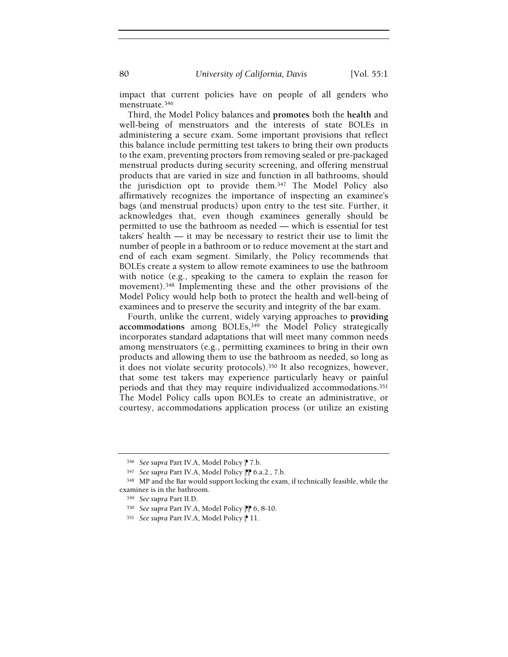80 **University of California, Davis** [Vol. 55:1]

impact that current policies have on people of all genders who menstruate.<sup>346</sup>

Third, the Model Policy balances and promotes both the health and well-being of menstruators and the interests of state BOLEs in administering a secure exam. Some important provisions that reflect this balance include permitting test takers to bring their own products to the exam, preventing proctors from removing sealed or pre-packaged menstrual products during security screening, and offering menstrual products that are varied in size and function in all bathrooms, should the jurisdiction opt to provide them.347 The Model Policy also affirmatively recognizes the importance of inspecting an examinee's bags (and menstrual products) upon entry to the test site. Further, it acknowledges that, even though examinees generally should be permitted to use the bathroom as needed — which is essential for test takers' health — it may be necessary to restrict their use to limit the number of people in a bathroom or to reduce movement at the start and end of each exam segment. Similarly, the Policy recommends that BOLEs create a system to allow remote examinees to use the bathroom with notice (e.g., speaking to the camera to explain the reason for movement).348 Implementing these and the other provisions of the Model Policy would help both to protect the health and well-being of examinees and to preserve the security and integrity of the bar exam.

Fourth, unlike the current, widely varying approaches to providing accommodations among BOLEs,<sup>349</sup> the Model Policy strategically incorporates standard adaptations that will meet many common needs among menstruators (e.g., permitting examinees to bring in their own products and allowing them to use the bathroom as needed, so long as it does not violate security protocols).350 It also recognizes, however, that some test takers may experience particularly heavy or painful periods and that they may require individualized accommodations.<sup>351</sup> The Model Policy calls upon BOLEs to create an administrative, or courtesy, accommodations application process (or utilize an existing

<sup>346</sup> See supra Part IV.A, Model Policy | 7.b.

<sup>347</sup> See supra Part IV.A, Model Policy <sup>1</sup> 6.a.2., 7.b.

<sup>348</sup> MP and the Bar would support locking the exam, if technically feasible, while the examinee is in the bathroom.

<sup>349</sup> See supra Part II.D.

<sup>350</sup> See supra Part IV.A, Model Policy <sup>1</sup> 6, 8-10.

<sup>351</sup> See supra Part IV.A, Model Policy | 11.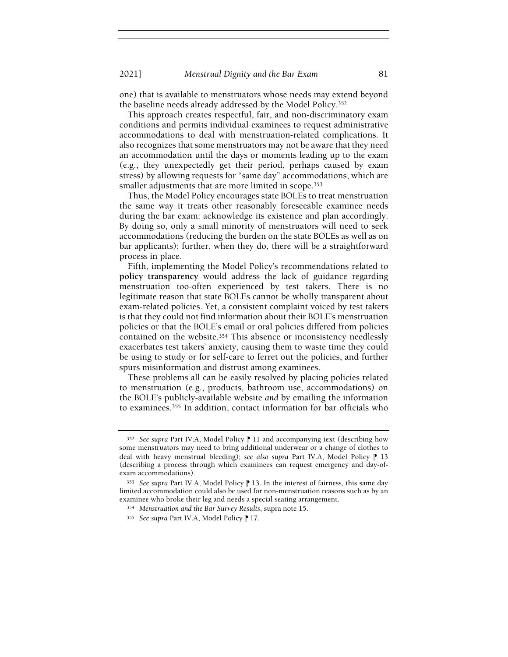one) that is available to menstruators whose needs may extend beyond the baseline needs already addressed by the Model Policy.<sup>352</sup>

This approach creates respectful, fair, and non-discriminatory exam conditions and permits individual examinees to request administrative accommodations to deal with menstruation-related complications. It also recognizes that some menstruators may not be aware that they need an accommodation until the days or moments leading up to the exam (e.g., they unexpectedly get their period, perhaps caused by exam stress) by allowing requests for "same day" accommodations, which are smaller adjustments that are more limited in scope.<sup>353</sup>

Thus, the Model Policy encourages state BOLEs to treat menstruation the same way it treats other reasonably foreseeable examinee needs during the bar exam: acknowledge its existence and plan accordingly. By doing so, only a small minority of menstruators will need to seek accommodations (reducing the burden on the state BOLEs as well as on bar applicants); further, when they do, there will be a straightforward process in place.

Fifth, implementing the Model Policy's recommendations related to policy transparency would address the lack of guidance regarding menstruation too-often experienced by test takers. There is no legitimate reason that state BOLEs cannot be wholly transparent about exam-related policies. Yet, a consistent complaint voiced by test takers is that they could not find information about their BOLE's menstruation policies or that the BOLE's email or oral policies differed from policies contained on the website.354 This absence or inconsistency needlessly exacerbates test takers' anxiety, causing them to waste time they could be using to study or for self-care to ferret out the policies, and further spurs misinformation and distrust among examinees.

These problems all can be easily resolved by placing policies related to menstruation (e.g., products, bathroom use, accommodations) on the BOLE's publicly-available website and by emailing the information to examinees.355 In addition, contact information for bar officials who

 $352$  See supra Part IV.A, Model Policy || 11 and accompanying text (describing how some menstruators may need to bring additional underwear or a change of clothes to deal with heavy menstrual bleeding); see also supra Part IV.A, Model Policy  $\uparrow$  13 (describing a process through which examinees can request emergency and day-ofexam accommodations).

<sup>353</sup> See supra Part IV.A, Model Policy | 13. In the interest of fairness, this same day limited accommodation could also be used for non-menstruation reasons such as by an examinee who broke their leg and needs a special seating arrangement.

<sup>354</sup> Menstruation and the Bar Survey Results, supra note 15.

<sup>355</sup> See supra Part IV.A, Model Policy | 17.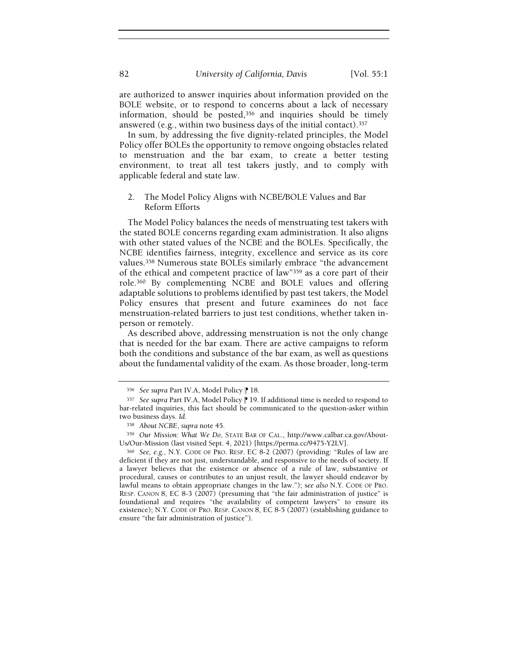are authorized to answer inquiries about information provided on the BOLE website, or to respond to concerns about a lack of necessary information, should be posted,356 and inquiries should be timely answered (e.g., within two business days of the initial contact).<sup>357</sup>

In sum, by addressing the five dignity-related principles, the Model Policy offer BOLEs the opportunity to remove ongoing obstacles related to menstruation and the bar exam, to create a better testing environment, to treat all test takers justly, and to comply with applicable federal and state law.

# 2. The Model Policy Aligns with NCBE/BOLE Values and Bar Reform Efforts

The Model Policy balances the needs of menstruating test takers with the stated BOLE concerns regarding exam administration. It also aligns with other stated values of the NCBE and the BOLEs. Specifically, the NCBE identifies fairness, integrity, excellence and service as its core values.358 Numerous state BOLEs similarly embrace "the advancement of the ethical and competent practice of law"359 as a core part of their role.360 By complementing NCBE and BOLE values and offering adaptable solutions to problems identified by past test takers, the Model Policy ensures that present and future examinees do not face menstruation-related barriers to just test conditions, whether taken inperson or remotely.

As described above, addressing menstruation is not the only change that is needed for the bar exam. There are active campaigns to reform both the conditions and substance of the bar exam, as well as questions about the fundamental validity of the exam. As those broader, long-term

<sup>356</sup> See supra Part IV.A, Model Policy | 18.

<sup>357</sup> See supra Part IV.A, Model Policy | 19. If additional time is needed to respond to bar-related inquiries, this fact should be communicated to the question-asker within two business days. Id.

<sup>358</sup> About NCBE, supra note 45.

<sup>359</sup> Our Mission: What We Do, STATE BAR OF CAL., http://www.calbar.ca.gov/About-Us/Our-Mission (last visited Sept. 4, 2021) [https://perma.cc/9475-Y2LV].

<sup>360</sup> See, e.g., N.Y. CODE OF PRO. RESP. EC 8-2 (2007) (providing: "Rules of law are deficient if they are not just, understandable, and responsive to the needs of society. If a lawyer believes that the existence or absence of a rule of law, substantive or procedural, causes or contributes to an unjust result, the lawyer should endeavor by lawful means to obtain appropriate changes in the law."); see also N.Y. CODE OF PRO. RESP. CANON 8, EC 8-3 (2007) (presuming that "the fair administration of justice" is foundational and requires "the availability of competent lawyers" to ensure its existence); N.Y. CODE OF PRO. RESP. CANON 8, EC 8-5 (2007) (establishing guidance to ensure "the fair administration of justice").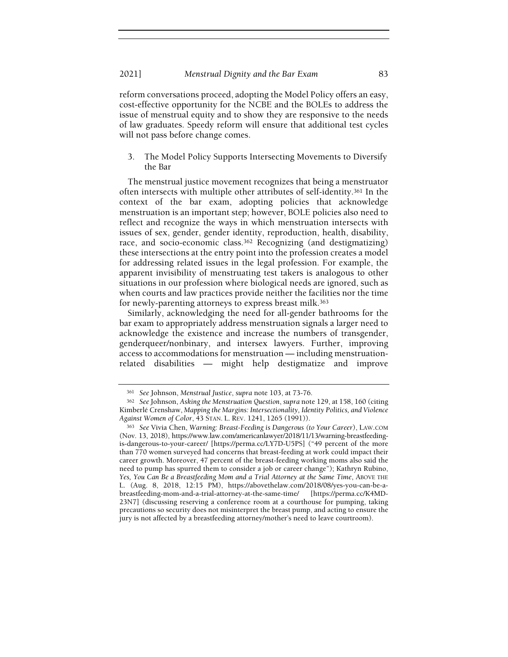reform conversations proceed, adopting the Model Policy offers an easy, cost-effective opportunity for the NCBE and the BOLEs to address the issue of menstrual equity and to show they are responsive to the needs of law graduates. Speedy reform will ensure that additional test cycles will not pass before change comes.

3. The Model Policy Supports Intersecting Movements to Diversify the Bar

The menstrual justice movement recognizes that being a menstruator often intersects with multiple other attributes of self-identity.361 In the context of the bar exam, adopting policies that acknowledge menstruation is an important step; however, BOLE policies also need to reflect and recognize the ways in which menstruation intersects with issues of sex, gender, gender identity, reproduction, health, disability, race, and socio-economic class.<sup>362</sup> Recognizing (and destigmatizing) these intersections at the entry point into the profession creates a model for addressing related issues in the legal profession. For example, the apparent invisibility of menstruating test takers is analogous to other situations in our profession where biological needs are ignored, such as when courts and law practices provide neither the facilities nor the time for newly-parenting attorneys to express breast milk.<sup>363</sup>

Similarly, acknowledging the need for all-gender bathrooms for the bar exam to appropriately address menstruation signals a larger need to acknowledge the existence and increase the numbers of transgender, genderqueer/nonbinary, and intersex lawyers. Further, improving access to accommodations for menstruation — including menstruationrelated disabilities — might help destigmatize and improve

<sup>361</sup> See Johnson, Menstrual Justice, supra note 103, at 73-76.

<sup>362</sup> See Johnson, Asking the Menstruation Question, supra note 129, at 158, 160 (citing Kimberlé Crenshaw, Mapping the Margins: Intersectionality, Identity Politics, and Violence Against Women of Color, 43 STAN. L. REV. 1241, 1265 (1991)).

<sup>363</sup> See Vivia Chen, Warning: Breast-Feeding is Dangerous (to Your Career), LAW.COM (Nov. 13, 2018), https://www.law.com/americanlawyer/2018/11/13/warning-breastfeedingis-dangerous-to-your-career/ [https://perma.cc/LY7D-U5PS] ("49 percent of the more than 770 women surveyed had concerns that breast-feeding at work could impact their career growth. Moreover, 47 percent of the breast-feeding working moms also said the need to pump has spurred them to consider a job or career change"); Kathryn Rubino, Yes, You Can Be a Breastfeeding Mom and a Trial Attorney at the Same Time, ABOVE THE L. (Aug. 8, 2018, 12:15 PM), https://abovethelaw.com/2018/08/yes-you-can-be-abreastfeeding-mom-and-a-trial-attorney-at-the-same-time/ [https://perma.cc/K4MD-23N7] (discussing reserving a conference room at a courthouse for pumping, taking precautions so security does not misinterpret the breast pump, and acting to ensure the jury is not affected by a breastfeeding attorney/mother's need to leave courtroom).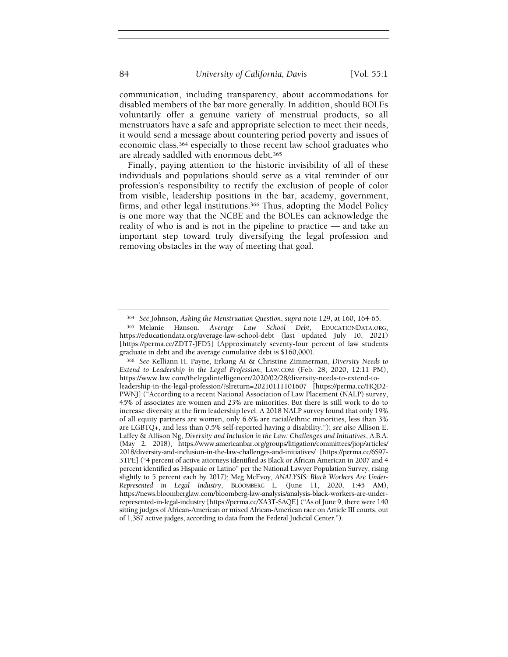communication, including transparency, about accommodations for disabled members of the bar more generally. In addition, should BOLEs voluntarily offer a genuine variety of menstrual products, so all menstruators have a safe and appropriate selection to meet their needs, it would send a message about countering period poverty and issues of economic class,364 especially to those recent law school graduates who are already saddled with enormous debt.<sup>365</sup>

Finally, paying attention to the historic invisibility of all of these individuals and populations should serve as a vital reminder of our profession's responsibility to rectify the exclusion of people of color from visible, leadership positions in the bar, academy, government, firms, and other legal institutions.366 Thus, adopting the Model Policy is one more way that the NCBE and the BOLEs can acknowledge the reality of who is and is not in the pipeline to practice — and take an important step toward truly diversifying the legal profession and removing obstacles in the way of meeting that goal.

<sup>364</sup> See Johnson, Asking the Menstruation Question, supra note 129, at 160, 164-65.

<sup>365</sup> Melanie Hanson, Average Law School Debt, EDUCATIONDATA.ORG, https://educationdata.org/average-law-school-debt (last updated July 10, 2021) [https://perma.cc/ZDT7-JFD5] (Approximately seventy-four percent of law students graduate in debt and the average cumulative debt is \$160,000).

<sup>366</sup> See Kelliann H. Payne, Erkang Ai & Christine Zimmerman, Diversity Needs to Extend to Leadership in the Legal Profession, LAW.COM (Feb. 28, 2020, 12:11 PM), https://www.law.com/thelegalintelligencer/2020/02/28/diversity-needs-to-extend-toleadership-in-the-legal-profession/?slreturn=20210111101607 [https://perma.cc/HQD2- PWNJ] ("According to a recent National Association of Law Placement (NALP) survey, 45% of associates are women and 23% are minorities. But there is still work to do to increase diversity at the firm leadership level. A 2018 NALP survey found that only 19% of all equity partners are women, only 6.6% are racial/ethnic minorities, less than 3% are LGBTQ+, and less than 0.5% self-reported having a disability."); see also Allison E. Laffey & Allison Ng, Diversity and Inclusion in the Law: Challenges and Initiatives, A.B.A. (May 2, 2018), https://www.americanbar.org/groups/litigation/committees/jiop/articles/ 2018/diversity-and-inclusion-in-the-law-challenges-and-initiatives/ [https://perma.cc/6S97- 3TPE] ("4 percent of active attorneys identified as Black or African American in 2007 and 4 percent identified as Hispanic or Latino" per the National Lawyer Population Survey, rising slightly to 5 percent each by 2017); Meg McEvoy, ANALYSIS: Black Workers Are Under-Represented in Legal Industry, BLOOMBERG L. (June 11, 2020, 1:45 AM), https://news.bloomberglaw.com/bloomberg-law-analysis/analysis-black-workers-are-underrepresented-in-legal-industry [https://perma.cc/XA3T-SAQE] ("As of June 9, there were 140 sitting judges of African-American or mixed African-American race on Article III courts, out of 1,387 active judges, according to data from the Federal Judicial Center.").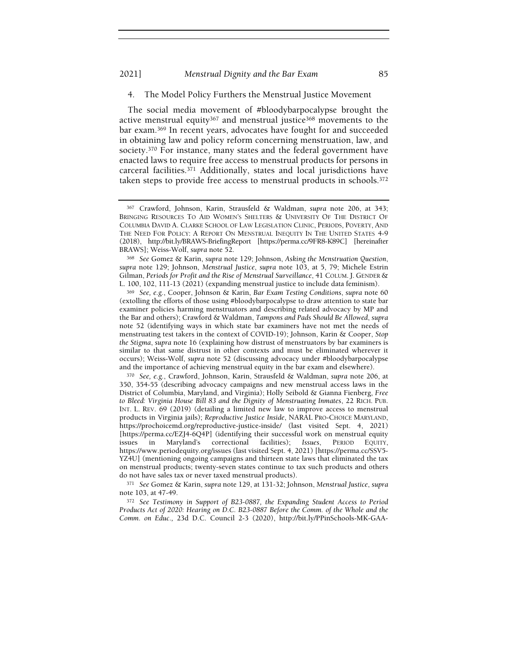#### 2021] Menstrual Dignity and the Bar Exam 85

4. The Model Policy Furthers the Menstrual Justice Movement

The social media movement of #bloodybarpocalypse brought the active menstrual equity367 and menstrual justice368 movements to the bar exam.369 In recent years, advocates have fought for and succeeded in obtaining law and policy reform concerning menstruation, law, and society.370 For instance, many states and the federal government have enacted laws to require free access to menstrual products for persons in carceral facilities.371 Additionally, states and local jurisdictions have taken steps to provide free access to menstrual products in schools.<sup>372</sup>

<sup>368</sup> See Gomez & Karin, supra note 129; Johnson, Asking the Menstruation Question, supra note 129; Johnson, Menstrual Justice, supra note 103, at 5, 79; Michele Estrin Gilman, Periods for Profit and the Rise of Menstrual Surveillance, 41 COLUM. J. GENDER & L. 100, 102, 111-13 (2021) (expanding menstrual justice to include data feminism).

<sup>369</sup> See, e.g., Cooper, Johnson & Karin, Bar Exam Testing Conditions, supra note 60 (extolling the efforts of those using #bloodybarpocalypse to draw attention to state bar examiner policies harming menstruators and describing related advocacy by MP and the Bar and others); Crawford & Waldman, Tampons and Pads Should Be Allowed, supra note 52 (identifying ways in which state bar examiners have not met the needs of menstruating test takers in the context of COVID-19); Johnson, Karin & Cooper, Stop the Stigma, supra note 16 (explaining how distrust of menstruators by bar examiners is similar to that same distrust in other contexts and must be eliminated wherever it occurs); Weiss-Wolf, supra note 52 (discussing advocacy under #bloodybarpocalypse and the importance of achieving menstrual equity in the bar exam and elsewhere).

<sup>370</sup> See, e.g., Crawford, Johnson, Karin, Strausfeld & Waldman, supra note 206, at 350, 354-55 (describing advocacy campaigns and new menstrual access laws in the District of Columbia, Maryland, and Virginia); Holly Seibold & Gianna Fienberg, Free to Bleed: Virginia House Bill 83 and the Dignity of Menstruating Inmates, 22 RICH. PUB. INT. L. REV. 69 (2019) (detailing a limited new law to improve access to menstrual products in Virginia jails); Reproductive Justice Inside, NARAL PRO-CHOICE MARYLAND, https://prochoicemd.org/reproductive-justice-inside/ (last visited Sept. 4, 2021) [https://perma.cc/EZJ4-6Q4P] (identifying their successful work on menstrual equity issues in Maryland's correctional facilities); Issues, PERIOD EQUITY, https://www.periodequity.org/issues (last visited Sept. 4, 2021) [https://perma.cc/SSV5- YZ4U] (mentioning ongoing campaigns and thirteen state laws that eliminated the tax on menstrual products; twenty-seven states continue to tax such products and others do not have sales tax or never taxed menstrual products).

<sup>371</sup> See Gomez & Karin, supra note 129, at 131-32; Johnson, Menstrual Justice, supra note 103, at 47-49.

<sup>372</sup> See Testimony in Support of B23-0887, the Expanding Student Access to Period Products Act of 2020: Hearing on D.C. B23-0887 Before the Comm. of the Whole and the Comm. on Educ., 23d D.C. Council 2-3 (2020), http://bit.ly/PPinSchools-MK-GAA-

<sup>367</sup> Crawford, Johnson, Karin, Strausfeld & Waldman, supra note 206, at 343; BRINGING RESOURCES TO AID WOMEN'S SHELTERS & UNIVERSITY OF THE DISTRICT OF COLUMBIA DAVID A. CLARKE SCHOOL OF LAW LEGISLATION CLINIC, PERIODS, POVERTY, AND THE NEED FOR POLICY: A REPORT ON MENSTRUAL INEQUITY IN THE UNITED STATES 4-9 (2018), http://bit.ly/BRAWS-BriefingReport [https://perma.cc/9FR8-K89C] [hereinafter BRAWS]; Weiss-Wolf, supra note 52.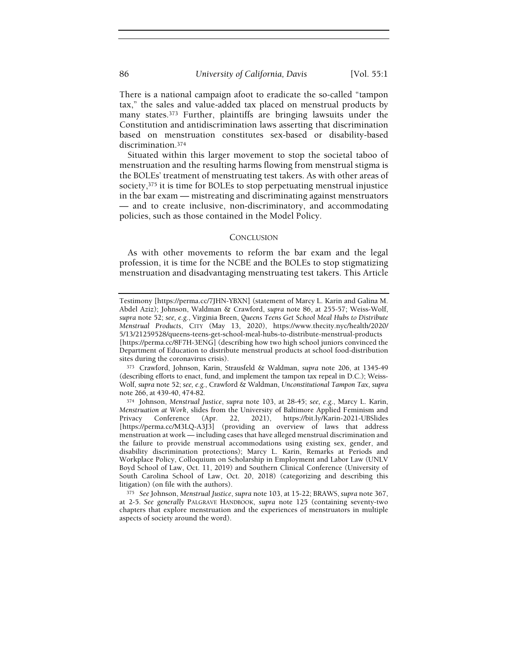There is a national campaign afoot to eradicate the so-called "tampon tax," the sales and value-added tax placed on menstrual products by many states.373 Further, plaintiffs are bringing lawsuits under the Constitution and antidiscrimination laws asserting that discrimination based on menstruation constitutes sex-based or disability-based discrimination.<sup>374</sup>

Situated within this larger movement to stop the societal taboo of menstruation and the resulting harms flowing from menstrual stigma is the BOLEs' treatment of menstruating test takers. As with other areas of society,375 it is time for BOLEs to stop perpetuating menstrual injustice in the bar exam — mistreating and discriminating against menstruators — and to create inclusive, non-discriminatory, and accommodating policies, such as those contained in the Model Policy.

## **CONCLUSION**

As with other movements to reform the bar exam and the legal profession, it is time for the NCBE and the BOLEs to stop stigmatizing menstruation and disadvantaging menstruating test takers. This Article

Testimony [https://perma.cc/7JHN-YBXN] (statement of Marcy L. Karin and Galina M. Abdel Aziz); Johnson, Waldman & Crawford, supra note 86, at 255-57; Weiss-Wolf, supra note 52; see, e.g., Virginia Breen, Queens Teens Get School Meal Hubs to Distribute Menstrual Products, CITY (May 13, 2020), https://www.thecity.nyc/health/2020/ 5/13/21259528/queens-teens-get-school-meal-hubs-to-distribute-menstrual-products [https://perma.cc/8F7H-3ENG] (describing how two high school juniors convinced the Department of Education to distribute menstrual products at school food-distribution sites during the coronavirus crisis).

<sup>373</sup> Crawford, Johnson, Karin, Strausfeld & Waldman, supra note 206, at 1345-49 (describing efforts to enact, fund, and implement the tampon tax repeal in D.C.); Weiss-Wolf, supra note 52; see, e.g., Crawford & Waldman, Unconstitutional Tampon Tax, supra note 266, at 439-40, 474-82.

<sup>374</sup> Johnson, Menstrual Justice, supra note 103, at 28-45; see, e.g., Marcy L. Karin, Menstruation at Work, slides from the University of Baltimore Applied Feminism and Privacy Conference (Apr. 22, 2021), https://bit.ly/Karin-2021-UBSlides https://bit.ly/Karin-2021-UBSlides [https://perma.cc/M3LQ-A3J3] (providing an overview of laws that address menstruation at work — including cases that have alleged menstrual discrimination and the failure to provide menstrual accommodations using existing sex, gender, and disability discrimination protections); Marcy L. Karin, Remarks at Periods and Workplace Policy, Colloquium on Scholarship in Employment and Labor Law (UNLV Boyd School of Law, Oct. 11, 2019) and Southern Clinical Conference (University of South Carolina School of Law, Oct. 20, 2018) (categorizing and describing this litigation) (on file with the authors).

<sup>375</sup> See Johnson, Menstrual Justice, supra note 103, at 15-22; BRAWS, supra note 367, at 2-5. See generally PALGRAVE HANDBOOK, supra note 125 (containing seventy-two chapters that explore menstruation and the experiences of menstruators in multiple aspects of society around the word).